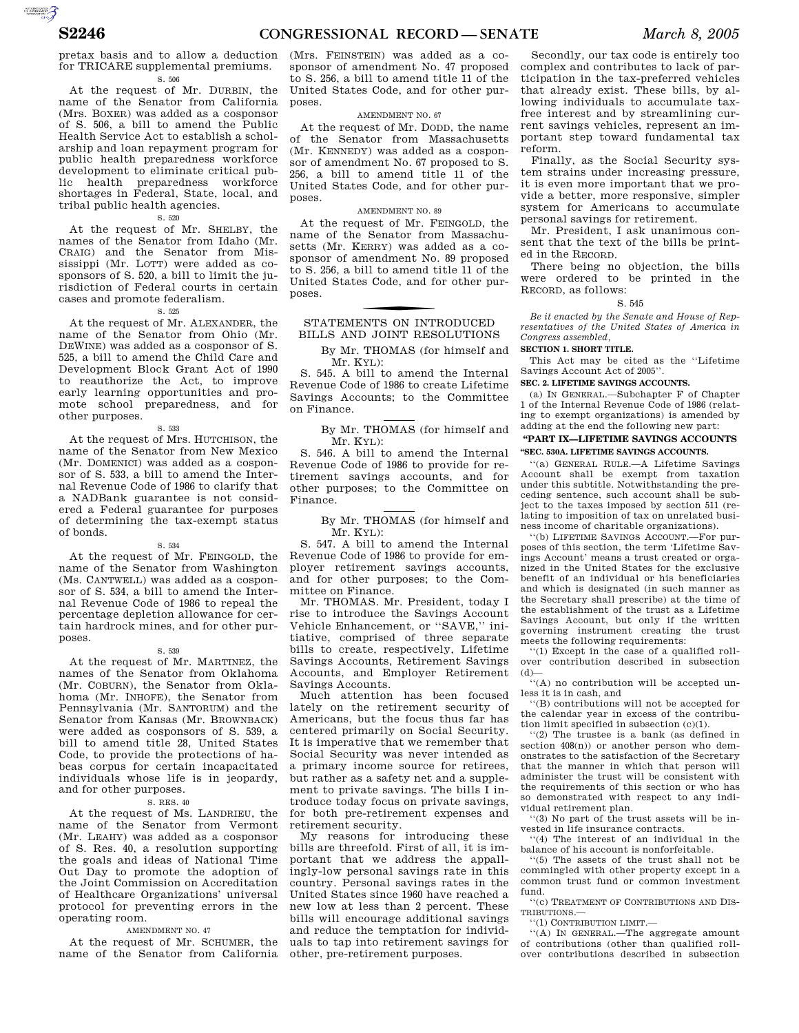pretax basis and to allow a deduction for TRICARE supplemental premiums. S. 506

At the request of Mr. DURBIN, the name of the Senator from California (Mrs. BOXER) was added as a cosponsor of S. 506, a bill to amend the Public Health Service Act to establish a scholarship and loan repayment program for public health preparedness workforce development to eliminate critical public health preparedness workforce shortages in Federal, State, local, and tribal public health agencies.

S. 520

At the request of Mr. SHELBY, the names of the Senator from Idaho (Mr. CRAIG) and the Senator from Mississippi (Mr. LOTT) were added as cosponsors of S. 520, a bill to limit the jurisdiction of Federal courts in certain cases and promote federalism.

S. 525

At the request of Mr. ALEXANDER, the name of the Senator from Ohio (Mr. DEWINE) was added as a cosponsor of S. 525, a bill to amend the Child Care and Development Block Grant Act of 1990 to reauthorize the Act, to improve early learning opportunities and promote school preparedness, and for other purposes.

S. 533

At the request of Mrs. HUTCHISON, the name of the Senator from New Mexico (Mr. DOMENICI) was added as a cosponsor of S. 533, a bill to amend the Internal Revenue Code of 1986 to clarify that a NADBank guarantee is not considered a Federal guarantee for purposes of determining the tax-exempt status of bonds.

#### S. 534

At the request of Mr. FEINGOLD, the name of the Senator from Washington (Ms. CANTWELL) was added as a cosponsor of S. 534, a bill to amend the Internal Revenue Code of 1986 to repeal the percentage depletion allowance for certain hardrock mines, and for other purposes.

## S. 539

At the request of Mr. MARTINEZ, the names of the Senator from Oklahoma (Mr. COBURN), the Senator from Oklahoma (Mr. INHOFE), the Senator from Pennsylvania (Mr. SANTORUM) and the Senator from Kansas (Mr. BROWNBACK) were added as cosponsors of S. 539, a bill to amend title 28, United States Code, to provide the protections of habeas corpus for certain incapacitated individuals whose life is in jeopardy, and for other purposes.

#### S. RES. 40

At the request of Ms. LANDRIEU, the name of the Senator from Vermont (Mr. LEAHY) was added as a cosponsor of S. Res. 40, a resolution supporting the goals and ideas of National Time Out Day to promote the adoption of the Joint Commission on Accreditation of Healthcare Organizations' universal protocol for preventing errors in the operating room.

#### AMENDMENT NO. 47

At the request of Mr. SCHUMER, the name of the Senator from California (Mrs. FEINSTEIN) was added as a cosponsor of amendment No. 47 proposed to S. 256, a bill to amend title 11 of the United States Code, and for other purposes.

#### AMENDMENT NO. 67

At the request of Mr. DODD, the name of the Senator from Massachusetts (Mr. KENNEDY) was added as a cosponsor of amendment No. 67 proposed to S. 256, a bill to amend title 11 of the United States Code, and for other purposes.

## AMENDMENT NO. 89

At the request of Mr. FEINGOLD, the name of the Senator from Massachusetts (Mr. KERRY) was added as a cosponsor of amendment No. 89 proposed to S. 256, a bill to amend title 11 of the United States Code, and for other purposes.

## STATEMENTS ON INTRODUCED BILLS AND JOINT RESOLUTIONS

By Mr. THOMAS (for himself and Mr. KYL):

S. 545. A bill to amend the Internal Revenue Code of 1986 to create Lifetime Savings Accounts; to the Committee on Finance.

> By Mr. THOMAS (for himself and Mr. KYL):

S. 546. A bill to amend the Internal Revenue Code of 1986 to provide for retirement savings accounts, and for other purposes; to the Committee on Finance.

## By Mr. THOMAS (for himself and Mr. KYL):

S. 547. A bill to amend the Internal Revenue Code of 1986 to provide for employer retirement savings accounts, and for other purposes; to the Committee on Finance.

Mr. THOMAS. Mr. President, today I rise to introduce the Savings Account Vehicle Enhancement, or ''SAVE,'' initiative, comprised of three separate bills to create, respectively, Lifetime Savings Accounts, Retirement Savings Accounts, and Employer Retirement Savings Accounts.

Much attention has been focused lately on the retirement security of Americans, but the focus thus far has centered primarily on Social Security. It is imperative that we remember that Social Security was never intended as a primary income source for retirees, but rather as a safety net and a supplement to private savings. The bills I introduce today focus on private savings, for both pre-retirement expenses and retirement security.

My reasons for introducing these bills are threefold. First of all, it is important that we address the appallingly-low personal savings rate in this country. Personal savings rates in the United States since 1960 have reached a new low at less than 2 percent. These bills will encourage additional savings and reduce the temptation for individuals to tap into retirement savings for other, pre-retirement purposes.

Secondly, our tax code is entirely too complex and contributes to lack of participation in the tax-preferred vehicles that already exist. These bills, by allowing individuals to accumulate taxfree interest and by streamlining current savings vehicles, represent an important step toward fundamental tax reform.

Finally, as the Social Security system strains under increasing pressure, it is even more important that we provide a better, more responsive, simpler system for Americans to accumulate personal savings for retirement.

Mr. President, I ask unanimous consent that the text of the bills be printed in the RECORD.

There being no objection, the bills were ordered to be printed in the RECORD, as follows:

#### S. 545

*Be it enacted by the Senate and House of Representatives of the United States of America in Congress assembled,* 

#### **SECTION 1. SHORT TITLE.**

This Act may be cited as the ''Lifetime Savings Account Act of 2005''.

## **SEC. 2. LIFETIME SAVINGS ACCOUNTS.**

(a) IN GENERAL.—Subchapter F of Chapter 1 of the Internal Revenue Code of 1986 (relating to exempt organizations) is amended by adding at the end the following new part:

## **''PART IX—LIFETIME SAVINGS ACCOUNTS ''SEC. 530A. LIFETIME SAVINGS ACCOUNTS.**

''(a) GENERAL RULE.—A Lifetime Savings Account shall be exempt from taxation under this subtitle. Notwithstanding the preceding sentence, such account shall be subject to the taxes imposed by section 511 (relating to imposition of tax on unrelated business income of charitable organizations).

''(b) LIFETIME SAVINGS ACCOUNT.—For purposes of this section, the term 'Lifetime Savings Account' means a trust created or organized in the United States for the exclusive benefit of an individual or his beneficiaries and which is designated (in such manner as the Secretary shall prescribe) at the time of the establishment of the trust as a Lifetime Savings Account, but only if the written governing instrument creating the trust meets the following requirements:

''(1) Except in the case of a qualified rollover contribution described in subsection  $(d)$ —

 $\dddot{H}$  (A) no contribution will be accepted unless it is in cash, and

''(B) contributions will not be accepted for the calendar year in excess of the contribution limit specified in subsection (c)(1).

''(2) The trustee is a bank (as defined in section 408(n)) or another person who demonstrates to the satisfaction of the Secretary that the manner in which that person will administer the trust will be consistent with the requirements of this section or who has so demonstrated with respect to any individual retirement plan.

''(3) No part of the trust assets will be invested in life insurance contracts.

''(4) The interest of an individual in the balance of his account is nonforfeitable.

''(5) The assets of the trust shall not be commingled with other property except in a common trust fund or common investment fund.

''(c) TREATMENT OF CONTRIBUTIONS AND DIS-TRIBUTIONS.—

''(1) CONTRIBUTION LIMIT.—

''(A) IN GENERAL.—The aggregate amount of contributions (other than qualified rollover contributions described in subsection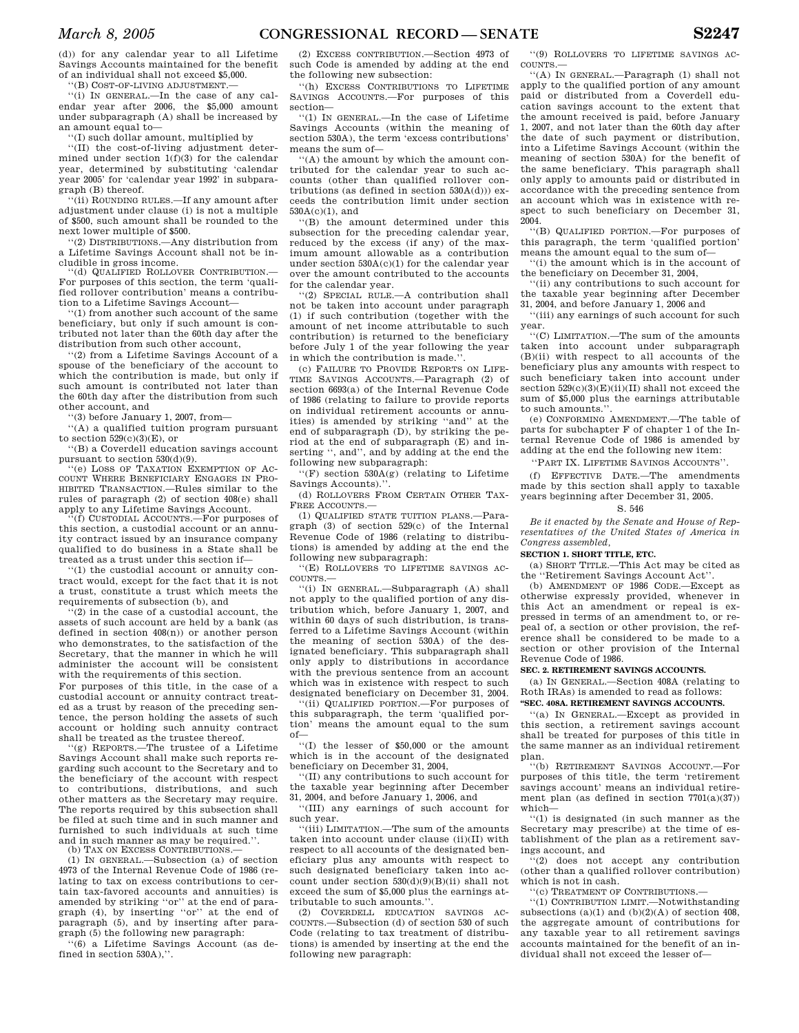(d)) for any calendar year to all Lifetime Savings Accounts maintained for the benefit of an individual shall not exceed \$5,000.

''(B) COST-OF-LIVING ADJUSTMENT.—

''(i) IN GENERAL.—In the case of any calendar year after 2006, the \$5,000 amount under subparagraph (A) shall be increased by an amount equal to—

''(I) such dollar amount, multiplied by

''(II) the cost-of-living adjustment determined under section 1(f)(3) for the calendar year, determined by substituting 'calendar year 2005' for 'calendar year 1992' in subparagraph (B) thereof.

''(ii) ROUNDING RULES.—If any amount after adjustment under clause (i) is not a multiple of \$500, such amount shall be rounded to the next lower multiple of \$500.

''(2) DISTRIBUTIONS.—Any distribution from a Lifetime Savings Account shall not be includible in gross income.

'(d) QUALIFIED ROLLOVER CONTRIBUTION. For purposes of this section, the term 'qualified rollover contribution' means a contribution to a Lifetime Savings Account—

''(1) from another such account of the same beneficiary, but only if such amount is contributed not later than the 60th day after the distribution from such other account,

''(2) from a Lifetime Savings Account of a spouse of the beneficiary of the account to which the contribution is made, but only if such amount is contributed not later than the 60th day after the distribution from such other account, and

''(3) before January 1, 2007, from—

''(A) a qualified tuition program pursuant to section  $529(c)(3)(E)$ , or

''(B) a Coverdell education savings account pursuant to section 530(d)(9).

''(e) LOSS OF TAXATION EXEMPTION OF AC-COUNT WHERE BENEFICIARY ENGAGES IN PRO-HIBITED TRANSACTION.—Rules similar to the rules of paragraph (2) of section 408(e) shall apply to any Lifetime Savings Account.

''(f) CUSTODIAL ACCOUNTS.—For purposes of this section, a custodial account or an annuity contract issued by an insurance company qualified to do business in a State shall be treated as a trust under this section if—

''(1) the custodial account or annuity contract would, except for the fact that it is not a trust, constitute a trust which meets the requirements of subsection (b), and

''(2) in the case of a custodial account, the assets of such account are held by a bank (as defined in section 408(n)) or another person who demonstrates, to the satisfaction of the Secretary, that the manner in which he will administer the account will be consistent with the requirements of this section.

For purposes of this title, in the case of a custodial account or annuity contract treated as a trust by reason of the preceding sentence, the person holding the assets of such account or holding such annuity contract shall be treated as the trustee thereof.

'(g) REPORTS.—The trustee of a Lifetime Savings Account shall make such reports regarding such account to the Secretary and to the beneficiary of the account with respect to contributions, distributions, and such other matters as the Secretary may require. The reports required by this subsection shall be filed at such time and in such manner and furnished to such individuals at such time and in such manner as may be required.''.

(b) TAX ON EXCESS CONTRIBUTIONS.—

(1) IN GENERAL.—Subsection (a) of section 4973 of the Internal Revenue Code of 1986 (relating to tax on excess contributions to certain tax-favored accounts and annuities) is amended by striking ''or'' at the end of paragraph (4), by inserting ''or'' at the end of paragraph (5), and by inserting after paragraph (5) the following new paragraph:

''(6) a Lifetime Savings Account (as defined in section 530A),''.

(2) EXCESS CONTRIBUTION.—Section 4973 of such Code is amended by adding at the end the following new subsection:

''(h) EXCESS CONTRIBUTIONS TO LIFETIME SAVINGS ACCOUNTS.—For purposes of this section—

''(1) IN GENERAL.—In the case of Lifetime Savings Accounts (within the meaning of section 530A), the term 'excess contributions' means the sum of—

'(A) the amount by which the amount contributed for the calendar year to such accounts (other than qualified rollover contributions (as defined in section  $530A(d))$ ) exceeds the contribution limit under section 530A(c)(1), and

''(B) the amount determined under this subsection for the preceding calendar year, reduced by the excess (if any) of the maximum amount allowable as a contribution under section 530A(c)(1) for the calendar year over the amount contributed to the accounts for the calendar year.

''(2) SPECIAL RULE.—A contribution shall not be taken into account under paragraph (1) if such contribution (together with the amount of net income attributable to such contribution) is returned to the beneficiary before July 1 of the year following the year in which the contribution is made.'

(c) FAILURE TO PROVIDE REPORTS ON LIFE-TIME SAVINGS ACCOUNTS.—Paragraph (2) of section 6693(a) of the Internal Revenue Code of 1986 (relating to failure to provide reports on individual retirement accounts or annuities) is amended by striking ''and'' at the end of subparagraph (D), by striking the period at the end of subparagraph (E) and inserting '', and'', and by adding at the end the following new subparagraph:

''(F) section 530A(g) (relating to Lifetime Savings Accounts).''.

(d) ROLLOVERS FROM CERTAIN OTHER TAX-FREE ACCOUNTS.—

(1) QUALIFIED STATE TUITION PLANS.—Paragraph (3) of section 529(c) of the Internal Revenue Code of 1986 (relating to distributions) is amended by adding at the end the following new subparagraph:

''(E) ROLLOVERS TO LIFETIME SAVINGS AC-COUNTS.—

''(i) IN GENERAL.—Subparagraph (A) shall not apply to the qualified portion of any distribution which, before January 1, 2007, and within 60 days of such distribution, is transferred to a Lifetime Savings Account (within the meaning of section 530A) of the designated beneficiary. This subparagraph shall only apply to distributions in accordance with the previous sentence from an account which was in existence with respect to such designated beneficiary on December 31, 2004.

''(ii) QUALIFIED PORTION.—For purposes of this subparagraph, the term 'qualified portion' means the amount equal to the sum of—

''(I) the lesser of \$50,000 or the amount which is in the account of the designated beneficiary on December 31, 2004,

''(II) any contributions to such account for the taxable year beginning after December 31, 2004, and before January 1, 2006, and

''(III) any earnings of such account for such year.

''(iii) LIMITATION.—The sum of the amounts taken into account under clause (ii)(II) with respect to all accounts of the designated beneficiary plus any amounts with respect to such designated beneficiary taken into account under section  $530(d)(9)(B)(ii)$  shall not exceed the sum of \$5,000 plus the earnings attributable to such amounts.''.

(2) COVERDELL EDUCATION SAVINGS AC-COUNTS.—Subsection (d) of section 530 of such Code (relating to tax treatment of distributions) is amended by inserting at the end the following new paragraph:

''(9) ROLLOVERS TO LIFETIME SAVINGS AC-COUNTS.

''(A) IN GENERAL.—Paragraph (1) shall not apply to the qualified portion of any amount paid or distributed from a Coverdell education savings account to the extent that the amount received is paid, before January 1, 2007, and not later than the 60th day after the date of such payment or distribution, into a Lifetime Savings Account (within the meaning of section 530A) for the benefit of the same beneficiary. This paragraph shall only apply to amounts paid or distributed in accordance with the preceding sentence from an account which was in existence with respect to such beneficiary on December 31, 2004.

''(B) QUALIFIED PORTION.—For purposes of this paragraph, the term 'qualified portion' means the amount equal to the sum of—

''(i) the amount which is in the account of the beneficiary on December 31, 2004,

''(ii) any contributions to such account for the taxable year beginning after December 31, 2004, and before January 1, 2006 and

''(iii) any earnings of such account for such year.

''(C) LIMITATION.—The sum of the amounts taken into account under subparagraph (B)(ii) with respect to all accounts of the beneficiary plus any amounts with respect to such beneficiary taken into account under section  $529(c)(3)(E)(ii)(II)$  shall not exceed the sum of \$5,000 plus the earnings attributable to such amounts.''.

(e) CONFORMING AMENDMENT.—The table of parts for subchapter F of chapter 1 of the Internal Revenue Code of 1986 is amended by adding at the end the following new item:

''PART IX. LIFETIME SAVINGS ACCOUNTS''.

(f) EFFECTIVE DATE.—The amendments made by this section shall apply to taxable years beginning after December 31, 2005.

## S. 546

*Be it enacted by the Senate and House of Representatives of the United States of America in Congress assembled,* 

#### **SECTION 1. SHORT TITLE, ETC.**

(a) SHORT TITLE.—This Act may be cited as the ''Retirement Savings Account Act''.

(b) AMENDMENT OF 1986 CODE.—Except as otherwise expressly provided, whenever in this Act an amendment or repeal is expressed in terms of an amendment to, or repeal of, a section or other provision, the reference shall be considered to be made to a section or other provision of the Internal Revenue Code of 1986.

#### **SEC. 2. RETIREMENT SAVINGS ACCOUNTS.**

(a) IN GENERAL.—Section 408A (relating to Roth IRAs) is amended to read as follows: **''SEC. 408A. RETIREMENT SAVINGS ACCOUNTS.** 

''(a) IN GENERAL.—Except as provided in this section, a retirement savings account shall be treated for purposes of this title in the same manner as an individual retirement plan.

''(b) RETIREMENT SAVINGS ACCOUNT.—For purposes of this title, the term 'retirement savings account' means an individual retirement plan (as defined in section 7701(a)(37)) which—

''(1) is designated (in such manner as the Secretary may prescribe) at the time of establishment of the plan as a retirement savings account, and

''(2) does not accept any contribution (other than a qualified rollover contribution) which is not in cash.

''(c) TREATMENT OF CONTRIBUTIONS.—

''(1) CONTRIBUTION LIMIT.—Notwithstanding subsections (a)(1) and (b)(2)(A) of section  $408$ , the aggregate amount of contributions for any taxable year to all retirement savings accounts maintained for the benefit of an individual shall not exceed the lesser of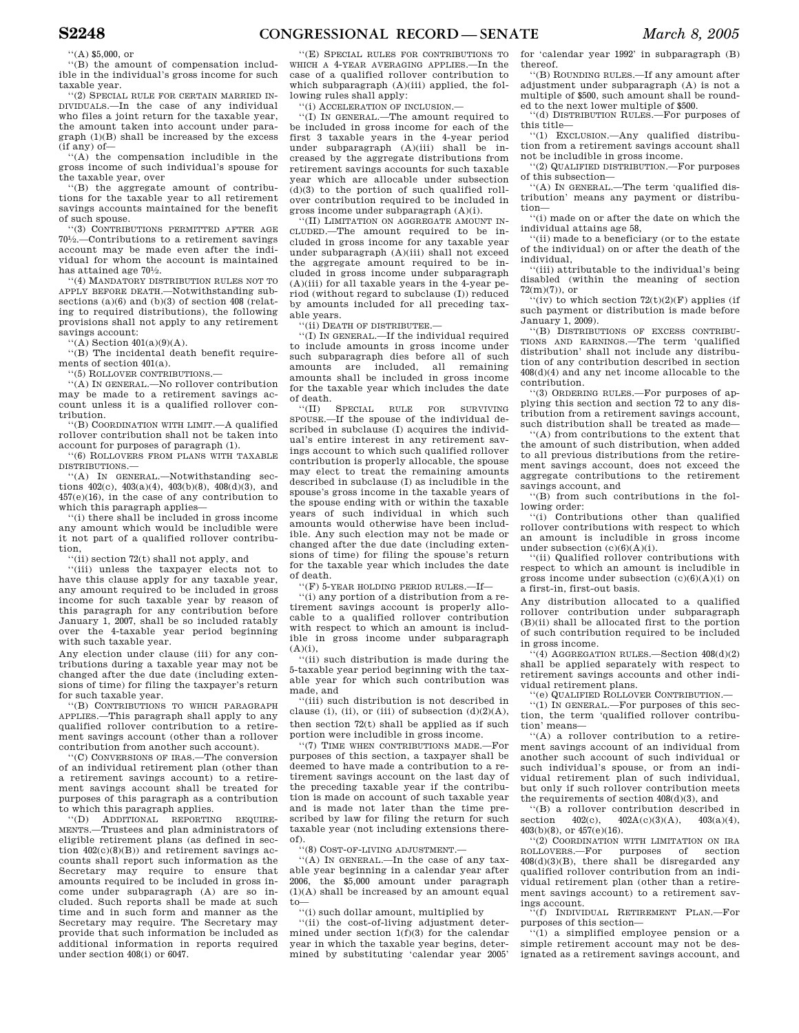''(A) \$5,000, or

''(B) the amount of compensation includible in the individual's gross income for such taxable year.

''(2) SPECIAL RULE FOR CERTAIN MARRIED IN-DIVIDUALS.—In the case of any individual who files a joint return for the taxable year, the amount taken into account under paragraph (1)(B) shall be increased by the excess (if any) of—

''(A) the compensation includible in the gross income of such individual's spouse for the taxable year, over

''(B) the aggregate amount of contributions for the taxable year to all retirement savings accounts maintained for the benefit of such spouse.

''(3) CONTRIBUTIONS PERMITTED AFTER AGE 701⁄2.—Contributions to a retirement savings account may be made even after the individual for whom the account is maintained has attained age  $70\frac{1}{2}$ .

''(4) MANDATORY DISTRIBUTION RULES NOT TO APPLY BEFORE DEATH.—Notwithstanding subsections (a)(6) and (b)(3) of section 408 (relating to required distributions), the following provisions shall not apply to any retirement savings account:

 $\lq\lq$ (A) Section  $401(a)(9)(A)$ .

''(B) The incidental death benefit requirements of section 401(a).

''(5) ROLLOVER CONTRIBUTIONS.—

''(A) IN GENERAL.—No rollover contribution may be made to a retirement savings account unless it is a qualified rollover contribution.

''(B) COORDINATION WITH LIMIT.—A qualified rollover contribution shall not be taken into account for purposes of paragraph (1).

'(6) ROLLOVERS FROM PLANS WITH TAXABLE DISTRIBUTIONS.—

''(A) IN GENERAL.—Notwithstanding sections  $402(c)$ ,  $403(a)(4)$ ,  $403(b)(8)$ ,  $408(d)(3)$ , and 457(e)(16), in the case of any contribution to which this paragraph applies—

''(i) there shall be included in gross income any amount which would be includible were it not part of a qualified rollover contribution,

''(ii) section 72(t) shall not apply, and

''(iii) unless the taxpayer elects not to have this clause apply for any taxable year. any amount required to be included in gross income for such taxable year by reason of this paragraph for any contribution before January 1, 2007, shall be so included ratably over the 4-taxable year period beginning with such taxable year.

Any election under clause (iii) for any contributions during a taxable year may not be changed after the due date (including extensions of time) for filing the taxpayer's return for such taxable year.

''(B) CONTRIBUTIONS TO WHICH PARAGRAPH APPLIES.—This paragraph shall apply to any qualified rollover contribution to a retirement savings account (other than a rollover contribution from another such account).

''(C) CONVERSIONS OF IRAS.—The conversion of an individual retirement plan (other than a retirement savings account) to a retirement savings account shall be treated for purposes of this paragraph as a contribution to which this paragraph applies.

''(D) ADDITIONAL REPORTING REQUIRE-MENTS.—Trustees and plan administrators of eligible retirement plans (as defined in section  $402(c)(8)(B)$  and retirement savings accounts shall report such information as the Secretary may require to ensure that amounts required to be included in gross income under subparagraph (A) are so included. Such reports shall be made at such time and in such form and manner as the Secretary may require. The Secretary may provide that such information be included as additional information in reports required under section 408(i) or 6047.

''(E) SPECIAL RULES FOR CONTRIBUTIONS TO WHICH A 4-YEAR AVERAGING APPLIES.—In the case of a qualified rollover contribution to which subparagraph (A)(iii) applied, the following rules shall apply:

''(i) ACCELERATION OF INCLUSION.—

''(I) IN GENERAL.—The amount required to be included in gross income for each of the first 3 taxable years in the 4-year period under subparagraph (A)(iii) shall be increased by the aggregate distributions from retirement savings accounts for such taxable year which are allocable under subsection  $(d)(3)$  to the portion of such qualified rollover contribution required to be included in gross income under subparagraph (A)(i).

'(II) LIMITATION ON AGGREGATE AMOUNT IN-CLUDED.—The amount required to be included in gross income for any taxable year under subparagraph (A)(iii) shall not exceed the aggregate amount required to be included in gross income under subparagraph (A)(iii) for all taxable years in the 4-year period (without regard to subclause (I)) reduced by amounts included for all preceding taxable years.

''(ii) DEATH OF DISTRIBUTEE.—

''(I) IN GENERAL.—If the individual required to include amounts in gross income under such subparagraph dies before all of such amounts are included, all remaining amounts shall be included in gross income for the taxable year which includes the date

of death.<br> $``(II)$  SPECIAL BULE FOR SURVIVING SPOUSE.—If the spouse of the individual described in subclause (I) acquires the individual's entire interest in any retirement savings account to which such qualified rollover contribution is properly allocable, the spouse may elect to treat the remaining amounts described in subclause (I) as includible in the spouse's gross income in the taxable years of the spouse ending with or within the taxable years of such individual in which such amounts would otherwise have been includible. Any such election may not be made or changed after the due date (including extensions of time) for filing the spouse's return for the taxable year which includes the date of death.

''(F) 5-YEAR HOLDING PERIOD RULES.—If—

''(i) any portion of a distribution from a retirement savings account is properly allocable to a qualified rollover contribution with respect to which an amount is includible in gross income under subparagraph  $(A)(i)$ ,

''(ii) such distribution is made during the 5-taxable year period beginning with the taxable year for which such contribution was made, and

''(iii) such distribution is not described in clause (i), (ii), or (iii) of subsection  $(d)(2)(A)$ , then section 72(t) shall be applied as if such portion were includible in gross income.

''(7) TIME WHEN CONTRIBUTIONS MADE.—For purposes of this section, a taxpayer shall be deemed to have made a contribution to a retirement savings account on the last day of the preceding taxable year if the contribution is made on account of such taxable year and is made not later than the time prescribed by law for filing the return for such taxable year (not including extensions thereof).

''(8) COST-OF-LIVING ADJUSTMENT.—

''(A) IN GENERAL.—In the case of any taxable year beginning in a calendar year after 2006, the \$5,000 amount under paragraph (1)(A) shall be increased by an amount equal to—

''(i) such dollar amount, multiplied by

''(ii) the cost-of-living adjustment determined under section  $1(f)(3)$  for the calendar year in which the taxable year begins, determined by substituting 'calendar year 2005'

for 'calendar year 1992' in subparagraph (B) thereof.

''(B) ROUNDING RULES.—If any amount after adjustment under subparagraph (A) is not a multiple of \$500, such amount shall be rounded to the next lower multiple of \$500.

''(d) DISTRIBUTION RULES.—For purposes of this title—

''(1) EXCLUSION.—Any qualified distribution from a retirement savings account shall not be includible in gross income.

''(2) QUALIFIED DISTRIBUTION.—For purposes of this subsection—

''(A) IN GENERAL.—The term 'qualified distribution' means any payment or distribution—

''(i) made on or after the date on which the individual attains age 58,

''(ii) made to a beneficiary (or to the estate of the individual) on or after the death of the individual,

''(iii) attributable to the individual's being disabled (within the meaning of section 72(m)(7)), or

 $\sqrt{\text{iv}}$  to which section  $72(t)(2)(F)$  applies (if such payment or distribution is made before January 1, 2009).

''(B) DISTRIBUTIONS OF EXCESS CONTRIBU-TIONS AND EARNINGS.—The term 'qualified distribution' shall not include any distribution of any contribution described in section 408(d)(4) and any net income allocable to the contribution.

''(3) ORDERING RULES.—For purposes of applying this section and section 72 to any distribution from a retirement savings account, such distribution shall be treated as made—

''(A) from contributions to the extent that the amount of such distribution, when added to all previous distributions from the retirement savings account, does not exceed the aggregate contributions to the retirement savings account, and

''(B) from such contributions in the following order:

''(i) Contributions other than qualified rollover contributions with respect to which an amount is includible in gross income under subsection  $(c)(6)(A)(i)$ .

''(ii) Qualified rollover contributions with respect to which an amount is includible in gross income under subsection  $(c)(6)(A)(i)$  on a first-in, first-out basis.

Any distribution allocated to a qualified rollover contribution under subparagraph (B)(ii) shall be allocated first to the portion of such contribution required to be included in gross income.

 $(4)$  AGGREGATION RULES.—Section  $408(d)(2)$ shall be applied separately with respect to retirement savings accounts and other individual retirement plans.

''(e) QUALIFIED ROLLOVER CONTRIBUTION.—

''(1) IN GENERAL.—For purposes of this section, the term 'qualified rollover contribution' means—

''(A) a rollover contribution to a retirement savings account of an individual from another such account of such individual or such individual's spouse, or from an individual retirement plan of such individual, but only if such rollover contribution meets the requirements of section  $408(d)(3)$ , and

"(B) a rollover contribution described in section  $402(c)$ ,  $402A(c)(3)(A)$ ,  $403(a)(4)$ ,  $402A(c)(3)(A),$  $403(b)(8)$ , or  $457(e)(16)$ .

''(2) COORDINATION WITH LIMITATION ON IRA ROLLOVERS.—For purposes of section  $408(d)(3)(B)$ , there shall be disregarded any qualified rollover contribution from an individual retirement plan (other than a retirement savings account) to a retirement savings account.

''(f) INDIVIDUAL RETIREMENT PLAN.—For purposes of this section—

''(1) a simplified employee pension or a simple retirement account may not be designated as a retirement savings account, and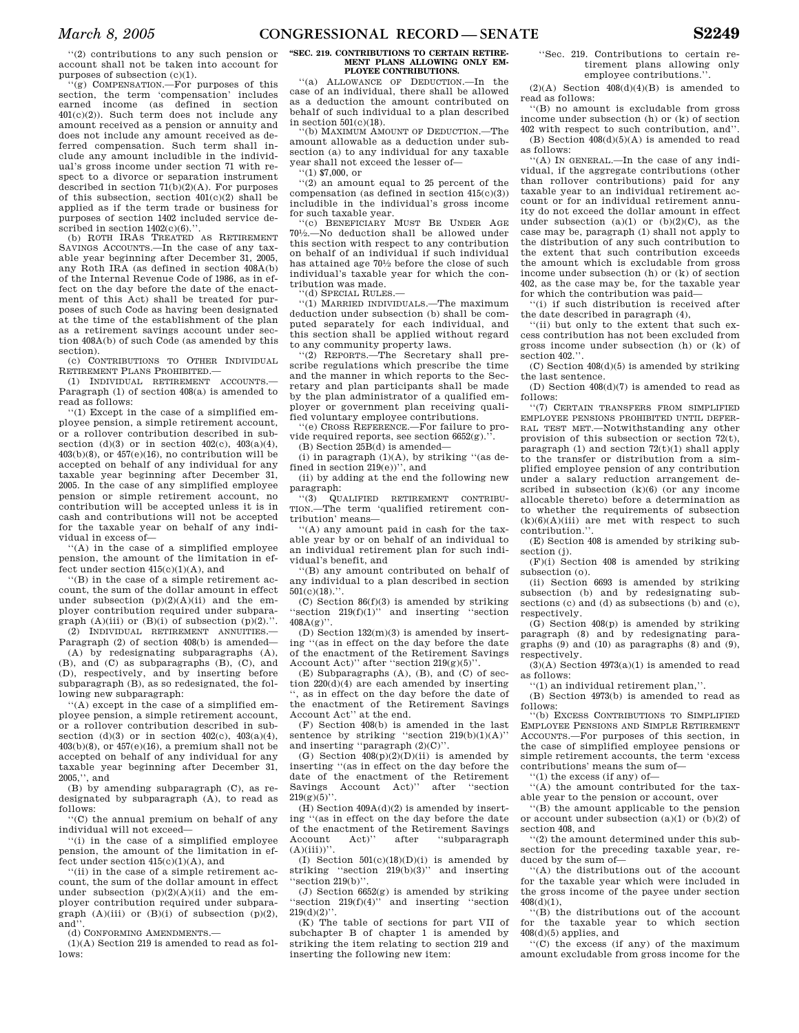''(2) contributions to any such pension or account shall not be taken into account for purposes of subsection (c)(1).

''(g) COMPENSATION.—For purposes of this section, the term 'compensation' includes earned income (as defined in section 401(c)(2)). Such term does not include any amount received as a pension or annuity and does not include any amount received as deferred compensation. Such term shall include any amount includible in the individual's gross income under section 71 with respect to a divorce or separation instrument described in section  $71(b)(2)(A)$ . For purposes of this subsection, section  $401(c)(2)$  shall be applied as if the term trade or business for purposes of section 1402 included service described in section  $1402(c)(6)$ .

(b) ROTH IRAS TREATED AS RETIREMENT SAVINGS ACCOUNTS.—In the case of any taxable year beginning after December 31, 2005, any Roth IRA (as defined in section 408A(b) of the Internal Revenue Code of 1986, as in effect on the day before the date of the enactment of this Act) shall be treated for purposes of such Code as having been designated at the time of the establishment of the plan as a retirement savings account under section 408A(b) of such Code (as amended by this section).

(c) CONTRIBUTIONS TO OTHER INDIVIDUAL RETIREMENT PLANS PROHIBITED.—

(1) INDIVIDUAL RETIREMENT ACCOUNTS.— Paragraph (1) of section 408(a) is amended to read as follows:

''(1) Except in the case of a simplified employee pension, a simple retirement account, or a rollover contribution described in subsection (d)(3) or in section  $402(c)$ ,  $403(a)(4)$ ,  $403(b)(8)$ , or  $457(e)(16)$ , no contribution will be accepted on behalf of any individual for any taxable year beginning after December 31, 2005. In the case of any simplified employee pension or simple retirement account, no contribution will be accepted unless it is in cash and contributions will not be accepted for the taxable year on behalf of any individual in excess of—

''(A) in the case of a simplified employee pension, the amount of the limitation in effect under section  $415(c)(1)(A)$ , and

''(B) in the case of a simple retirement account, the sum of the dollar amount in effect under subsection  $(p)(2)(A)(ii)$  and the employer contribution required under subparagraph  $(A)(iii)$  or  $(B)(i)$  of subsection  $(p)(2)$ .". (2) INDIVIDUAL RETIREMENT ANNUITIES.—

Paragraph (2) of section 408(b) is amended— (A) by redesignating subparagraphs (A),

(B), and (C) as subparagraphs (B), (C), and (D), respectively, and by inserting before subparagraph (B), as so redesignated, the following new subparagraph:

''(A) except in the case of a simplified employee pension, a simple retirement account, or a rollover contribution described in subsection  $(d)(3)$  or in section  $402(c)$ ,  $403(a)(4)$ ,  $403(b)(8)$ , or  $457(e)(16)$ , a premium shall not be accepted on behalf of any individual for any taxable year beginning after December 31, 2005,'', and

(B) by amending subparagraph (C), as redesignated by subparagraph (A), to read as follows:

''(C) the annual premium on behalf of any individual will not exceed—

''(i) in the case of a simplified employee pension, the amount of the limitation in ef $fect$  under section  $415(c)(1)(A)$ , and

''(ii) in the case of a simple retirement account, the sum of the dollar amount in effect under subsection  $(p)(2)(A)(ii)$  and the employer contribution required under subparagraph  $(A)(iii)$  or  $(B)(i)$  of subsection  $(p)(2)$ . and'

(d) CONFORMING AMENDMENTS.—

(1)(A) Section 219 is amended to read as follows:

#### **''SEC. 219. CONTRIBUTIONS TO CERTAIN RETIRE-MENT PLANS ALLOWING ONLY EM-PLOYEE CONTRIBUTIONS.**

''(a) ALLOWANCE OF DEDUCTION.—In the case of an individual, there shall be allowed as a deduction the amount contributed on behalf of such individual to a plan described in section  $501(c)(18)$ .

''(b) MAXIMUM AMOUNT OF DEDUCTION.—The amount allowable as a deduction under subsection (a) to any individual for any taxable year shall not exceed the lesser of—

''(1) \$7,000, or ''(2) an amount equal to 25 percent of the compensation (as defined in section 415(c)(3)) includible in the individual's gross income for such taxable year.

'(c) BENEFICIARY MUST BE UNDER AGE 701⁄2.—No deduction shall be allowed under this section with respect to any contribution on behalf of an individual if such individual has attained age 701⁄2 before the close of such individual's taxable year for which the contribution was made.

'(d) SPECIAL RULES.

''(1) MARRIED INDIVIDUALS.—The maximum deduction under subsection (b) shall be computed separately for each individual, and this section shall be applied without regard to any community property laws.

''(2) REPORTS.—The Secretary shall prescribe regulations which prescribe the time and the manner in which reports to the Secretary and plan participants shall be made by the plan administrator of a qualified employer or government plan receiving qualified voluntary employee contributions.

''(e) CROSS REFERENCE.—For failure to provide required reports, see section  $6652(g)$ .".

(B) Section 25B(d) is amended—  $(i)$  in paragraph  $(1)(A)$ , by striking "(as de-

fined in section 219(e))'', and (ii) by adding at the end the following new

paragraph:

''(3) QUALIFIED RETIREMENT CONTRIBU-TION.—The term 'qualified retirement contribution' means—

''(A) any amount paid in cash for the taxable year by or on behalf of an individual to an individual retirement plan for such individual's benefit, and

''(B) any amount contributed on behalf of any individual to a plan described in section  $501(c)(18)$ .".

(C) Section  $86(f)(3)$  is amended by striking ''section 219(f)(1)'' and inserting ''section  $408A(g)$ ".

(D) Section 132(m)(3) is amended by inserting ''(as in effect on the day before the date of the enactment of the Retirement Savings Account Act)'' after ''section 219(g)(5)''.

(E) Subparagraphs (A), (B), and (C) of section  $220(d)(4)$  are each amended by inserting , as in effect on the day before the date of the enactment of the Retirement Savings Account Act'' at the end.

(F) Section 408(b) is amended in the last sentence by striking "section  $219(b)(1)(A)$ " and inserting ''paragraph (2)(C)''.

(G) Section  $408(p)(2)(D)(ii)$  is amended by inserting ''(as in effect on the day before the date of the enactment of the Retirement Savings Account Act)'' after ''section  $219(g)(5)$ ''.

(H) Section 409A(d)(2) is amended by inserting ''(as in effect on the day before the date of the enactment of the Retirement Savings<br>Account Act)'' after "subparagraph Account Act)'' after ''subparagraph  $(A)(iii)$ "

(I) Section  $501(c)(18)(D)(i)$  is amended by striking ''section 219(b)(3)'' and inserting ''section 219(b)''.

(J) Section  $6652(g)$  is amended by striking section  $219(f)(4)$ " and inserting "section "section  $219(f)(4)$ "  $219(d)(2)$ ".

(K) The table of sections for part VII of subchapter B of chapter 1 is amended by striking the item relating to section 219 and inserting the following new item:

''Sec. 219. Contributions to certain retirement plans allowing only employee contributions."

 $(2)(A)$  Section  $408(d)(4)(B)$  is amended to read as follows:

''(B) no amount is excludable from gross income under subsection (h) or (k) of section 402 with respect to such contribution, and''.

(B) Section  $408(d)(5)(A)$  is amended to read as follows:

''(A) IN GENERAL.—In the case of any individual, if the aggregate contributions (other than rollover contributions) paid for any taxable year to an individual retirement account or for an individual retirement annuity do not exceed the dollar amount in effect under subsection  $(a)(1)$  or  $(b)(2)(C)$ , as the case may be, paragraph (1) shall not apply to the distribution of any such contribution to the extent that such contribution exceeds the amount which is excludable from gross income under subsection (h) or (k) of section 402, as the case may be, for the taxable year for which the contribution was paid—

'(i) if such distribution is received after the date described in paragraph (4),

''(ii) but only to the extent that such excess contribution has not been excluded from gross income under subsection (h) or (k) of section 402."

(C) Section  $408(d)(5)$  is amended by striking the last sentence.

(D) Section 408(d)(7) is amended to read as follows:

''(7) CERTAIN TRANSFERS FROM SIMPLIFIED EMPLOYEE PENSIONS PROHIBITED UNTIL DEFER-RAL TEST MET.—Notwithstanding any other provision of this subsection or section 72(t), paragraph (1) and section  $72(t)(1)$  shall apply to the transfer or distribution from a simplified employee pension of any contribution under a salary reduction arrangement described in subsection  $(k)(6)$  (or any income allocable thereto) before a determination as to whether the requirements of subsection  $(k)(6)(A)(iii)$  are met with respect to such contribution.

(E) Section 408 is amended by striking subsection (j).

(F)(i) Section 408 is amended by striking subsection (o).

(ii) Section 6693 is amended by striking subsection (b) and by redesignating subsections (c) and (d) as subsections (b) and (c), respectively.

 $(G)$  Section 408(p) is amended by striking paragraph (8) and by redesignating paragraphs  $(9)$  and  $(10)$  as paragraphs  $(8)$  and  $(9)$ , respectively.

 $(3)$ (A) Section 4973(a)(1) is amended to read as follows:

''(1) an individual retirement plan,''.

(B) Section 4973(b) is amended to read as follows:

''(b) EXCESS CONTRIBUTIONS TO SIMPLIFIED EMPLOYEE PENSIONS AND SIMPLE RETIREMENT ACCOUNTS.—For purposes of this section, in the case of simplified employee pensions or simple retirement accounts, the term 'excess contributions' means the sum of—

''(1) the excess (if any) of—

''(A) the amount contributed for the taxable year to the pension or account, over

''(B) the amount applicable to the pension or account under subsection (a)(1) or (b)(2) of section 408, and

''(2) the amount determined under this subsection for the preceding taxable year, reduced by the sum of—

''(A) the distributions out of the account for the taxable year which were included in the gross income of the payee under section 408(d)(1),

''(B) the distributions out of the account for the taxable year to which section 408(d)(5) applies, and

''(C) the excess (if any) of the maximum amount excludable from gross income for the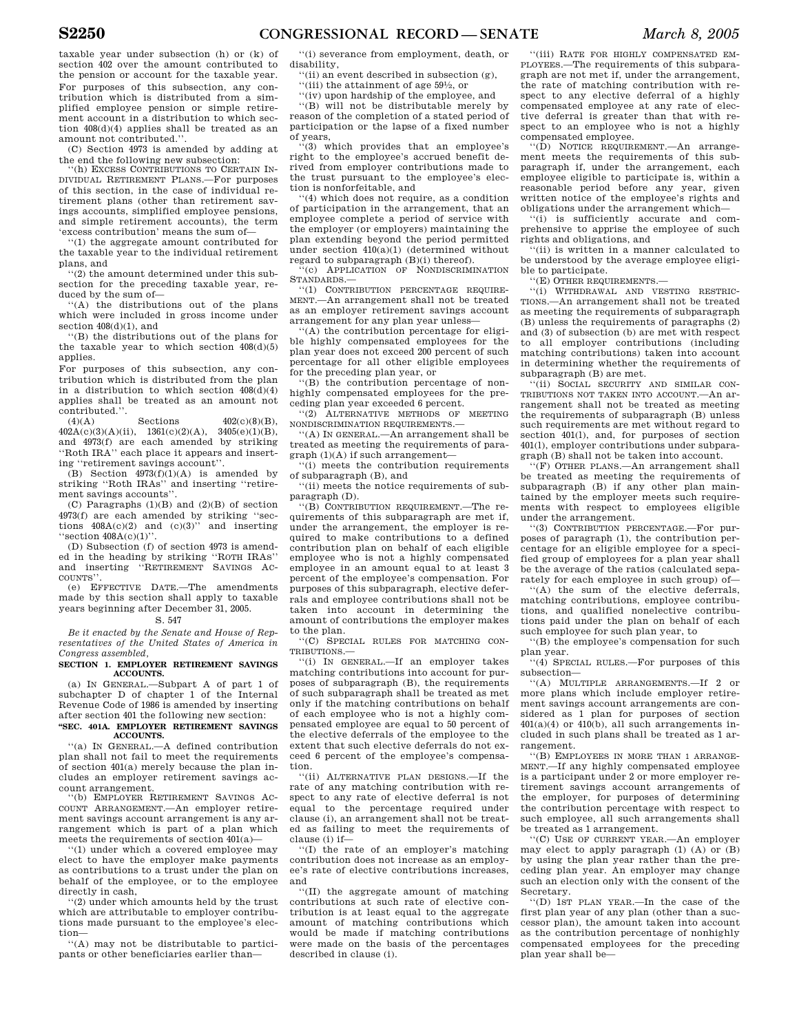taxable year under subsection (h) or (k) of section 402 over the amount contributed to the pension or account for the taxable year. For purposes of this subsection, any contribution which is distributed from a simplified employee pension or simple retirement account in a distribution to which section 408(d)(4) applies shall be treated as an amount not contributed.''.

(C) Section 4973 is amended by adding at the end the following new subsection:

''(h) EXCESS CONTRIBUTIONS TO CERTAIN IN-DIVIDUAL RETIREMENT PLANS.—For purposes of this section, in the case of individual retirement plans (other than retirement savings accounts, simplified employee pensions, and simple retirement accounts), the term 'excess contribution' means the sum of—

''(1) the aggregate amount contributed for the taxable year to the individual retirement plans, and

''(2) the amount determined under this subsection for the preceding taxable year, reduced by the sum of—

''(A) the distributions out of the plans which were included in gross income under section 408(d)(1), and

''(B) the distributions out of the plans for the taxable year to which section  $408(d)(5)$ applies.

For purposes of this subsection, any contribution which is distributed from the plan in a distribution to which section 408(d)(4) applies shall be treated as an amount not contributed.".<br> $(4)(A)$ 

 $Sections$   $402(c)(8)(B)$  $402A(c)(3)(A)(ii), \quad 1361(c)(2)(A), \quad 3405(e)(1)(B),$ and 4973(f) are each amended by striking ''Roth IRA'' each place it appears and inserting ''retirement savings account''.

 $(B)$  Section  $4973(f)(1)(A)$  is amended by striking ''Roth IRAs'' and inserting ''retirement savings accounts''.

(C) Paragraphs (1)(B) and (2)(B) of section 4973(f) are each amended by striking ''sections  $408A(c)(2)$  and  $(c)(3)$ " and inserting "section  $408A(c)(1)$ ".

(D) Subsection (f) of section 4973 is amended in the heading by striking ''ROTH IRAS'' and inserting ''RETIREMENT SAVINGS AC-COUNTS''.

(e) EFFECTIVE DATE.—The amendments made by this section shall apply to taxable years beginning after December 31, 2005.

## S. 547

*Be it enacted by the Senate and House of Representatives of the United States of America in Congress assembled,* 

#### **SECTION 1. EMPLOYER RETIREMENT SAVINGS ACCOUNTS.**

(a) IN GENERAL.—Subpart A of part 1 of subchapter D of chapter 1 of the Internal Revenue Code of 1986 is amended by inserting after section 401 the following new section: **''SEC. 401A. EMPLOYER RETIREMENT SAVINGS** 

# **ACCOUNTS.**

''(a) IN GENERAL.—A defined contribution plan shall not fail to meet the requirements of section 401(a) merely because the plan includes an employer retirement savings account arrangement.

''(b) EMPLOYER RETIREMENT SAVINGS AC-COUNT ARRANGEMENT.—An employer retirement savings account arrangement is any arrangement which is part of a plan which meets the requirements of section 401(a)—

''(1) under which a covered employee may elect to have the employer make payments as contributions to a trust under the plan on behalf of the employee, or to the employee directly in cash,

''(2) under which amounts held by the trust which are attributable to employer contributions made pursuant to the employee's election—

''(A) may not be distributable to participants or other beneficiaries earlier than—

''(i) severance from employment, death, or disability,

''(ii) an event described in subsection (g), ''(iii) the attainment of age 591⁄2, or

''(iv) upon hardship of the employee, and

''(B) will not be distributable merely by reason of the completion of a stated period of participation or the lapse of a fixed number of years,

''(3) which provides that an employee's right to the employee's accrued benefit derived from employer contributions made to the trust pursuant to the employee's election is nonforfeitable, and

''(4) which does not require, as a condition of participation in the arrangement, that an employee complete a period of service with the employer (or employers) maintaining the plan extending beyond the period permitted under section 410(a)(1) (determined without regard to subparagraph (B)(i) thereof).

'(c) APPLICATION OF NONDISCRIMINATION STANDARDS.—

''(1) CONTRIBUTION PERCENTAGE REQUIRE-MENT.—An arrangement shall not be treated as an employer retirement savings account arrangement for any plan year unless—

''(A) the contribution percentage for eligible highly compensated employees for the plan year does not exceed 200 percent of such percentage for all other eligible employees for the preceding plan year, or

''(B) the contribution percentage of nonhighly compensated employees for the preceding plan year exceeded 6 percent.

''(2) ALTERNATIVE METHODS OF MEETING NONDISCRIMINATION REQUIREMENTS.—

''(A) IN GENERAL.—An arrangement shall be treated as meeting the requirements of paragraph (1)(A) if such arrangement—

''(i) meets the contribution requirements of subparagraph (B), and

''(ii) meets the notice requirements of subparagraph (D).

''(B) CONTRIBUTION REQUIREMENT.—The requirements of this subparagraph are met if, under the arrangement, the employer is required to make contributions to a defined contribution plan on behalf of each eligible employee who is not a highly compensated employee in an amount equal to at least 3 percent of the employee's compensation. For purposes of this subparagraph, elective deferrals and employee contributions shall not be taken into account in determining the amount of contributions the employer makes to the plan.

''(C) SPECIAL RULES FOR MATCHING CON-TRIBUTIONS.—

''(i) IN GENERAL.—If an employer takes matching contributions into account for purposes of subparagraph (B), the requirements of such subparagraph shall be treated as met only if the matching contributions on behalf of each employee who is not a highly compensated employee are equal to 50 percent of the elective deferrals of the employee to the extent that such elective deferrals do not exceed 6 percent of the employee's compensation.

''(ii) ALTERNATIVE PLAN DESIGNS.—If the rate of any matching contribution with respect to any rate of elective deferral is not equal to the percentage required under clause (i), an arrangement shall not be treated as failing to meet the requirements of clause (i) if—

''(I) the rate of an employer's matching contribution does not increase as an employee's rate of elective contributions increases, and

''(II) the aggregate amount of matching contributions at such rate of elective contribution is at least equal to the aggregate amount of matching contributions which would be made if matching contributions were made on the basis of the percentages described in clause (i).

''(iii) RATE FOR HIGHLY COMPENSATED EM-PLOYEES.—The requirements of this subparagraph are not met if, under the arrangement, the rate of matching contribution with respect to any elective deferral of a highly compensated employee at any rate of elective deferral is greater than that with respect to an employee who is not a highly compensated employee.

''(D) NOTICE REQUIREMENT.—An arrangement meets the requirements of this subparagraph if, under the arrangement, each employee eligible to participate is, within a reasonable period before any year, given written notice of the employee's rights and obligations under the arrangement which—

''(i) is sufficiently accurate and comprehensive to apprise the employee of such rights and obligations, and

''(ii) is written in a manner calculated to be understood by the average employee eligible to participate.

''(E) OTHER REQUIREMENTS.—

''(i) WITHDRAWAL AND VESTING RESTRIC-TIONS.—An arrangement shall not be treated as meeting the requirements of subparagraph (B) unless the requirements of paragraphs (2) and (3) of subsection (b) are met with respect to all employer contributions (including matching contributions) taken into account in determining whether the requirements of subparagraph (B) are met.

''(ii) SOCIAL SECURITY AND SIMILAR CON-TRIBUTIONS NOT TAKEN INTO ACCOUNT. An arrangement shall not be treated as meeting the requirements of subparagraph (B) unless such requirements are met without regard to section 401(l), and, for purposes of section 401(l), employer contributions under subparagraph (B) shall not be taken into account.

''(F) OTHER PLANS.—An arrangement shall be treated as meeting the requirements of subparagraph (B) if any other plan maintained by the employer meets such requirements with respect to employees eligible under the arrangement.

''(3) CONTRIBUTION PERCENTAGE.—For purposes of paragraph (1), the contribution percentage for an eligible employee for a specified group of employees for a plan year shall be the average of the ratios (calculated separately for each employee in such group) of—

''(A) the sum of the elective deferrals, matching contributions, employee contributions, and qualified nonelective contributions paid under the plan on behalf of each such employee for such plan year, to

''(B) the employee's compensation for such plan year.

''(4) SPECIAL RULES.—For purposes of this subsection—

''(A) MULTIPLE ARRANGEMENTS.—If 2 or more plans which include employer retirement savings account arrangements are considered as 1 plan for purposes of section  $401(a)(4)$  or  $410(b)$ , all such arrangements included in such plans shall be treated as 1 arrangement.

''(B) EMPLOYEES IN MORE THAN 1 ARRANGE-MENT.—If any highly compensated employee is a participant under 2 or more employer retirement savings account arrangements of the employer, for purposes of determining the contribution percentage with respect to such employee, all such arrangements shall be treated as 1 arrangement.

''(C) USE OF CURRENT YEAR.—An employer may elect to apply paragraph (1) (A) or (B) by using the plan year rather than the preceding plan year. An employer may change such an election only with the consent of the Secretary.

''(D) 1ST PLAN YEAR.—In the case of the first plan year of any plan (other than a successor plan), the amount taken into account as the contribution percentage of nonhighly compensated employees for the preceding plan year shall be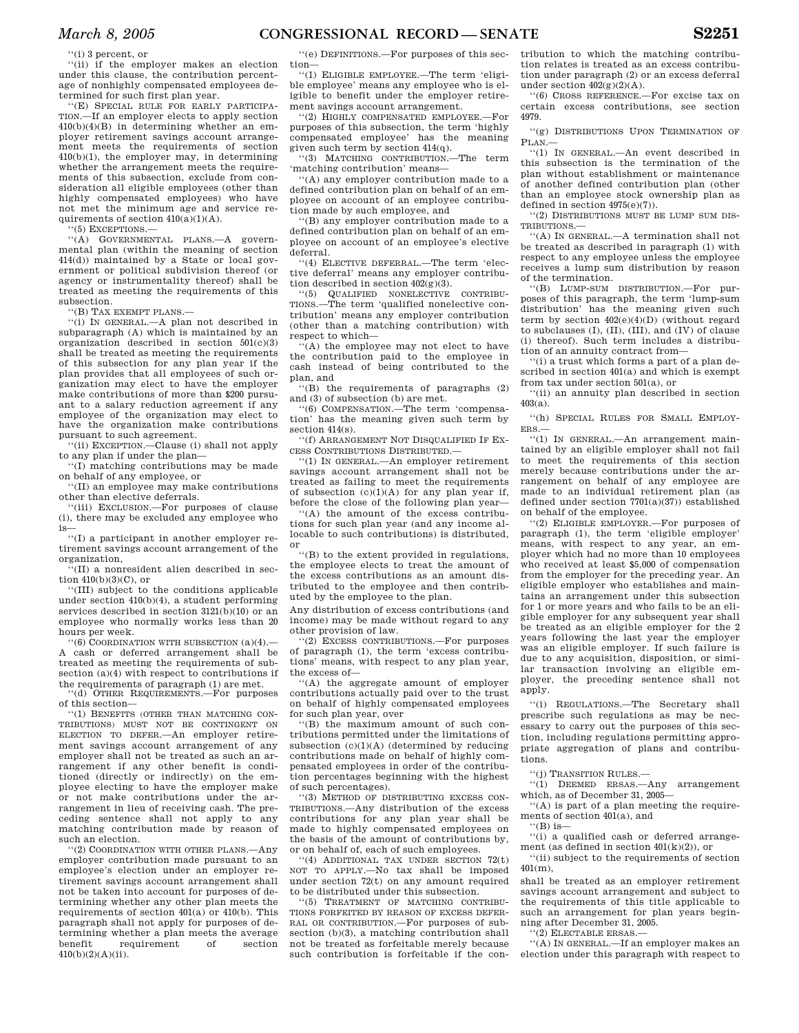''(i) 3 percent, or

''(ii) if the employer makes an election under this clause, the contribution percentage of nonhighly compensated employees determined for such first plan year.

''(E) SPECIAL RULE FOR EARLY PARTICIPA-TION.—If an employer elects to apply section 410(b)(4)(B) in determining whether an employer retirement savings account arrangement meets the requirements of section 410(b)(1), the employer may, in determining whether the arrangement meets the requirements of this subsection, exclude from consideration all eligible employees (other than highly compensated employees) who have not met the minimum age and service requirements of section  $410(a)(1)(A)$ .

''(5) EXCEPTIONS.—

''(A) GOVERNMENTAL PLANS.—A governmental plan (within the meaning of section 414(d)) maintained by a State or local government or political subdivision thereof (or agency or instrumentality thereof) shall be treated as meeting the requirements of this subsection.

''(B) TAX EXEMPT PLANS.—

''(i) IN GENERAL.—A plan not described in subparagraph (A) which is maintained by an organization described in section 501(c)(3) shall be treated as meeting the requirements of this subsection for any plan year if the plan provides that all employees of such organization may elect to have the employer make contributions of more than \$200 pursuant to a salary reduction agreement if any employee of the organization may elect to have the organization make contributions pursuant to such agreement.

''(ii) EXCEPTION.—Clause (i) shall not apply to any plan if under the plan—

''(I) matching contributions may be made on behalf of any employee, or

''(II) an employee may make contributions other than elective deferrals.

''(iii) EXCLUSION.—For purposes of clause (i), there may be excluded any employee who is—

''(I) a participant in another employer retirement savings account arrangement of the organization,

 $\cdot$ (II) a nonresident alien described in section  $\overrightarrow{410(b)(3)(C)}$ , or

''(III) subject to the conditions applicable under section 410(b)(4), a student performing services described in section 3121(b)(10) or an employee who normally works less than 20 hours per week.

''(6) COORDINATION WITH SUBSECTION (a)(4).— A cash or deferred arrangement shall be treated as meeting the requirements of subsection (a)(4) with respect to contributions if the requirements of paragraph (1) are met.

''(d) OTHER REQUIREMENTS.—For purposes of this section—

''(1) BENEFITS (OTHER THAN MATCHING CON-TRIBUTIONS) MUST NOT BE CONTINGENT ON ELECTION TO DEFER.—An employer retirement savings account arrangement of any employer shall not be treated as such an arrangement if any other benefit is conditioned (directly or indirectly) on the employee electing to have the employer make or not make contributions under the arrangement in lieu of receiving cash. The preceding sentence shall not apply to any matching contribution made by reason of such an election.

''(2) COORDINATION WITH OTHER PLANS.—Any employer contribution made pursuant to an employee's election under an employer retirement savings account arrangement shall not be taken into account for purposes of determining whether any other plan meets the requirements of section  $401(a)$  or  $410(b)$ . This paragraph shall not apply for purposes of determining whether a plan meets the average benefit requirement of section 410(b)(2)(A)(ii).

''(e) DEFINITIONS.—For purposes of this section—

''(1) ELIGIBLE EMPLOYEE.—The term 'eligible employee' means any employee who is eligible to benefit under the employer retirement savings account arrangement.

''(2) HIGHLY COMPENSATED EMPLOYEE.—For purposes of this subsection, the term 'highly compensated employee' has the meaning given such term by section 414(q).

''(3) MATCHING CONTRIBUTION.—The term 'matching contribution' means—

''(A) any employer contribution made to a defined contribution plan on behalf of an employee on account of an employee contribution made by such employee, and

''(B) any employer contribution made to a defined contribution plan on behalf of an employee on account of an employee's elective deferral.

''(4) ELECTIVE DEFERRAL.—The term 'elective deferral' means any employer contribution described in section  $402(g)(3)$ .

''(5) QUALIFIED NONELECTIVE CONTRIBU-TIONS.—The term 'qualified nonelective contribution' means any employer contribution (other than a matching contribution) with respect to which—

'(A) the employee may not elect to have the contribution paid to the employee in cash instead of being contributed to the plan, and

''(B) the requirements of paragraphs (2) and (3) of subsection (b) are met.

''(6) COMPENSATION.—The term 'compensation' has the meaning given such term by section 414(s).

''(f) ARRANGEMENT NOT DISQUALIFIED IF EX-CESS CONTRIBUTIONS DISTRIBUTED.—

''(1) IN GENERAL.—An employer retirement savings account arrangement shall not be treated as failing to meet the requirements of subsection  $(c)(1)(A)$  for any plan year if, before the close of the following plan year—

''(A) the amount of the excess contributions for such plan year (and any income allocable to such contributions) is distributed, or

''(B) to the extent provided in regulations, the employee elects to treat the amount of the excess contributions as an amount distributed to the employee and then contributed by the employee to the plan.

Any distribution of excess contributions (and income) may be made without regard to any other provision of law.

''(2) EXCESS CONTRIBUTIONS.—For purposes of paragraph (1), the term 'excess contributions' means, with respect to any plan year, the excess of—

'(A) the aggregate amount of employer contributions actually paid over to the trust on behalf of highly compensated employees for such plan year, over

''(B) the maximum amount of such contributions permitted under the limitations of subsection (c)(1)(A) (determined by reducing contributions made on behalf of highly compensated employees in order of the contribution percentages beginning with the highest of such percentages).

''(3) METHOD OF DISTRIBUTING EXCESS CON-TRIBUTIONS.—Any distribution of the excess contributions for any plan year shall be made to highly compensated employees on the basis of the amount of contributions by, or on behalf of, each of such employees.

''(4) ADDITIONAL TAX UNDER SECTION 72(t) NOT TO APPLY.—No tax shall be imposed under section 72(t) on any amount required to be distributed under this subsection.

''(5) TREATMENT OF MATCHING CONTRIBU-TIONS FORFEITED BY REASON OF EXCESS DEFER-RAL OR CONTRIBUTION.—For purposes of subsection (b)(3), a matching contribution shall not be treated as forfeitable merely because such contribution is forfeitable if the contribution to which the matching contribution relates is treated as an excess contribution under paragraph (2) or an excess deferral under section  $402(g)(2)(A)$ .

''(6) CROSS REFERENCE.—For excise tax on certain excess contributions, see section 4979.

''(g) DISTRIBUTIONS UPON TERMINATION OF  $P<sub>LAM</sub>$ 

''(1) IN GENERAL.—An event described in this subsection is the termination of the plan without establishment or maintenance of another defined contribution plan (other than an employee stock ownership plan as defined in section 4975(e)(7)).

''(2) DISTRIBUTIONS MUST BE LUMP SUM DIS-TRIBUTIONS-

''(A) IN GENERAL.—A termination shall not be treated as described in paragraph (1) with respect to any employee unless the employee receives a lump sum distribution by reason of the termination.

''(B) LUMP-SUM DISTRIBUTION.—For purposes of this paragraph, the term 'lump-sum distribution' has the meaning given such term by section  $402(e)(4)(D)$  (without regard to subclauses (I), (II), (III), and (IV) of clause (i) thereof). Such term includes a distribution of an annuity contract from—

''(i) a trust which forms a part of a plan described in section 401(a) and which is exempt from tax under section 501(a), or

''(ii) an annuity plan described in section 403(a).

''(h) SPECIAL RULES FOR SMALL EMPLOY-ERS.—

''(1) IN GENERAL.—An arrangement maintained by an eligible employer shall not fail to meet the requirements of this section merely because contributions under the arrangement on behalf of any employee are made to an individual retirement plan (as defined under section 7701(a)(37)) established on behalf of the employee.

''(2) ELIGIBLE EMPLOYER.—For purposes of paragraph (1), the term 'eligible employer' means, with respect to any year, an employer which had no more than 10 employees who received at least \$5,000 of compensation from the employer for the preceding year. An eligible employer who establishes and maintains an arrangement under this subsection for 1 or more years and who fails to be an eligible employer for any subsequent year shall be treated as an eligible employer for the 2 years following the last year the employer was an eligible employer. If such failure is due to any acquisition, disposition, or similar transaction involving an eligible employer, the preceding sentence shall not apply.

''(i) REGULATIONS.—The Secretary shall prescribe such regulations as may be necessary to carry out the purposes of this section, including regulations permitting appropriate aggregation of plans and contributions.

''(j) TRANSITION RULES.—

''(1) DEEMED ERSAS.—Any arrangement which, as of December 31, 2005—

''(A) is part of a plan meeting the requirements of section 401(a), and

 $\lq$ <sup>''</sup>(B) is-

''(i) a qualified cash or deferred arrangement (as defined in section  $401(k)(2)$ ), or

''(ii) subject to the requirements of section 401(m),

shall be treated as an employer retirement savings account arrangement and subject to the requirements of this title applicable to such an arrangement for plan years beginning after December 31, 2005.

''(2) ELECTABLE ERSAS.—

''(A) IN GENERAL.—If an employer makes an election under this paragraph with respect to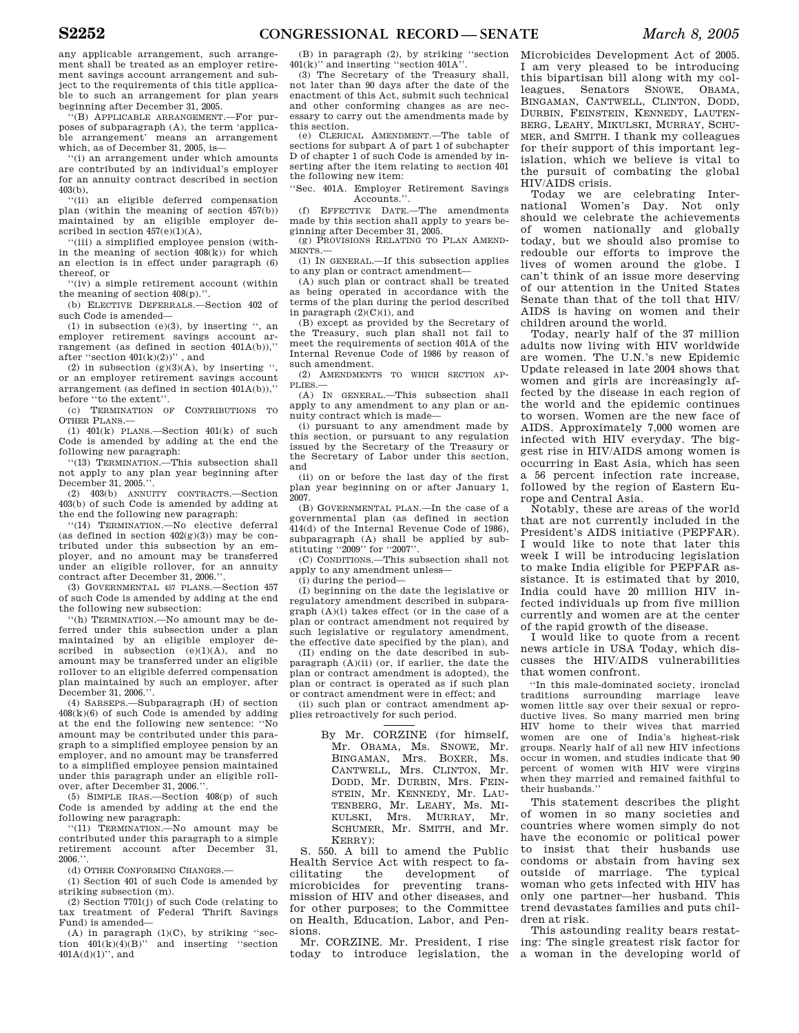any applicable arrangement, such arrangement shall be treated as an employer retirement savings account arrangement and subject to the requirements of this title applicable to such an arrangement for plan years beginning after December 31, 2005.

''(B) APPLICABLE ARRANGEMENT.—For purposes of subparagraph (A), the term 'applicable arrangement' means an arrangement which, as of December 31, 2005, is—

''(i) an arrangement under which amounts are contributed by an individual's employer for an annuity contract described in section  $403(b)$ .

''(ii) an eligible deferred compensation plan (within the meaning of section 457(b)) maintained by an eligible employer described in section  $457(e)(1)(A)$ ,

''(iii) a simplified employee pension (within the meaning of section  $408(k)$  for which an election is in effect under paragraph (6) thereof, or

''(iv) a simple retirement account (within the meaning of section 408(p).''.

(b) ELECTIVE DEFERRALS.—Section 402 of such Code is amended—

(1) in subsection (e)(3), by inserting '', an employer retirement savings account arrangement (as defined in section 401A(b)),'' after "section  $401(k)(2)$ ", and

(2) in subsection  $(g)(3)(A)$ , by inserting ", or an employer retirement savings account arrangement (as defined in section 401A(b)),'' before ''to the extent''.

(c) TERMINATION OF CONTRIBUTIONS TO OTHER PLANS.—

(1)  $401(k)$  PLANS.—Section  $401(k)$  of such Code is amended by adding at the end the following new paragraph:

''(13) TERMINATION.—This subsection shall not apply to any plan year beginning after December 31, 2005.

(2) 403(b) ANNUITY CONTRACTS.—Section 403(b) of such Code is amended by adding at the end the following new paragraph:

''(14) TERMINATION.—No elective deferral (as defined in section  $402(g)(3)$ ) may be contributed under this subsection by an employer, and no amount may be transferred under an eligible rollover, for an annuity contract after December 31, 2006.'

(3) GOVERNMENTAL 457 PLANS.—Section 457 of such Code is amended by adding at the end the following new subsection:

''(h) TERMINATION.—No amount may be deferred under this subsection under a plan maintained by an eligible employer described in subsection  $(e)(1)(A)$ , and no amount may be transferred under an eligible rollover to an eligible deferred compensation plan maintained by such an employer, after December 31, 2006.'

(4) SARSEPS.—Subparagraph (H) of section  $408(k)(6)$  of such Code is amended by adding at the end the following new sentence: ''No amount may be contributed under this paragraph to a simplified employee pension by an employer, and no amount may be transferred to a simplified employee pension maintained under this paragraph under an eligible rollover, after December 31, 2006.

(5) SIMPLE IRAS.—Section 408(p) of such Code is amended by adding at the end the following new paragraph:

''(11) TERMINATION.—No amount may be contributed under this paragraph to a simple retirement account after December 31,  $2006$ 

(d) OTHER CONFORMING CHANGES.—

(1) Section 401 of such Code is amended by striking subsection (m).

(2) Section 7701(j) of such Code (relating to tax treatment of Federal Thrift Savings Fund) is amended—

 $(A)$  in paragraph  $(1)(C)$ , by striking "section  $401(k)(4)(B)$ " and inserting "section  $401A(d)(1)$ ", and

(B) in paragraph (2), by striking ''section 401(k)'' and inserting ''section 401A''.

(3) The Secretary of the Treasury shall, not later than 90 days after the date of the enactment of this Act, submit such technical and other conforming changes as are necessary to carry out the amendments made by this section.

(e) CLERICAL AMENDMENT.—The table of sections for subpart A of part 1 of subchapter D of chapter 1 of such Code is amended by inserting after the item relating to section 401 the following new item:

''Sec. 401A. Employer Retirement Savings Accounts.''.

(f) EFFECTIVE DATE.—The amendments made by this section shall apply to years beginning after December 31, 2005.

(g) PROVISIONS RELATING TO PLAN AMEND-MENTS.—

(1) IN GENERAL.—If this subsection applies to any plan or contract amendment—

(A) such plan or contract shall be treated as being operated in accordance with the terms of the plan during the period described in paragraph  $(2)(C)(i)$ , and

(B) except as provided by the Secretary of the Treasury, such plan shall not fail to meet the requirements of section 401A of the Internal Revenue Code of 1986 by reason of such amendment.

(2) AMENDMENTS TO WHICH SECTION AP-PLIES.—

(A) IN GENERAL.—This subsection shall apply to any amendment to any plan or annuity contract which is made—

(i) pursuant to any amendment made by this section, or pursuant to any regulation issued by the Secretary of the Treasury or the Secretary of Labor under this section, and

(ii) on or before the last day of the first plan year beginning on or after January 1, 2007.

(B) GOVERNMENTAL PLAN.—In the case of a governmental plan (as defined in section 414(d) of the Internal Revenue Code of 1986), subparagraph (A) shall be applied by sub-stituting ''2009'' for ''2007''.

(C) CONDITIONS.—This subsection shall not apply to any amendment unless—

(i) during the period—

(I) beginning on the date the legislative or regulatory amendment described in subparagraph (A)(i) takes effect (or in the case of a plan or contract amendment not required by such legislative or regulatory amendment, the effective date specified by the plan), and

(II) ending on the date described in sub- $\text{parameter}(\mathbf{A})(\text{ii})$  (or, if earlier, the date the plan or contract amendment is adopted), the plan or contract is operated as if such plan or contract amendment were in effect; and

(ii) such plan or contract amendment applies retroactively for such period.

> By Mr. CORZINE (for himself, Mr. OBAMA, Ms. SNOWE, Mr. BINGAMAN, Mrs. BOXER, Ms. CANTWELL, Mrs. CLINTON, Mr. DODD, Mr. DURBIN, Mrs. FEIN-STEIN, Mr. KENNEDY, Mr. LAU-TENBERG, Mr. LEAHY, Ms. MI-KULSKI, Mrs. MURRAY, Mr. SCHUMER, Mr. SMITH, and Mr. KERRY):

S. 550. A bill to amend the Public Health Service Act with respect to facilitating the development of microbicides for preventing transmission of HIV and other diseases, and for other purposes; to the Committee on Health, Education, Labor, and Pensions.

Mr. CORZINE. Mr. President, I rise today to introduce legislation, the a woman in the developing world of

Microbicides Development Act of 2005. I am very pleased to be introducing this bipartisan bill along with my colleagues, Senators SNOWE, OBAMA, BINGAMAN, CANTWELL, CLINTON, DODD, DURBIN, FEINSTEIN, KENNEDY, LAUTEN-BERG, LEAHY, MIKULSKI, MURRAY, SCHU-MER, and SMITH. I thank my colleagues for their support of this important legislation, which we believe is vital to the pursuit of combating the global HIV/AIDS crisis.

Today we are celebrating International Women's Day. Not only should we celebrate the achievements of women nationally and globally today, but we should also promise to redouble our efforts to improve the lives of women around the globe. I can't think of an issue more deserving of our attention in the United States Senate than that of the toll that HIV/ AIDS is having on women and their children around the world.

Today, nearly half of the 37 million adults now living with HIV worldwide are women. The U.N.'s new Epidemic Update released in late 2004 shows that women and girls are increasingly affected by the disease in each region of the world and the epidemic continues to worsen. Women are the new face of AIDS. Approximately 7,000 women are infected with HIV everyday. The biggest rise in HIV/AIDS among women is occurring in East Asia, which has seen a 56 percent infection rate increase, followed by the region of Eastern Europe and Central Asia.

Notably, these are areas of the world that are not currently included in the President's AIDS initiative (PEPFAR). I would like to note that later this week I will be introducing legislation to make India eligible for PEPFAR assistance. It is estimated that by 2010, India could have 20 million HIV infected individuals up from five million currently and women are at the center of the rapid growth of the disease.

I would like to quote from a recent news article in USA Today, which discusses the HIV/AIDS vulnerabilities that women confront.

''In this male-dominated society, ironclad traditions surrounding marriage leave women little say over their sexual or reproductive lives. So many married men bring HIV home to their wives that married women are one of India's highest-risk groups. Nearly half of all new HIV infections occur in women, and studies indicate that 90 percent of women with HIV were virgins when they married and remained faithful to their husbands.''

This statement describes the plight of women in so many societies and countries where women simply do not have the economic or political power to insist that their husbands use condoms or abstain from having sex outside of marriage. The typical woman who gets infected with HIV has only one partner—her husband. This trend devastates families and puts children at risk.

This astounding reality bears restating: The single greatest risk factor for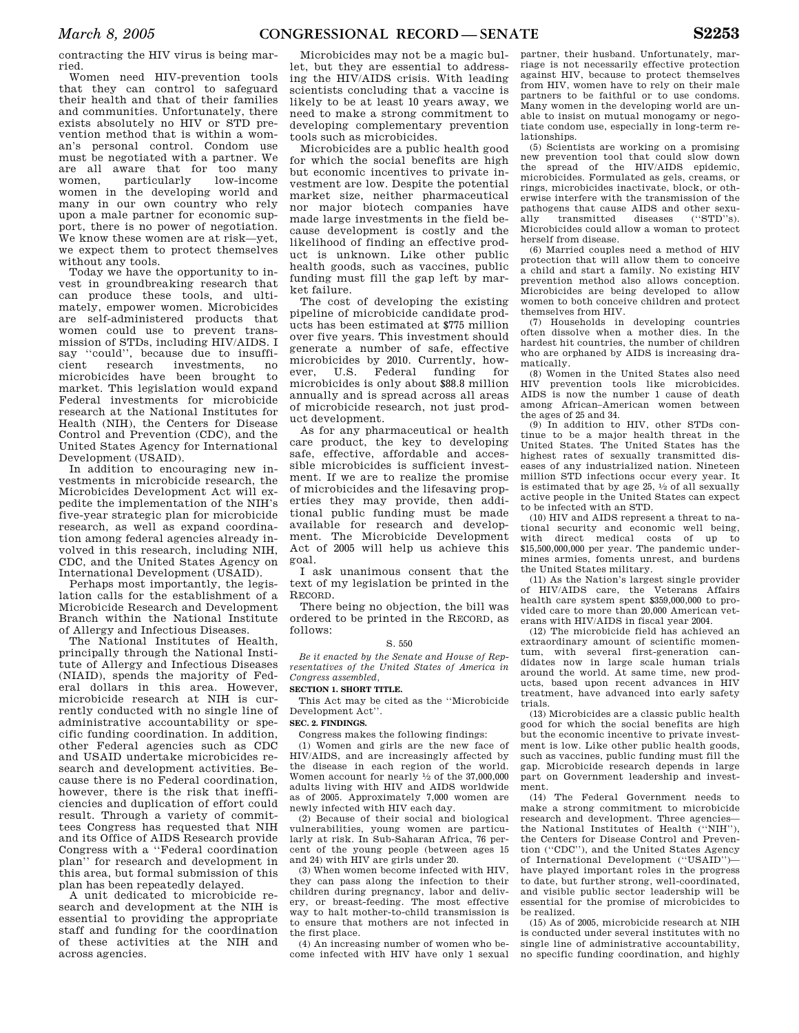contracting the HIV virus is being married.

Women need HIV-prevention tools that they can control to safeguard their health and that of their families and communities. Unfortunately, there exists absolutely no HIV or STD prevention method that is within a woman's personal control. Condom use must be negotiated with a partner. We are all aware that for too many<br>women, particularly low-income particularly women in the developing world and many in our own country who rely upon a male partner for economic support, there is no power of negotiation. We know these women are at risk—yet, we expect them to protect themselves without any tools.

Today we have the opportunity to invest in groundbreaking research that can produce these tools, and ultimately, empower women. Microbicides are self-administered products that women could use to prevent transmission of STDs, including HIV/AIDS. I say ''could'', because due to insuffiinvestments, microbicides have been brought to market. This legislation would expand Federal investments for microbicide research at the National Institutes for Health (NIH), the Centers for Disease Control and Prevention (CDC), and the United States Agency for International Development (USAID).

In addition to encouraging new investments in microbicide research, the Microbicides Development Act will expedite the implementation of the NIH's five-year strategic plan for microbicide research, as well as expand coordination among federal agencies already involved in this research, including NIH, CDC, and the United States Agency on International Development (USAID).

Perhaps most importantly, the legislation calls for the establishment of a Microbicide Research and Development Branch within the National Institute of Allergy and Infectious Diseases.

The National Institutes of Health, principally through the National Institute of Allergy and Infectious Diseases (NIAID), spends the majority of Federal dollars in this area. However, microbicide research at NIH is currently conducted with no single line of administrative accountability or specific funding coordination. In addition, other Federal agencies such as CDC and USAID undertake microbicides research and development activities. Because there is no Federal coordination, however, there is the risk that inefficiencies and duplication of effort could result. Through a variety of committees Congress has requested that NIH and its Office of AIDS Research provide Congress with a ''Federal coordination plan'' for research and development in this area, but formal submission of this plan has been repeatedly delayed.

A unit dedicated to microbicide research and development at the NIH is essential to providing the appropriate staff and funding for the coordination of these activities at the NIH and across agencies.

Microbicides may not be a magic bullet, but they are essential to addressing the HIV/AIDS crisis. With leading scientists concluding that a vaccine is likely to be at least 10 years away, we need to make a strong commitment to developing complementary prevention tools such as microbicides.

Microbicides are a public health good for which the social benefits are high but economic incentives to private investment are low. Despite the potential market size, neither pharmaceutical nor major biotech companies have made large investments in the field because development is costly and the likelihood of finding an effective product is unknown. Like other public health goods, such as vaccines, public funding must fill the gap left by market failure.

The cost of developing the existing pipeline of microbicide candidate products has been estimated at \$775 million over five years. This investment should generate a number of safe, effective microbicides by 2010. Currently, however, U.S. Federal funding for microbicides is only about \$88.8 million annually and is spread across all areas of microbicide research, not just product development.

As for any pharmaceutical or health care product, the key to developing safe, effective, affordable and accessible microbicides is sufficient investment. If we are to realize the promise of microbicides and the lifesaving properties they may provide, then additional public funding must be made available for research and development. The Microbicide Development Act of 2005 will help us achieve this goal.

I ask unanimous consent that the text of my legislation be printed in the RECORD.

There being no objection, the bill was ordered to be printed in the RECORD, as follows:

#### S. 550

*Be it enacted by the Senate and House of Representatives of the United States of America in Congress assembled,* 

## **SECTION 1. SHORT TITLE.**

This Act may be cited as the ''Microbicide Development Act''.

## **SEC. 2. FINDINGS.**

Congress makes the following findings:

(1) Women and girls are the new face of HIV/AIDS, and are increasingly affected by the disease in each region of the world. Women account for nearly  $\frac{1}{2}$  of the 37,000,000 adults living with HIV and AIDS worldwide as of 2005. Approximately 7,000 women are newly infected with HIV each day.

(2) Because of their social and biological vulnerabilities, young women are particularly at risk. In Sub-Saharan Africa, 76 percent of the young people (between ages 15 and 24) with HIV are girls under 20.

(3) When women become infected with HIV, they can pass along the infection to their children during pregnancy, labor and delivery, or breast-feeding. The most effective way to halt mother-to-child transmission is to ensure that mothers are not infected in the first place.

(4) An increasing number of women who become infected with HIV have only 1 sexual partner, their husband. Unfortunately, marriage is not necessarily effective protection against HIV, because to protect themselves from HIV, women have to rely on their male partners to be faithful or to use condoms. Many women in the developing world are unable to insist on mutual monogamy or negotiate condom use, especially in long-term relationships.

(5) Scientists are working on a promising new prevention tool that could slow down the spread of the HIV/AIDS epidemic, microbicides. Formulated as gels, creams, or rings, microbicides inactivate, block, or otherwise interfere with the transmission of the pathogens that cause AIDS and other sexually transmitted diseases (''STD''s). Microbicides could allow a woman to protect herself from disease.

(6) Married couples need a method of HIV protection that will allow them to conceive a child and start a family. No existing HIV prevention method also allows conception. Microbicides are being developed to allow women to both conceive children and protect themselves from HIV.

(7) Households in developing countries often dissolve when a mother dies. In the hardest hit countries, the number of children who are orphaned by AIDS is increasing dramatically.

(8) Women in the United States also need HIV prevention tools like microbicides. AIDS is now the number 1 cause of death among African–American women between the ages of 25 and 34.

(9) In addition to HIV, other STDs continue to be a major health threat in the United States. The United States has the highest rates of sexually transmitted diseases of any industrialized nation. Nineteen million STD infections occur every year. It is estimated that by age 25, 1⁄2 of all sexually active people in the United States can expect to be infected with an STD.

(10) HIV and AIDS represent a threat to national security and economic well being, with direct medical costs of up to \$15,500,000,000 per year. The pandemic undermines armies, foments unrest, and burdens the United States military.

(11) As the Nation's largest single provider of HIV/AIDS care, the Veterans Affairs health care system spent \$359,000,000 to provided care to more than 20,000 American veterans with HIV/AIDS in fiscal year 2004.

(12) The microbicide field has achieved an extraordinary amount of scientific momentum, with several first-generation candidates now in large scale human trials around the world. At same time, new products, based upon recent advances in HIV treatment, have advanced into early safety trials.

(13) Microbicides are a classic public health good for which the social benefits are high but the economic incentive to private investment is low. Like other public health goods, such as vaccines, public funding must fill the gap. Microbicide research depends in large part on Government leadership and investment.

(14) The Federal Government needs to make a strong commitment to microbicide research and development. Three agencies the National Institutes of Health (''NIH''), the Centers for Disease Control and Prevention (''CDC''), and the United States Agency of International Development (''USAID'') have played important roles in the progress to date, but further strong, well-coordinated, and visible public sector leadership will be essential for the promise of microbicides to be realized.

(15) As of 2005, microbicide research at NIH is conducted under several institutes with no single line of administrative accountability, no specific funding coordination, and highly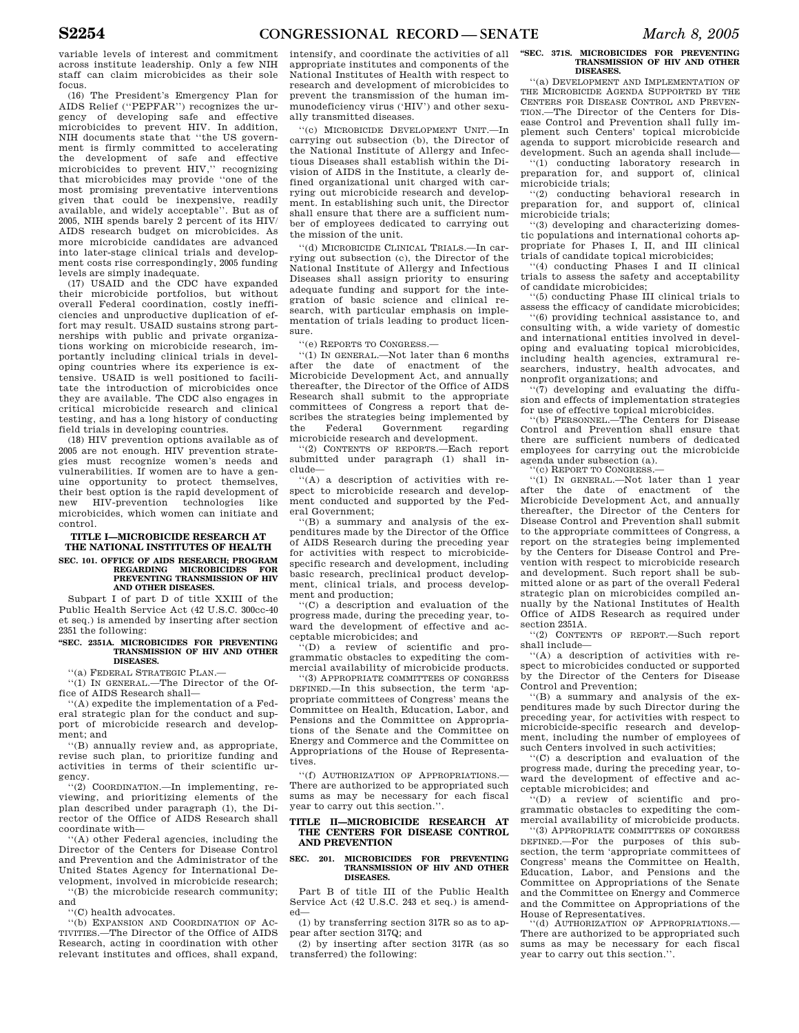variable levels of interest and commitment across institute leadership. Only a few NIH staff can claim microbicides as their sole focus.

(16) The President's Emergency Plan for AIDS Relief (''PEPFAR'') recognizes the urgency of developing safe and effective microbicides to prevent HIV. In addition, NIH documents state that ''the US government is firmly committed to accelerating the development of safe and effective microbicides to prevent HIV,'' recognizing that microbicides may provide ''one of the most promising preventative interventions given that could be inexpensive, readily available, and widely acceptable''. But as of 2005, NIH spends barely 2 percent of its HIV/ AIDS research budget on microbicides. As more microbicide candidates are advanced into later-stage clinical trials and development costs rise correspondingly, 2005 funding levels are simply inadequate.

(17) USAID and the CDC have expanded their microbicide portfolios, but without overall Federal coordination, costly inefficiencies and unproductive duplication of effort may result. USAID sustains strong partnerships with public and private organizations working on microbicide research, importantly including clinical trials in developing countries where its experience is extensive. USAID is well positioned to facilitate the introduction of microbicides once they are available. The CDC also engages in critical microbicide research and clinical testing, and has a long history of conducting field trials in developing countries.

(18) HIV prevention options available as of 2005 are not enough. HIV prevention strategies must recognize women's needs and vulnerabilities. If women are to have a genuine opportunity to protect themselves, their best option is the rapid development of<br>new HIV-prevention technologies like HIV-prevention technologies like microbicides, which women can initiate and control.

## **TITLE I—MICROBICIDE RESEARCH AT THE NATIONAL INSTITUTES OF HEALTH**

**SEC. 101. OFFICE OF AIDS RESEARCH; PROGRAM REGARDING MICROBICIDES FOR PREVENTING TRANSMISSION OF HIV AND OTHER DISEASES.** 

Subpart I of part D of title XXIII of the Public Health Service Act (42 U.S.C. 300cc-40 et seq.) is amended by inserting after section 2351 the following:

#### **''SEC. 2351A. MICROBICIDES FOR PREVENTING TRANSMISSION OF HIV AND OTHER DISEASES.**

''(a) FEDERAL STRATEGIC PLAN.—

''(1) IN GENERAL.—The Director of the Office of AIDS Research shall—

''(A) expedite the implementation of a Federal strategic plan for the conduct and support of microbicide research and development; and

''(B) annually review and, as appropriate, revise such plan, to prioritize funding and activities in terms of their scientific urgency.

''(2) COORDINATION.—In implementing, reviewing, and prioritizing elements of the plan described under paragraph (1), the Director of the Office of AIDS Research shall coordinate with—

''(A) other Federal agencies, including the Director of the Centers for Disease Control and Prevention and the Administrator of the United States Agency for International Development, involved in microbicide research;

''(B) the microbicide research community; and

''(C) health advocates.

''(b) EXPANSION AND COORDINATION OF AC-TIVITIES.—The Director of the Office of AIDS Research, acting in coordination with other relevant institutes and offices, shall expand, intensify, and coordinate the activities of all appropriate institutes and components of the National Institutes of Health with respect to research and development of microbicides to prevent the transmission of the human immunodeficiency virus ('HIV') and other sexually transmitted diseases.

''(c) MICROBICIDE DEVELOPMENT UNIT.—In carrying out subsection (b), the Director of the National Institute of Allergy and Infectious Diseases shall establish within the Division of AIDS in the Institute, a clearly defined organizational unit charged with carrying out microbicide research and development. In establishing such unit, the Director shall ensure that there are a sufficient number of employees dedicated to carrying out the mission of the unit.

''(d) MICROBICIDE CLINICAL TRIALS.—In carrying out subsection (c), the Director of the National Institute of Allergy and Infectious Diseases shall assign priority to ensuring adequate funding and support for the integration of basic science and clinical research, with particular emphasis on implementation of trials leading to product licensure.

''(e) REPORTS TO CONGRESS.—

''(1) IN GENERAL.—Not later than 6 months the date of enactment of the Microbicide Development Act, and annually thereafter, the Director of the Office of AIDS Research shall submit to the appropriate committees of Congress a report that describes the strategies being implemented by<br>the Federal Government regarding the Federal Government regarding microbicide research and development.

''(2) CONTENTS OF REPORTS.—Each report submitted under paragraph (1) shall include—

''(A) a description of activities with respect to microbicide research and development conducted and supported by the Federal Government;

''(B) a summary and analysis of the expenditures made by the Director of the Office of AIDS Research during the preceding year for activities with respect to microbicidespecific research and development, including basic research, preclinical product development, clinical trials, and process development and production;

''(C) a description and evaluation of the progress made, during the preceding year, toward the development of effective and acceptable microbicides; and

''(D) a review of scientific and programmatic obstacles to expediting the commercial availability of microbicide products.

''(3) APPROPRIATE COMMITTEES OF CONGRESS DEFINED.—In this subsection, the term 'appropriate committees of Congress' means the Committee on Health, Education, Labor, and Pensions and the Committee on Appropriations of the Senate and the Committee on Energy and Commerce and the Committee on Appropriations of the House of Representatives.

''(f) AUTHORIZATION OF APPROPRIATIONS.— There are authorized to be appropriated such sums as may be necessary for each fiscal year to carry out this section.''.

#### **TITLE II—MICROBICIDE RESEARCH AT THE CENTERS FOR DISEASE CONTROL AND PREVENTION**

#### **SEC. 201. MICROBICIDES FOR PREVENTING TRANSMISSION OF HIV AND OTHER DISEASES.**

Part B of title III of the Public Health Service Act (42 U.S.C. 243 et seq.) is amended—

(1) by transferring section 317R so as to appear after section 317Q; and

(2) by inserting after section 317R (as so transferred) the following:

#### **''SEC. 371S. MICROBICIDES FOR PREVENTING TRANSMISSION OF HIV AND OTHER DISEASES.**

''(a) DEVELOPMENT AND IMPLEMENTATION OF THE MICROBICIDE AGENDA SUPPORTED BY THE CENTERS FOR DISEASE CONTROL AND PREVEN-TION.—The Director of the Centers for Disease Control and Prevention shall fully implement such Centers' topical microbicide agenda to support microbicide research and development. Such an agenda shall include—

''(1) conducting laboratory research in preparation for, and support of, clinical microbicide trials;

''(2) conducting behavioral research in preparation for, and support of, clinical microbicide trials;

''(3) developing and characterizing domestic populations and international cohorts appropriate for Phases I, II, and III clinical trials of candidate topical microbicides;

''(4) conducting Phases I and II clinical trials to assess the safety and acceptability of candidate microbicides;

''(5) conducting Phase III clinical trials to assess the efficacy of candidate microbicides;

''(6) providing technical assistance to, and consulting with, a wide variety of domestic and international entities involved in developing and evaluating topical microbicides, including health agencies, extramural researchers, industry, health advocates, and nonprofit organizations; and

''(7) developing and evaluating the diffusion and effects of implementation strategies for use of effective topical microbicides.

(b) PERSONNEL.—The Centers for Disease Control and Prevention shall ensure that there are sufficient numbers of dedicated employees for carrying out the microbicide agenda under subsection (a).

''(c) REPORT TO CONGRESS.—

''(1) IN GENERAL.—Not later than 1 year after the date of enactment of the Microbicide Development Act, and annually thereafter, the Director of the Centers for Disease Control and Prevention shall submit to the appropriate committees of Congress, a report on the strategies being implemented by the Centers for Disease Control and Prevention with respect to microbicide research and development. Such report shall be submitted alone or as part of the overall Federal strategic plan on microbicides compiled annually by the National Institutes of Health Office of AIDS Research as required under section 2351A.

''(2) CONTENTS OF REPORT.—Such report shall include—

''(A) a description of activities with respect to microbicides conducted or supported by the Director of the Centers for Disease Control and Prevention;

''(B) a summary and analysis of the expenditures made by such Director during the preceding year, for activities with respect to microbicide-specific research and development, including the number of employees of such Centers involved in such activities;

''(C) a description and evaluation of the progress made, during the preceding year, toward the development of effective and acceptable microbicides; and

''(D) a review of scientific and programmatic obstacles to expediting the commercial availability of microbicide products.

''(3) APPROPRIATE COMMITTEES OF CONGRESS DEFINED.—For the purposes of this subsection, the term 'appropriate committees of Congress' means the Committee on Health, Education, Labor, and Pensions and the Committee on Appropriations of the Senate and the Committee on Energy and Commerce and the Committee on Appropriations of the House of Representatives.

(d) AUTHORIZATION OF APPROPRIATIONS. There are authorized to be appropriated such sums as may be necessary for each fiscal year to carry out this section.''.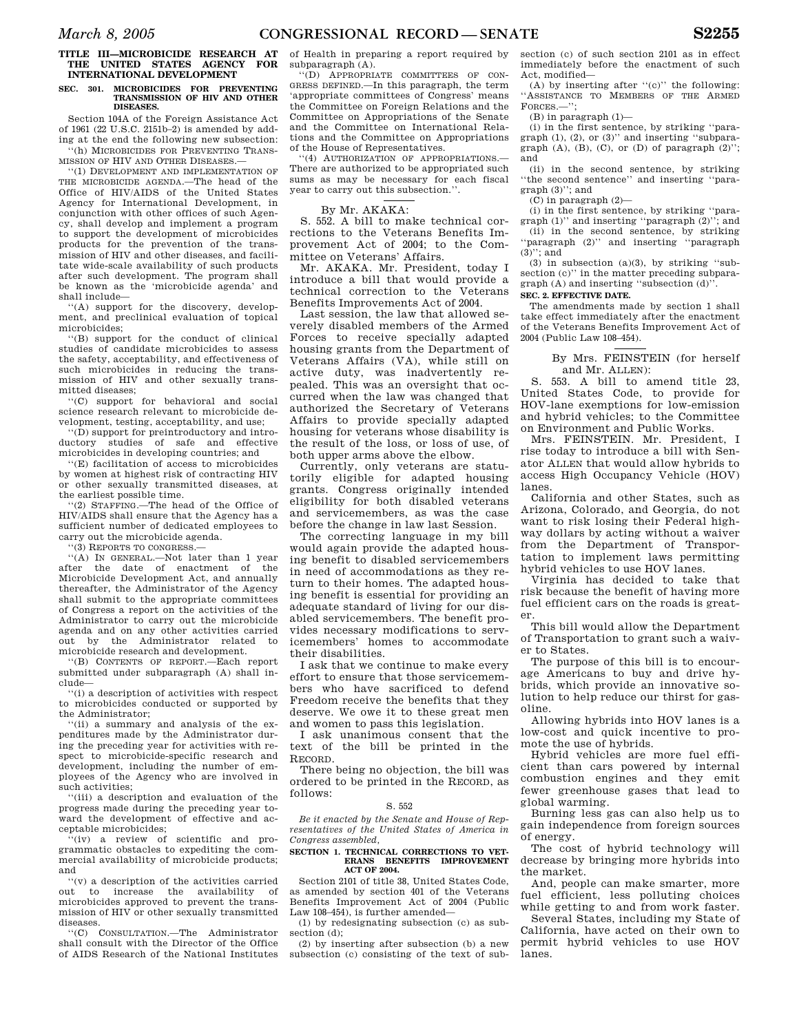## **TITLE III—MICROBICIDE RESEARCH AT THE UNITED STATES AGENCY FOR INTERNATIONAL DEVELOPMENT**

## **SEC. 301. MICROBICIDES FOR PREVENTING TRANSMISSION OF HIV AND OTHER DISEASES.**

Section 104A of the Foreign Assistance Act of 1961 (22 U.S.C. 2151b–2) is amended by adding at the end the following new subsection: ''(h) MICROBICIDES FOR PREVENTING TRANS-

MISSION OF HIV AND OTHER DISEASES.—

''(1) DEVELOPMENT AND IMPLEMENTATION OF THE MICROBICIDE AGENDA.—The head of the Office of HIV/AIDS of the United States Agency for International Development, in conjunction with other offices of such Agency, shall develop and implement a program to support the development of microbicides products for the prevention of the transmission of HIV and other diseases, and facilitate wide-scale availability of such products after such development. The program shall be known as the 'microbicide agenda' and shall include—

''(A) support for the discovery, development, and preclinical evaluation of topical microbicides;

''(B) support for the conduct of clinical studies of candidate microbicides to assess the safety, acceptability, and effectiveness of such microbicides in reducing the transmission of HIV and other sexually transmitted diseases;

''(C) support for behavioral and social science research relevant to microbicide development, testing, acceptability, and use;

''(D) support for preintroductory and introductory studies of safe and effective microbicides in developing countries; and

''(E) facilitation of access to microbicides by women at highest risk of contracting HIV or other sexually transmitted diseases, at the earliest possible time.

''(2) STAFFING.—The head of the Office of HIV/AIDS shall ensure that the Agency has a sufficient number of dedicated employees to carry out the microbicide agenda.

''(3) REPORTS TO CONGRESS.—

''(A) IN GENERAL.—Not later than 1 year after the date of enactment of the Microbicide Development Act, and annually thereafter, the Administrator of the Agency shall submit to the appropriate committees of Congress a report on the activities of the Administrator to carry out the microbicide agenda and on any other activities carried out by the Administrator related to microbicide research and development.

''(B) CONTENTS OF REPORT.—Each report submitted under subparagraph (A) shall include—

''(i) a description of activities with respect to microbicides conducted or supported by the Administrator;

''(ii) a summary and analysis of the expenditures made by the Administrator during the preceding year for activities with respect to microbicide-specific research and development, including the number of employees of the Agency who are involved in such activities;

''(iii) a description and evaluation of the progress made during the preceding year toward the development of effective and acceptable microbicides;

'(iv) a review of scientific and programmatic obstacles to expediting the commercial availability of microbicide products; and

''(v) a description of the activities carried out to increase the availability of microbicides approved to prevent the transmission of HIV or other sexually transmitted diseases.<br> $\cdot \cdot \cdot$  (C) (

''(C) CONSULTATION.—The Administrator shall consult with the Director of the Office of AIDS Research of the National Institutes

of Health in preparing a report required by subparagraph (A).

''(D) APPROPRIATE COMMITTEES OF CON-GRESS DEFINED.—In this paragraph, the term 'appropriate committees of Congress' means the Committee on Foreign Relations and the Committee on Appropriations of the Senate and the Committee on International Relations and the Committee on Appropriations of the House of Representatives.

''(4) AUTHORIZATION OF APPROPRIATIONS.— There are authorized to be appropriated such sums as may be necessary for each fiscal year to carry out this subsection."

By Mr. AKAKA:

S. 552. A bill to make technical corrections to the Veterans Benefits Improvement Act of 2004; to the Committee on Veterans' Affairs.

Mr. AKAKA. Mr. President, today I introduce a bill that would provide a technical correction to the Veterans Benefits Improvements Act of 2004.

Last session, the law that allowed severely disabled members of the Armed Forces to receive specially adapted housing grants from the Department of Veterans Affairs (VA), while still on active duty, was inadvertently repealed. This was an oversight that occurred when the law was changed that authorized the Secretary of Veterans Affairs to provide specially adapted housing for veterans whose disability is the result of the loss, or loss of use, of both upper arms above the elbow.

Currently, only veterans are statutorily eligible for adapted housing grants. Congress originally intended eligibility for both disabled veterans and servicemembers, as was the case before the change in law last Session.

The correcting language in my bill would again provide the adapted housing benefit to disabled servicemembers in need of accommodations as they return to their homes. The adapted housing benefit is essential for providing an adequate standard of living for our disabled servicemembers. The benefit provides necessary modifications to servicemembers' homes to accommodate their disabilities.

I ask that we continue to make every effort to ensure that those servicemembers who have sacrificed to defend Freedom receive the benefits that they deserve. We owe it to these great men and women to pass this legislation.

I ask unanimous consent that the text of the bill be printed in the RECORD.

There being no objection, the bill was ordered to be printed in the RECORD, as follows:

#### S. 552

*Be it enacted by the Senate and House of Representatives of the United States of America in Congress assembled,* 

## **SECTION 1. TECHNICAL CORRECTIONS TO VET-ERANS BENEFITS IMPROVEMENT ACT OF 2004.**

Section 2101 of title 38, United States Code, as amended by section 401 of the Veterans Benefits Improvement Act of 2004 (Public Law 108–454), is further amended—

(1) by redesignating subsection (c) as subsection (d):

(2) by inserting after subsection (b) a new subsection (c) consisting of the text of subsection (c) of such section 2101 as in effect immediately before the enactment of such Act, modified—

(A) by inserting after  $((c))$  the following: ''ASSISTANCE TO MEMBERS OF THE ARMED FORCES.—'';

(B) in paragraph (1)—

(i) in the first sentence, by striking ''paragraph (1), (2), or (3)'' and inserting ''subparagraph  $(A)$ ,  $(B)$ ,  $(C)$ , or  $(D)$  of paragraph  $(2)$ "; and

(ii) in the second sentence, by striking ''the second sentence'' and inserting ''paragraph (3)''; and

 $(C)$  in paragraph  $(2)$ —

(i) in the first sentence, by striking "para-<br>ranh  $(1)$ " and inserting "paragraph  $(2)$ " and graph  $(1)$ " and inserting "paragraph  $(2)$ "

(ii) in the second sentence, by striking 'paragraph (2)" and inserting "paragraph (3)''; and

 $(3)$  in subsection  $(a)(3)$ , by striking "subsection (c)'' in the matter preceding subparagraph (A) and inserting ''subsection (d)''.

## **SEC. 2. EFFECTIVE DATE.**

The amendments made by section 1 shall take effect immediately after the enactment of the Veterans Benefits Improvement Act of 2004 (Public Law 108–454).

> By Mrs. FEINSTEIN (for herself and Mr. ALLEN):

S. 553. A bill to amend title 23, United States Code, to provide for HOV-lane exemptions for low-emission and hybrid vehicles; to the Committee on Environment and Public Works.

Mrs. FEINSTEIN. Mr. President, I rise today to introduce a bill with Senator ALLEN that would allow hybrids to access High Occupancy Vehicle (HOV) lanes.

California and other States, such as Arizona, Colorado, and Georgia, do not want to risk losing their Federal highway dollars by acting without a waiver from the Department of Transportation to implement laws permitting hybrid vehicles to use HOV lanes.

Virginia has decided to take that risk because the benefit of having more fuel efficient cars on the roads is greater.

This bill would allow the Department of Transportation to grant such a waiver to States.

The purpose of this bill is to encourage Americans to buy and drive hybrids, which provide an innovative solution to help reduce our thirst for gasoline.

Allowing hybrids into HOV lanes is a low-cost and quick incentive to promote the use of hybrids.

Hybrid vehicles are more fuel efficient than cars powered by internal combustion engines and they emit fewer greenhouse gases that lead to global warming.

Burning less gas can also help us to gain independence from foreign sources of energy.

The cost of hybrid technology will decrease by bringing more hybrids into the market.

And, people can make smarter, more fuel efficient, less polluting choices while getting to and from work faster.

Several States, including my State of California, have acted on their own to permit hybrid vehicles to use HOV lanes.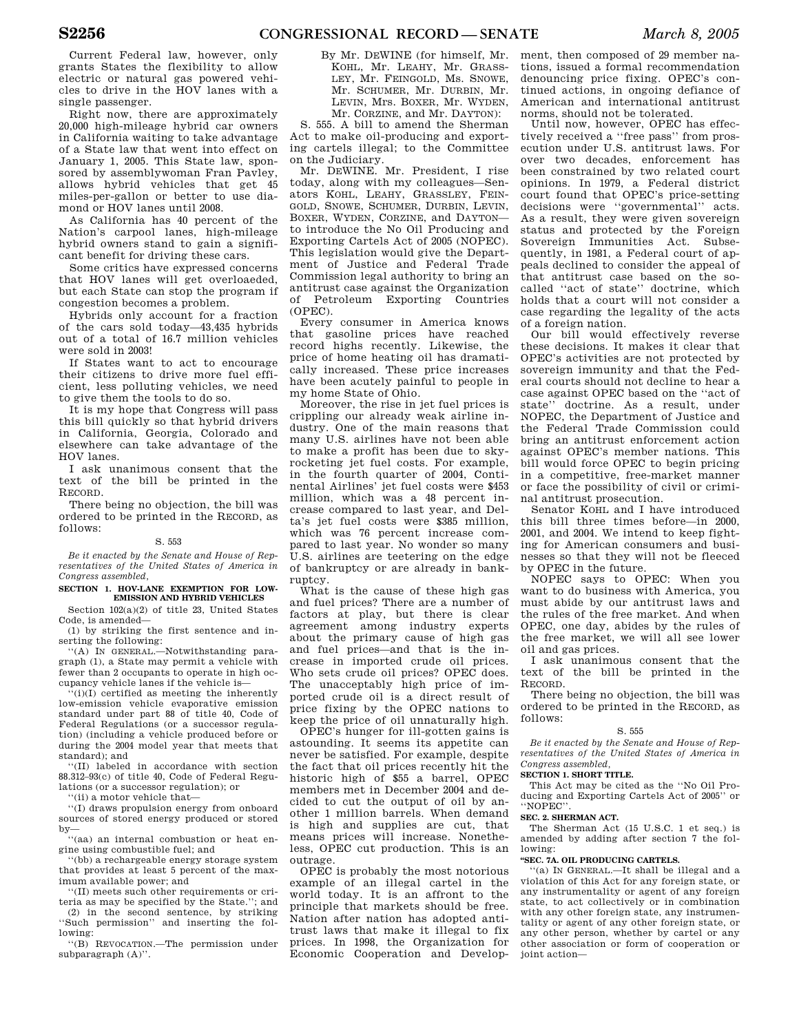Current Federal law, however, only grants States the flexibility to allow electric or natural gas powered vehicles to drive in the HOV lanes with a single passenger.

Right now, there are approximately 20,000 high-mileage hybrid car owners in California waiting to take advantage of a State law that went into effect on January 1, 2005. This State law, sponsored by assemblywoman Fran Pavley, allows hybrid vehicles that get 45 miles-per-gallon or better to use diamond or HOV lanes until 2008.

As California has 40 percent of the Nation's carpool lanes, high-mileage hybrid owners stand to gain a significant benefit for driving these cars.

Some critics have expressed concerns that HOV lanes will get overloaeded, but each State can stop the program if congestion becomes a problem.

Hybrids only account for a fraction of the cars sold today—43,435 hybrids out of a total of 16.7 million vehicles were sold in 2003!

If States want to act to encourage their citizens to drive more fuel efficient, less polluting vehicles, we need to give them the tools to do so.

It is my hope that Congress will pass this bill quickly so that hybrid drivers in California, Georgia, Colorado and elsewhere can take advantage of the HOV lanes.

I ask unanimous consent that the text of the bill be printed in the RECORD.

There being no objection, the bill was ordered to be printed in the RECORD, as follows:

#### S. 553

*Be it enacted by the Senate and House of Representatives of the United States of America in Congress assembled,* 

## **SECTION 1. HOV-LANE EXEMPTION FOR LOW-EMISSION AND HYBRID VEHICLES**

Section 102(a)(2) of title 23, United States Code, is amended—

(1) by striking the first sentence and inserting the following:

'(A) IN GENERAL.—Notwithstanding paragraph (1), a State may permit a vehicle with fewer than 2 occupants to operate in high occupancy vehicle lanes if the vehicle is—

''(i)(I) certified as meeting the inherently low-emission vehicle evaporative emission standard under part 88 of title 40, Code of Federal Regulations (or a successor regulation) (including a vehicle produced before or during the 2004 model year that meets that standard); and

''(II) labeled in accordance with section 88.312–93(c) of title 40, Code of Federal Regulations (or a successor regulation); or

''(ii) a motor vehicle that—

''(I) draws propulsion energy from onboard sources of stored energy produced or stored by—

''(aa) an internal combustion or heat engine using combustible fuel; and

''(bb) a rechargeable energy storage system that provides at least 5 percent of the maximum available power; and

''(II) meets such other requirements or criteria as may be specified by the State.''; and (2) in the second sentence, by striking ''Such permission'' and inserting the following:

''(B) REVOCATION.—The permission under subparagraph (A)''.

By Mr. DEWINE (for himself, Mr. KOHL, Mr. LEAHY, Mr. GRASS-LEY, Mr. FEINGOLD, Ms. SNOWE, Mr. SCHUMER, Mr. DURBIN, Mr. LEVIN, Mrs. BOXER, Mr. WYDEN, Mr. CORZINE, and Mr. DAYTON):

S. 555. A bill to amend the Sherman Act to make oil-producing and exporting cartels illegal; to the Committee on the Judiciary.

Mr. DEWINE. Mr. President, I rise today, along with my colleagues—Senators KOHL, LEAHY, GRASSLEY, FEIN-GOLD, SNOWE, SCHUMER, DURBIN, LEVIN, BOXER, WYDEN, CORZINE, and DAYTON to introduce the No Oil Producing and Exporting Cartels Act of 2005 (NOPEC). This legislation would give the Department of Justice and Federal Trade Commission legal authority to bring an antitrust case against the Organization of Petroleum Exporting Countries (OPEC).

Every consumer in America knows that gasoline prices have reached record highs recently. Likewise, the price of home heating oil has dramatically increased. These price increases have been acutely painful to people in my home State of Ohio.

Moreover, the rise in jet fuel prices is crippling our already weak airline industry. One of the main reasons that many U.S. airlines have not been able to make a profit has been due to skyrocketing jet fuel costs. For example, in the fourth quarter of 2004, Continental Airlines' jet fuel costs were \$453 million, which was a 48 percent increase compared to last year, and Delta's jet fuel costs were \$385 million, which was 76 percent increase compared to last year. No wonder so many U.S. airlines are teetering on the edge of bankruptcy or are already in bankruptcy.

What is the cause of these high gas and fuel prices? There are a number of factors at play, but there is clear agreement among industry experts about the primary cause of high gas and fuel prices—and that is the increase in imported crude oil prices. Who sets crude oil prices? OPEC does. The unacceptably high price of imported crude oil is a direct result of price fixing by the OPEC nations to keep the price of oil unnaturally high.

OPEC's hunger for ill-gotten gains is astounding. It seems its appetite can never be satisfied. For example, despite the fact that oil prices recently hit the historic high of \$55 a barrel, OPEC members met in December 2004 and decided to cut the output of oil by another 1 million barrels. When demand is high and supplies are cut, that means prices will increase. Nonetheless, OPEC cut production. This is an outrage.

OPEC is probably the most notorious example of an illegal cartel in the world today. It is an affront to the principle that markets should be free. Nation after nation has adopted antitrust laws that make it illegal to fix prices. In 1998, the Organization for Economic Cooperation and Develop-

ment, then composed of 29 member nations, issued a formal recommendation denouncing price fixing. OPEC's continued actions, in ongoing defiance of American and international antitrust norms, should not be tolerated.

Until now, however, OPEC has effectively received a ''free pass'' from prosecution under U.S. antitrust laws. For over two decades, enforcement has been constrained by two related court opinions. In 1979, a Federal district court found that OPEC's price-setting decisions were ''governmental'' acts. As a result, they were given sovereign status and protected by the Foreign Sovereign Immunities Act. Subsequently, in 1981, a Federal court of appeals declined to consider the appeal of that antitrust case based on the socalled ''act of state'' doctrine, which holds that a court will not consider a case regarding the legality of the acts of a foreign nation.

Our bill would effectively reverse these decisions. It makes it clear that OPEC's activities are not protected by sovereign immunity and that the Federal courts should not decline to hear a case against OPEC based on the ''act of state'' doctrine. As a result, under NOPEC, the Department of Justice and the Federal Trade Commission could bring an antitrust enforcement action against OPEC's member nations. This bill would force OPEC to begin pricing in a competitive, free-market manner or face the possibility of civil or criminal antitrust prosecution.

Senator KOHL and I have introduced this bill three times before—in 2000, 2001, and 2004. We intend to keep fighting for American consumers and businesses so that they will not be fleeced by OPEC in the future.

NOPEC says to OPEC: When you want to do business with America, you must abide by our antitrust laws and the rules of the free market. And when OPEC, one day, abides by the rules of the free market, we will all see lower oil and gas prices.

I ask unanimous consent that the text of the bill be printed in the RECORD.

There being no objection, the bill was ordered to be printed in the RECORD, as follows:

#### S. 555

*Be it enacted by the Senate and House of Representatives of the United States of America in Congress assembled,* 

## **SECTION 1. SHORT TITLE.**

This Act may be cited as the ''No Oil Producing and Exporting Cartels Act of 2005'' or ''NOPEC''.

## **SEC. 2. SHERMAN ACT.**

The Sherman Act (15 U.S.C. 1 et seq.) is amended by adding after section 7 the following:

## **''SEC. 7A. OIL PRODUCING CARTELS.**

''(a) IN GENERAL.—It shall be illegal and a violation of this Act for any foreign state, or any instrumentality or agent of any foreign state, to act collectively or in combination with any other foreign state, any instrumentality or agent of any other foreign state, or any other person, whether by cartel or any other association or form of cooperation or joint action—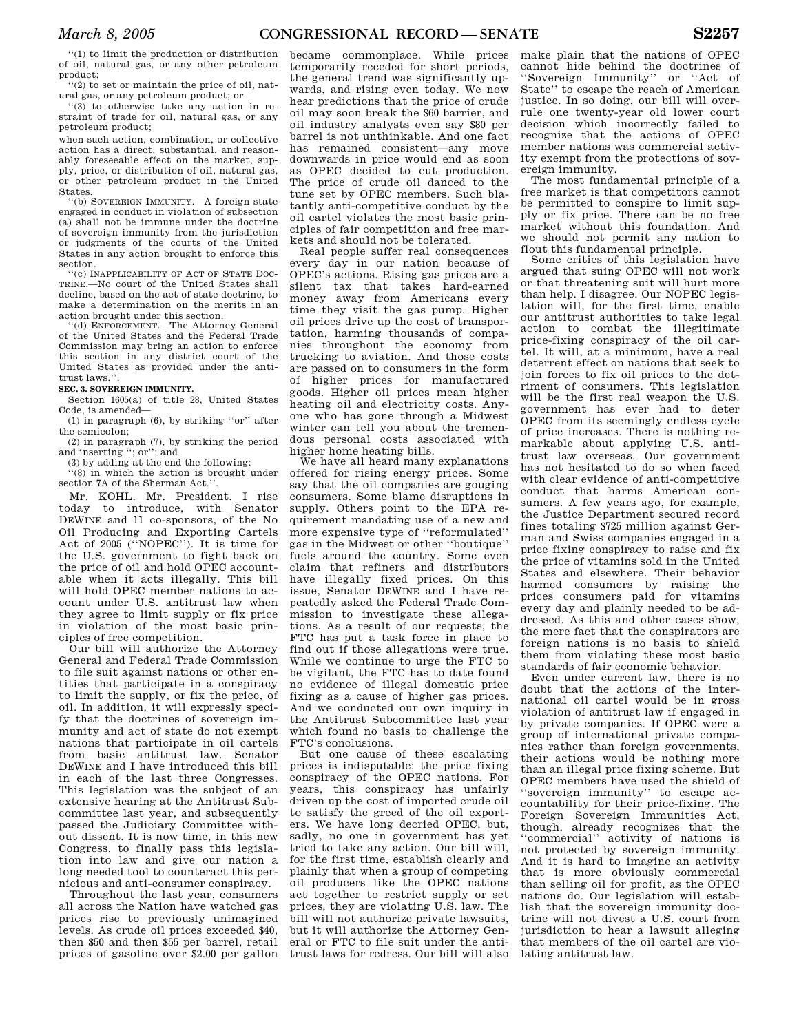''(1) to limit the production or distribution of oil, natural gas, or any other petroleum product;

''(2) to set or maintain the price of oil, natural gas, or any petroleum product; or

''(3) to otherwise take any action in restraint of trade for oil, natural gas, or any petroleum product;

when such action, combination, or collective action has a direct, substantial, and reasonably foreseeable effect on the market, supply, price, or distribution of oil, natural gas, or other petroleum product in the United States.

''(b) SOVEREIGN IMMUNITY.—A foreign state engaged in conduct in violation of subsection (a) shall not be immune under the doctrine of sovereign immunity from the jurisdiction or judgments of the courts of the United States in any action brought to enforce this section.

''(c) INAPPLICABILITY OF ACT OF STATE DOC-TRINE.—No court of the United States shall decline, based on the act of state doctrine, to make a determination on the merits in an action brought under this section.

'(d) ENFORCEMENT.—The Attorney General of the United States and the Federal Trade Commission may bring an action to enforce this section in any district court of the United States as provided under the antitrust laws."

**SEC. 3. SOVEREIGN IMMUNITY.** 

Section 1605(a) of title 28, United States Code, is amended—

(1) in paragraph (6), by striking ''or'' after the semicolon;

(2) in paragraph (7), by striking the period and inserting ''; or''; and

(3) by adding at the end the following:

''(8) in which the action is brought under section 7A of the Sherman Act.''.

Mr. KOHL. Mr. President, I rise today to introduce, with Senator DEWINE and 11 co-sponsors, of the No Oil Producing and Exporting Cartels Act of 2005 (''NOPEC''). It is time for the U.S. government to fight back on the price of oil and hold OPEC accountable when it acts illegally. This bill will hold OPEC member nations to account under U.S. antitrust law when they agree to limit supply or fix price in violation of the most basic principles of free competition.

Our bill will authorize the Attorney General and Federal Trade Commission to file suit against nations or other entities that participate in a conspiracy to limit the supply, or fix the price, of oil. In addition, it will expressly specify that the doctrines of sovereign immunity and act of state do not exempt nations that participate in oil cartels from basic antitrust law. Senator DEWINE and I have introduced this bill in each of the last three Congresses. This legislation was the subject of an extensive hearing at the Antitrust Subcommittee last year, and subsequently passed the Judiciary Committee without dissent. It is now time, in this new Congress, to finally pass this legislation into law and give our nation a long needed tool to counteract this pernicious and anti-consumer conspiracy.

Throughout the last year, consumers all across the Nation have watched gas prices rise to previously unimagined levels. As crude oil prices exceeded \$40, then \$50 and then \$55 per barrel, retail prices of gasoline over \$2.00 per gallon

became commonplace. While prices temporarily receded for short periods, the general trend was significantly upwards, and rising even today. We now hear predictions that the price of crude oil may soon break the \$60 barrier, and oil industry analysts even say \$80 per barrel is not unthinkable. And one fact has remained consistent—any move downwards in price would end as soon as OPEC decided to cut production. The price of crude oil danced to the tune set by OPEC members. Such blatantly anti-competitive conduct by the oil cartel violates the most basic principles of fair competition and free markets and should not be tolerated.

Real people suffer real consequences every day in our nation because of OPEC's actions. Rising gas prices are a silent tax that takes hard-earned money away from Americans every time they visit the gas pump. Higher oil prices drive up the cost of transportation, harming thousands of companies throughout the economy from trucking to aviation. And those costs are passed on to consumers in the form of higher prices for manufactured goods. Higher oil prices mean higher heating oil and electricity costs. Anyone who has gone through a Midwest winter can tell you about the tremendous personal costs associated with higher home heating bills.

We have all heard many explanations offered for rising energy prices. Some say that the oil companies are gouging consumers. Some blame disruptions in supply. Others point to the EPA requirement mandating use of a new and more expensive type of ''reformulated'' gas in the Midwest or other ''boutique'' fuels around the country. Some even claim that refiners and distributors have illegally fixed prices. On this issue, Senator DEWINE and I have repeatedly asked the Federal Trade Commission to investigate these allegations. As a result of our requests, the FTC has put a task force in place to find out if those allegations were true. While we continue to urge the FTC to be vigilant, the FTC has to date found no evidence of illegal domestic price fixing as a cause of higher gas prices. And we conducted our own inquiry in the Antitrust Subcommittee last year which found no basis to challenge the FTC's conclusions.

But one cause of these escalating prices is indisputable: the price fixing conspiracy of the OPEC nations. For years, this conspiracy has unfairly driven up the cost of imported crude oil to satisfy the greed of the oil exporters. We have long decried OPEC, but, sadly, no one in government has yet tried to take any action. Our bill will, for the first time, establish clearly and plainly that when a group of competing oil producers like the OPEC nations act together to restrict supply or set prices, they are violating U.S. law. The bill will not authorize private lawsuits, but it will authorize the Attorney General or FTC to file suit under the antitrust laws for redress. Our bill will also

make plain that the nations of OPEC cannot hide behind the doctrines of ''Sovereign Immunity'' or ''Act of State'' to escape the reach of American justice. In so doing, our bill will overrule one twenty-year old lower court decision which incorrectly failed to recognize that the actions of OPEC member nations was commercial activity exempt from the protections of sovereign immunity.

The most fundamental principle of a free market is that competitors cannot be permitted to conspire to limit supply or fix price. There can be no free market without this foundation. And we should not permit any nation to flout this fundamental principle.

Some critics of this legislation have argued that suing OPEC will not work or that threatening suit will hurt more than help. I disagree. Our NOPEC legislation will, for the first time, enable our antitrust authorities to take legal action to combat the illegitimate price-fixing conspiracy of the oil cartel. It will, at a minimum, have a real deterrent effect on nations that seek to join forces to fix oil prices to the detriment of consumers. This legislation will be the first real weapon the U.S. government has ever had to deter OPEC from its seemingly endless cycle of price increases. There is nothing remarkable about applying U.S. antitrust law overseas. Our government has not hesitated to do so when faced with clear evidence of anti-competitive conduct that harms American consumers. A few years ago, for example, the Justice Department secured record fines totaling \$725 million against German and Swiss companies engaged in a price fixing conspiracy to raise and fix the price of vitamins sold in the United States and elsewhere. Their behavior harmed consumers by raising the prices consumers paid for vitamins every day and plainly needed to be addressed. As this and other cases show, the mere fact that the conspirators are foreign nations is no basis to shield them from violating these most basic standards of fair economic behavior.

Even under current law, there is no doubt that the actions of the international oil cartel would be in gross violation of antitrust law if engaged in by private companies. If OPEC were a group of international private companies rather than foreign governments, their actions would be nothing more than an illegal price fixing scheme. But OPEC members have used the shield of ''sovereign immunity'' to escape accountability for their price-fixing. The Foreign Sovereign Immunities Act, though, already recognizes that the ''commercial'' activity of nations is not protected by sovereign immunity. And it is hard to imagine an activity that is more obviously commercial than selling oil for profit, as the OPEC nations do. Our legislation will establish that the sovereign immunity doctrine will not divest a U.S. court from jurisdiction to hear a lawsuit alleging that members of the oil cartel are violating antitrust law.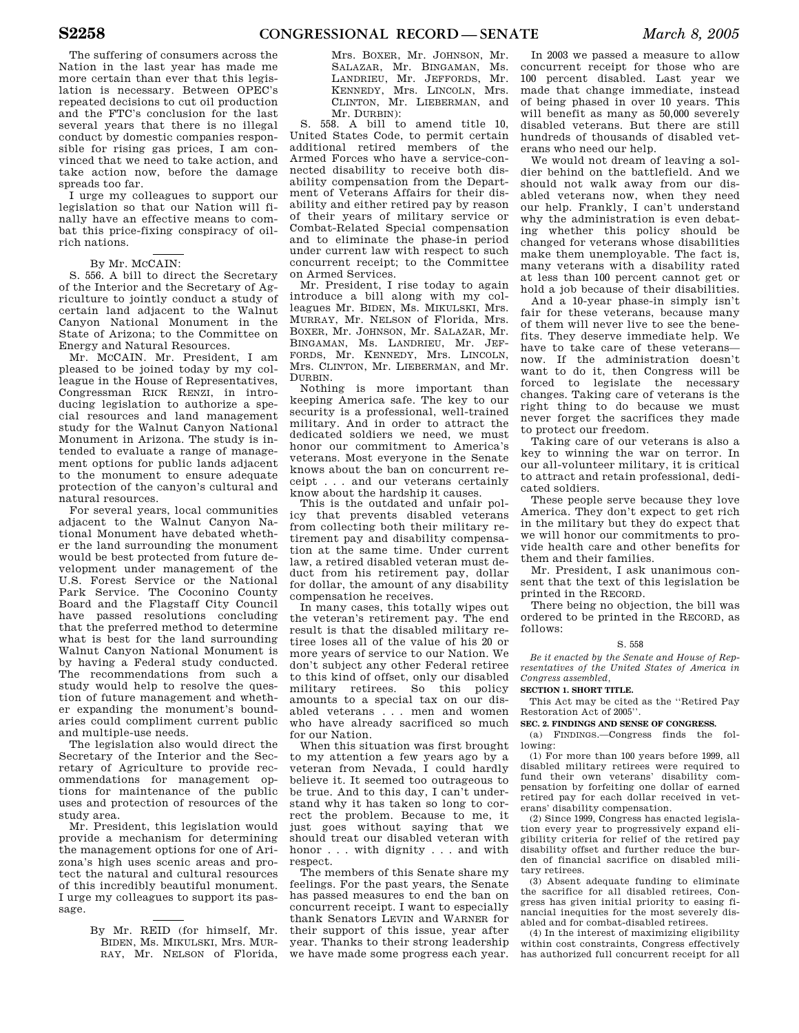The suffering of consumers across the Nation in the last year has made me more certain than ever that this legislation is necessary. Between OPEC's repeated decisions to cut oil production and the FTC's conclusion for the last several years that there is no illegal conduct by domestic companies responsible for rising gas prices, I am convinced that we need to take action, and take action now, before the damage spreads too far.

I urge my colleagues to support our legislation so that our Nation will finally have an effective means to combat this price-fixing conspiracy of oilrich nations.

## By Mr. MCCAIN:

S. 556. A bill to direct the Secretary of the Interior and the Secretary of Agriculture to jointly conduct a study of certain land adjacent to the Walnut Canyon National Monument in the State of Arizona; to the Committee on Energy and Natural Resources.

Mr. MCCAIN. Mr. President, I am pleased to be joined today by my colleague in the House of Representatives, Congressman RICK RENZI, in introducing legislation to authorize a special resources and land management study for the Walnut Canyon National Monument in Arizona. The study is intended to evaluate a range of management options for public lands adjacent to the monument to ensure adequate protection of the canyon's cultural and natural resources.

For several years, local communities adjacent to the Walnut Canyon National Monument have debated whether the land surrounding the monument would be best protected from future development under management of the U.S. Forest Service or the National Park Service. The Coconino County Board and the Flagstaff City Council have passed resolutions concluding that the preferred method to determine what is best for the land surrounding Walnut Canyon National Monument is by having a Federal study conducted. The recommendations from such a study would help to resolve the question of future management and whether expanding the monument's boundaries could compliment current public and multiple-use needs.

The legislation also would direct the Secretary of the Interior and the Secretary of Agriculture to provide recommendations for management options for maintenance of the public uses and protection of resources of the study area.

Mr. President, this legislation would provide a mechanism for determining the management options for one of Arizona's high uses scenic areas and protect the natural and cultural resources of this incredibly beautiful monument. I urge my colleagues to support its passage.

> By Mr. REID (for himself, Mr. BIDEN, Ms. MIKULSKI, Mrs. MUR-RAY, Mr. NELSON of Florida,

Mrs. BOXER, Mr. JOHNSON, Mr. SALAZAR, Mr. BINGAMAN, Ms. LANDRIEU, Mr. JEFFORDS, Mr. KENNEDY, Mrs. LINCOLN, Mrs. CLINTON, Mr. LIEBERMAN, and Mr. DURBIN):

S. 558. A bill to amend title 10, United States Code, to permit certain additional retired members of the Armed Forces who have a service-connected disability to receive both disability compensation from the Department of Veterans Affairs for their disability and either retired pay by reason of their years of military service or Combat-Related Special compensation and to eliminate the phase-in period under current law with respect to such concurrent receipt; to the Committee on Armed Services.

Mr. President, I rise today to again introduce a bill along with my colleagues Mr. BIDEN, Ms. MIKULSKI, Mrs. MURRAY, Mr. NELSON of Florida, Mrs. BOXER, Mr. JOHNSON, Mr. SALAZAR, Mr. BINGAMAN, Ms. LANDRIEU, Mr. JEF-FORDS, Mr. KENNEDY, Mrs. LINCOLN, Mrs. CLINTON, Mr. LIEBERMAN, and Mr. DURBIN.

Nothing is more important than keeping America safe. The key to our security is a professional, well-trained military. And in order to attract the dedicated soldiers we need, we must honor our commitment to America's veterans. Most everyone in the Senate knows about the ban on concurrent receipt . . . and our veterans certainly know about the hardship it causes.

This is the outdated and unfair policy that prevents disabled veterans from collecting both their military retirement pay and disability compensation at the same time. Under current law, a retired disabled veteran must deduct from his retirement pay, dollar for dollar, the amount of any disability compensation he receives.

In many cases, this totally wipes out the veteran's retirement pay. The end result is that the disabled military retiree loses all of the value of his 20 or more years of service to our Nation. We don't subject any other Federal retiree to this kind of offset, only our disabled military retirees. So this policy amounts to a special tax on our disabled veterans . . . men and women who have already sacrificed so much for our Nation.

When this situation was first brought to my attention a few years ago by a veteran from Nevada, I could hardly believe it. It seemed too outrageous to be true. And to this day, I can't understand why it has taken so long to correct the problem. Because to me, it just goes without saying that we should treat our disabled veteran with honor . . . with dignity . . . and with respect.

The members of this Senate share my feelings. For the past years, the Senate has passed measures to end the ban on concurrent receipt. I want to especially thank Senators LEVIN and WARNER for their support of this issue, year after year. Thanks to their strong leadership we have made some progress each year.

In 2003 we passed a measure to allow concurrent receipt for those who are 100 percent disabled. Last year we made that change immediate, instead of being phased in over 10 years. This will benefit as many as 50,000 severely disabled veterans. But there are still hundreds of thousands of disabled veterans who need our help.

We would not dream of leaving a soldier behind on the battlefield. And we should not walk away from our disabled veterans now, when they need our help. Frankly, I can't understand why the administration is even debating whether this policy should be changed for veterans whose disabilities make them unemployable. The fact is, many veterans with a disability rated at less than 100 percent cannot get or hold a job because of their disabilities.

And a 10-year phase-in simply isn't fair for these veterans, because many of them will never live to see the benefits. They deserve immediate help. We have to take care of these veterans now. If the administration doesn't want to do it, then Congress will be forced to legislate the necessary changes. Taking care of veterans is the right thing to do because we must never forget the sacrifices they made to protect our freedom.

Taking care of our veterans is also a key to winning the war on terror. In our all-volunteer military, it is critical to attract and retain professional, dedicated soldiers.

These people serve because they love America. They don't expect to get rich in the military but they do expect that we will honor our commitments to provide health care and other benefits for them and their families.

Mr. President, I ask unanimous consent that the text of this legislation be printed in the RECORD.

There being no objection, the bill was ordered to be printed in the RECORD, as follows:

## S. 558

*Be it enacted by the Senate and House of Representatives of the United States of America in Congress assembled,* 

## **SECTION 1. SHORT TITLE.**

This Act may be cited as the ''Retired Pay Restoration Act of 2005''.

## **SEC. 2. FINDINGS AND SENSE OF CONGRESS.**

(a) FINDINGS.—Congress finds the following:

(1) For more than 100 years before 1999, all disabled military retirees were required to fund their own veterans' disability compensation by forfeiting one dollar of earned retired pay for each dollar received in veterans' disability compensation.

(2) Since 1999, Congress has enacted legislation every year to progressively expand eligibility criteria for relief of the retired pay disability offset and further reduce the burden of financial sacrifice on disabled military retirees.

(3) Absent adequate funding to eliminate the sacrifice for all disabled retirees, Congress has given initial priority to easing financial inequities for the most severely disabled and for combat-disabled retirees.

(4) In the interest of maximizing eligibility within cost constraints, Congress effectively has authorized full concurrent receipt for all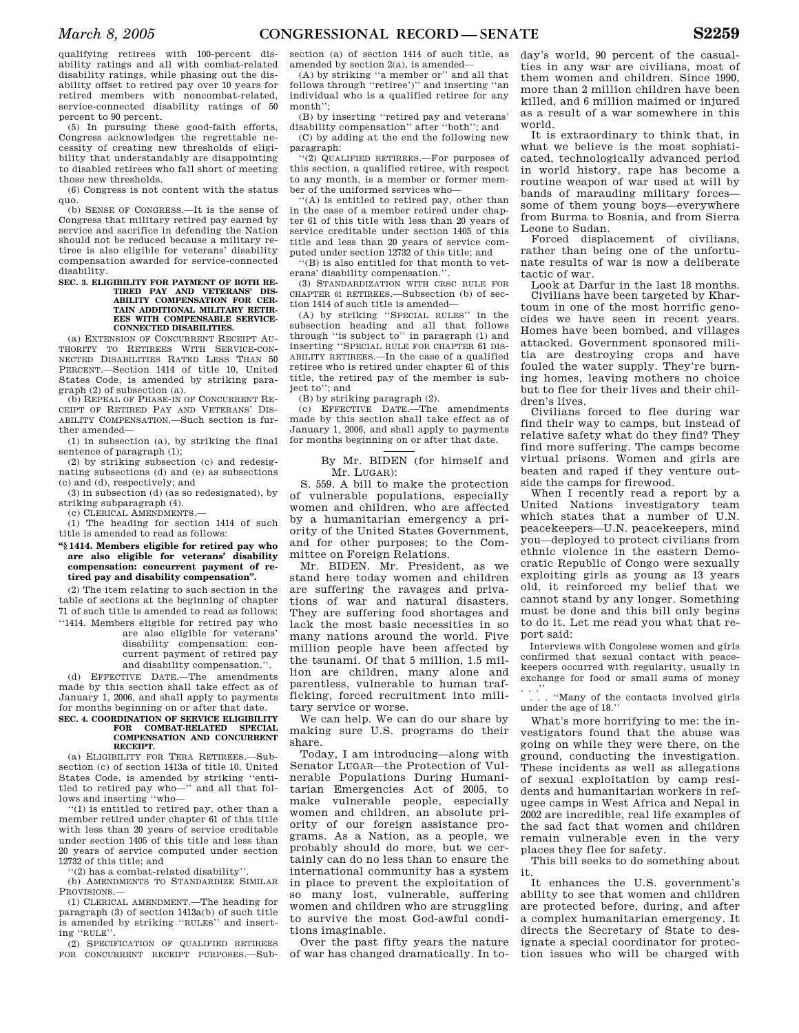qualifying retirees with 100-percent disability ratings and all with combat-related disability ratings, while phasing out the disability offset to retired pay over 10 years for retired members with noncombat-related, service-connected disability ratings of 50 percent to 90 percent.

(5) In pursuing these good-faith efforts, Congress acknowledges the regrettable necessity of creating new thresholds of eligibility that understandably are disappointing to disabled retirees who fall short of meeting those new thresholds.

(6) Congress is not content with the status quo.

(b) SENSE OF CONGRESS.—It is the sense of Congress that military retired pay earned by service and sacrifice in defending the Nation should not be reduced because a military retiree is also eligible for veterans' disability compensation awarded for service-connected disability.

## **SEC. 3. ELIGIBILITY FOR PAYMENT OF BOTH RE-TIRED PAY AND VETERANS' DIS-ABILITY COMPENSATION FOR CER-TAIN ADDITIONAL MILITARY RETIR-EES WITH COMPENSABLE SERVICE-CONNECTED DISABILITIES.**

(a) EXTENSION OF CONCURRENT RECEIPT AU-THORITY TO RETIREES WITH SERVICE-CON-NECTED DISABILITIES RATED LESS THAN 50 PERCENT.—Section 1414 of title 10, United States Code, is amended by striking paragraph (2) of subsection (a).

(b) REPEAL OF PHASE-IN OF CONCURRENT RE-CEIPT OF RETIRED PAY AND VETERANS' DIS-ABILITY COMPENSATION.—Such section is further amended—

(1) in subsection (a), by striking the final sentence of paragraph (1);

(2) by striking subsection (c) and redesignating subsections (d) and (e) as subsections (c) and (d), respectively; and

(3) in subsection (d) (as so redesignated), by striking subparagraph (4).

(c) CLERICAL AMENDMENTS.—

(1) The heading for section 1414 of such title is amended to read as follows:

**''§ 1414. Members eligible for retired pay who are also eligible for veterans' disability compensation: concurrent payment of retired pay and disability compensation''.** 

(2) The item relating to such section in the table of sections at the beginning of chapter 71 of such title is amended to read as follows: ''1414. Members eligible for retired pay who

are also eligible for veterans' disability compensation: con-

current payment of retired pay and disability compensation.''.

(d) EFFECTIVE DATE.—The amendments made by this section shall take effect as of January 1, 2006, and shall apply to payments for months beginning on or after that date.

#### **SEC. 4. COORDINATION OF SERVICE ELIGIBILITY FOR COMBAT-RELATED SPECIAL COMPENSATION AND CONCURRENT RECEIPT.**

(a) ELIGIBILITY FOR TERA RETIREES.—Subsection (c) of section 1413a of title 10, United States Code, is amended by striking ''entitled to retired pay who—'' and all that follows and inserting ''who—

''(1) is entitled to retired pay, other than a member retired under chapter 61 of this title with less than 20 years of service creditable under section 1405 of this title and less than 20 years of service computed under section 12732 of this title; and

''(2) has a combat-related disability''.

(b) AMENDMENTS TO STANDARDIZE SIMILAR PROVISIONS.—

(1) CLERICAL AMENDMENT.—The heading for paragraph (3) of section 1413a(b) of such title is amended by striking ''RULES'' and inserting ''RULE''.

(2) SPECIFICATION OF QUALIFIED RETIREES FOR CONCURRENT RECEIPT PURPOSES.—Sub-

section (a) of section 1414 of such title, as amended by section 2(a), is amended—

(A) by striking ''a member or'' and all that follows through ''retiree')'' and inserting ''an individual who is a qualified retiree for any month'';

(B) by inserting ''retired pay and veterans' disability compensation'' after ''both''; and

(C) by adding at the end the following new paragraph:

''(2) QUALIFIED RETIREES.—For purposes of this section, a qualified retiree, with respect to any month, is a member or former member of the uniformed services who—

''(A) is entitled to retired pay, other than in the case of a member retired under chapter 61 of this title with less than 20 years of service creditable under section 1405 of this title and less than 20 years of service computed under section 12732 of this title; and

''(B) is also entitled for that month to veterans' disability compensation.''.

(3) STANDARDIZATION WITH CRSC RULE FOR CHAPTER 61 RETIREES.—Subsection (b) of section 1414 of such title is amended—

(A) by striking ''SPECIAL RULES'' in the subsection heading and all that follows through ''is subject to'' in paragraph (1) and inserting ''SPECIAL RULE FOR CHAPTER 61 DIS-ABILITY RETIREES.—In the case of a qualified retiree who is retired under chapter 61 of this title, the retired pay of the member is subject to''; and

(B) by striking paragraph (2).

(c) EFFECTIVE DATE.—The amendments made by this section shall take effect as of January 1, 2006, and shall apply to payments for months beginning on or after that date.

> By Mr. BIDEN (for himself and Mr. LUGAR):

S. 559. A bill to make the protection of vulnerable populations, especially women and children, who are affected by a humanitarian emergency a priority of the United States Government, and for other purposes; to the Committee on Foreign Relations.

Mr. BIDEN. Mr. President, as we stand here today women and children are suffering the ravages and privations of war and natural disasters. They are suffering food shortages and lack the most basic necessities in so many nations around the world. Five million people have been affected by the tsunami. Of that 5 million, 1.5 million are children, many alone and parentless, vulnerable to human trafficking, forced recruitment into military service or worse.

We can help. We can do our share by making sure U.S. programs do their share.

Today, I am introducing—along with Senator LUGAR—the Protection of Vulnerable Populations During Humanitarian Emergencies Act of 2005, to make vulnerable people, especially women and children, an absolute priority of our foreign assistance programs. As a Nation, as a people, we probably should do more, but we certainly can do no less than to ensure the international community has a system in place to prevent the exploitation of so many lost, vulnerable, suffering women and children who are struggling to survive the most God-awful conditions imaginable.

Over the past fifty years the nature of war has changed dramatically. In today's world, 90 percent of the casualties in any war are civilians, most of them women and children. Since 1990, more than 2 million children have been killed, and 6 million maimed or injured as a result of a war somewhere in this world.

It is extraordinary to think that, in what we believe is the most sophisticated, technologically advanced period in world history, rape has become a routine weapon of war used at will by bands of marauding military forces some of them young boys—everywhere from Burma to Bosnia, and from Sierra Leone to Sudan.

Forced displacement of civilians, rather than being one of the unfortunate results of war is now a deliberate tactic of war.

Look at Darfur in the last 18 months. Civilians have been targeted by Khartoum in one of the most horrific genocides we have seen in recent years. Homes have been bombed, and villages attacked. Government sponsored militia are destroying crops and have fouled the water supply. They're burning homes, leaving mothers no choice but to flee for their lives and their children's lives.

Civilians forced to flee during war find their way to camps, but instead of relative safety what do they find? They find more suffering. The camps become virtual prisons. Women and girls are beaten and raped if they venture outside the camps for firewood.

When I recently read a report by a United Nations investigatory team which states that a number of U.N. peacekeepers—U.N. peacekeepers, mind you—deployed to protect civilians from ethnic violence in the eastern Democratic Republic of Congo were sexually exploiting girls as young as 13 years old, it reinforced my belief that we cannot stand by any longer. Something must be done and this bill only begins to do it. Let me read you what that report said:

Interviews with Congolese women and girls confirmed that sexual contact with peacekeepers occurred with regularity, usually in exchange for food or small sums of money . . .''

. . . ''Many of the contacts involved girls under the age of 18.''

What's more horrifying to me: the investigators found that the abuse was going on while they were there, on the ground, conducting the investigation. These incidents as well as allegations of sexual exploitation by camp residents and humanitarian workers in refugee camps in West Africa and Nepal in 2002 are incredible, real life examples of the sad fact that women and children remain vulnerable even in the very places they flee for safety.

This bill seeks to do something about it.

It enhances the U.S. government's ability to see that women and children are protected before, during, and after a complex humanitarian emergency. It directs the Secretary of State to designate a special coordinator for protection issues who will be charged with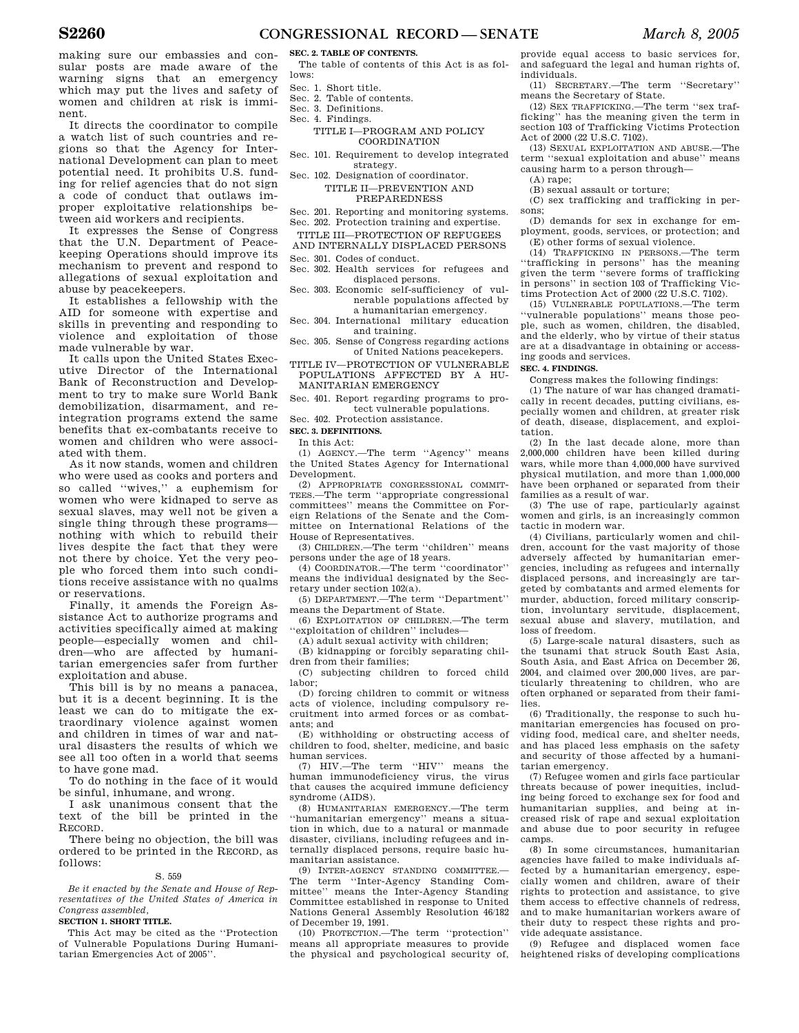making sure our embassies and consular posts are made aware of the warning signs that an emergency which may put the lives and safety of women and children at risk is imminent.

It directs the coordinator to compile a watch list of such countries and regions so that the Agency for International Development can plan to meet potential need. It prohibits U.S. funding for relief agencies that do not sign a code of conduct that outlaws improper exploitative relationships between aid workers and recipients.

It expresses the Sense of Congress that the U.N. Department of Peacekeeping Operations should improve its mechanism to prevent and respond to allegations of sexual exploitation and abuse by peacekeepers.

It establishes a fellowship with the AID for someone with expertise and skills in preventing and responding to violence and exploitation of those made vulnerable by war.

It calls upon the United States Executive Director of the International Bank of Reconstruction and Development to try to make sure World Bank demobilization, disarmament, and reintegration programs extend the same benefits that ex-combatants receive to women and children who were associated with them.

As it now stands, women and children who were used as cooks and porters and so called ''wives,'' a euphemism for women who were kidnaped to serve as sexual slaves, may well not be given a single thing through these programs nothing with which to rebuild their lives despite the fact that they were not there by choice. Yet the very people who forced them into such conditions receive assistance with no qualms or reservations.

Finally, it amends the Foreign Assistance Act to authorize programs and activities specifically aimed at making people—especially women and children—who are affected by humanitarian emergencies safer from further exploitation and abuse.

This bill is by no means a panacea, but it is a decent beginning. It is the least we can do to mitigate the extraordinary violence against women and children in times of war and natural disasters the results of which we see all too often in a world that seems to have gone mad.

To do nothing in the face of it would be sinful, inhumane, and wrong.

I ask unanimous consent that the text of the bill be printed in the RECORD.

There being no objection, the bill was ordered to be printed in the RECORD, as follows:

#### S. 559

*Be it enacted by the Senate and House of Representatives of the United States of America in Congress assembled,* 

#### **SECTION 1. SHORT TITLE.**

This Act may be cited as the ''Protection of Vulnerable Populations During Humanitarian Emergencies Act of 2005''.

## **SEC. 2. TABLE OF CONTENTS.**

The table of contents of this Act is as follows:

- Sec. 1. Short title.
- Sec. 2. Table of contents.
- Sec. 3. Definitions.
- Sec. 4. Findings.
	- TITLE I—PROGRAM AND POLICY COORDINATION
- Sec. 101. Requirement to develop integrated strategy.
- Sec. 102. Designation of coordinator. TITLE II—PREVENTION AND

PREPAREDNESS

Sec. 201. Reporting and monitoring systems.

- Sec. 202. Protection training and expertise.
- TITLE III—PROTECTION OF REFUGEES AND INTERNALLY DISPLACED PERSONS
- Sec. 301. Codes of conduct.
- Sec. 302. Health services for refugees and displaced persons.
- Sec. 303. Economic self-sufficiency of vulnerable populations affected by a humanitarian emergency.
- Sec. 304. International military education and training.

Sec. 305. Sense of Congress regarding actions of United Nations peacekepers.

TITLE IV—PROTECTION OF VULNERABLE POPULATIONS AFFECTED BY A HU-MANITARIAN EMERGENCY

Sec. 401. Report regarding programs to protect vulnerable populations.

Sec. 402. Protection assistance.

## **SEC. 3. DEFINITIONS.**

In this Act:

(1) AGENCY.—The term ''Agency'' means the United States Agency for International Development.

(2) APPROPRIATE CONGRESSIONAL COMMIT-TEES.—The term ''appropriate congressional committees'' means the Committee on Foreign Relations of the Senate and the Committee on International Relations of the House of Representatives.

(3) CHILDREN.—The term ''children'' means persons under the age of 18 years.

(4) COORDINATOR.—The term ''coordinator'' means the individual designated by the Secretary under section 102(a).

(5) DEPARTMENT.—The term ''Department'' means the Department of State.

(6) EXPLOITATION OF CHILDREN.—The term ''exploitation of children'' includes—

(A) adult sexual activity with children; (B) kidnapping or forcibly separating chil-

dren from their families; (C) subjecting children to forced child labor;

(D) forcing children to commit or witness acts of violence, including compulsory recruitment into armed forces or as combatants; and

(E) withholding or obstructing access of children to food, shelter, medicine, and basic human services.

(7) HIV.—The term ''HIV'' means the human immunodeficiency virus, the virus that causes the acquired immune deficiency syndrome (AIDS).

(8) HUMANITARIAN EMERGENCY.—The term ''humanitarian emergency'' means a situation in which, due to a natural or manmade disaster, civilians, including refugees and internally displaced persons, require basic humanitarian assistance.

(9) INTER-AGENCY STANDING COMMITTEE.— The term ''Inter-Agency Standing Committee'' means the Inter-Agency Standing Committee established in response to United Nations General Assembly Resolution 46/182 of December 19, 1991.

(10) PROTECTION.—The term ''protection'' means all appropriate measures to provide the physical and psychological security of,

provide equal access to basic services for, and safeguard the legal and human rights of, individuals.

(11) SECRETARY.—The term ''Secretary'' means the Secretary of State.

(12) SEX TRAFFICKING.—The term ''sex trafficking'' has the meaning given the term in section 103 of Trafficking Victims Protection Act of 2000 (22 U.S.C. 7102).

(13) SEXUAL EXPLOITATION AND ABUSE.—The term ''sexual exploitation and abuse'' means causing harm to a person through—

(A) rape;

(B) sexual assault or torture;

(C) sex trafficking and trafficking in persons;

(D) demands for sex in exchange for employment, goods, services, or protection; and (E) other forms of sexual violence.

(14) TRAFFICKING IN PERSONS.—The term ''trafficking in persons'' has the meaning given the term ''severe forms of trafficking in persons'' in section 103 of Trafficking Victims Protection Act of 2000 (22 U.S.C. 7102).

(15) VULNERABLE POPULATIONS.—The term ''vulnerable populations'' means those people, such as women, children, the disabled, and the elderly, who by virtue of their status are at a disadvantage in obtaining or accessing goods and services.

## **SEC. 4. FINDINGS.**

Congress makes the following findings:

(1) The nature of war has changed dramatically in recent decades, putting civilians, especially women and children, at greater risk of death, disease, displacement, and exploitation.

(2) In the last decade alone, more than 2,000,000 children have been killed during wars, while more than 4,000,000 have survived physical mutilation, and more than 1,000,000 have been orphaned or separated from their families as a result of war.

(3) The use of rape, particularly against women and girls, is an increasingly common tactic in modern war.

(4) Civilians, particularly women and children, account for the vast majority of those adversely affected by humanitarian emergencies, including as refugees and internally displaced persons, and increasingly are targeted by combatants and armed elements for murder, abduction, forced military conscription, involuntary servitude, displacement, sexual abuse and slavery, mutilation, and loss of freedom.

(5) Large-scale natural disasters, such as the tsunami that struck South East Asia, South Asia, and East Africa on December 26, 2004, and claimed over 200,000 lives, are particularly threatening to children, who are often orphaned or separated from their families.

(6) Traditionally, the response to such humanitarian emergencies has focused on providing food, medical care, and shelter needs, and has placed less emphasis on the safety and security of those affected by a humanitarian emergency.

(7) Refugee women and girls face particular threats because of power inequities, including being forced to exchange sex for food and humanitarian supplies, and being at increased risk of rape and sexual exploitation and abuse due to poor security in refugee camps.

(8) In some circumstances, humanitarian agencies have failed to make individuals affected by a humanitarian emergency, especially women and children, aware of their rights to protection and assistance, to give them access to effective channels of redress, and to make humanitarian workers aware of their duty to respect these rights and provide adequate assistance.

(9) Refugee and displaced women face heightened risks of developing complications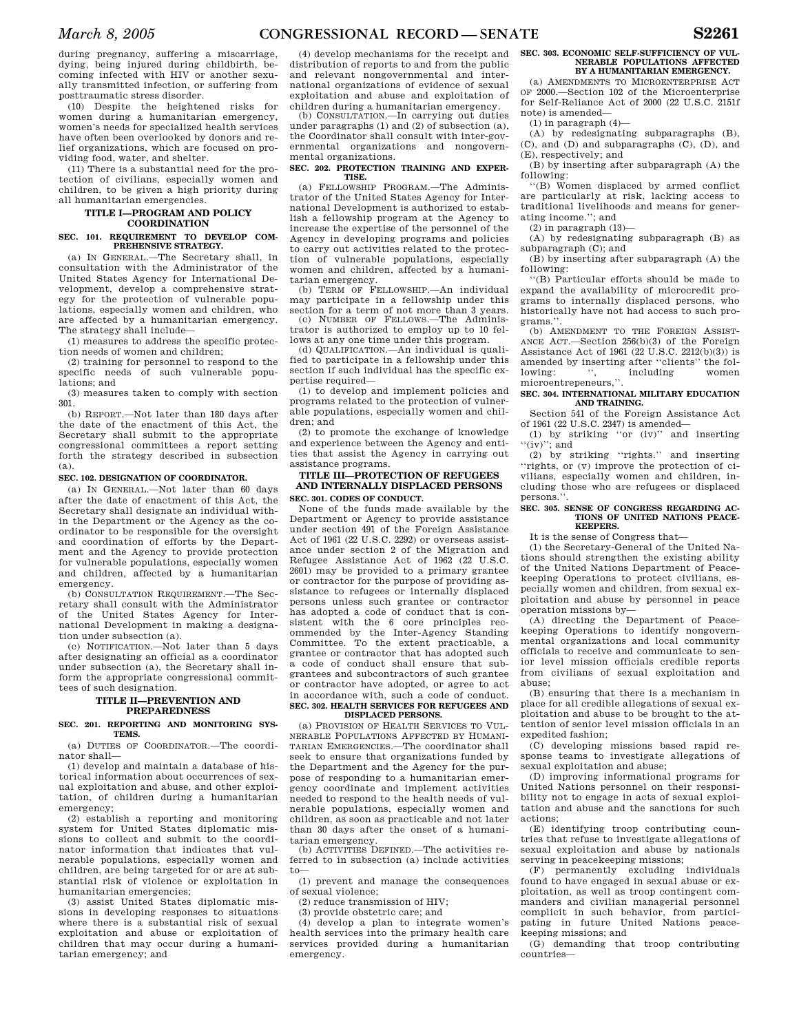during pregnancy, suffering a miscarriage, dying, being injured during childbirth, becoming infected with HIV or another sexually transmitted infection, or suffering from posttraumatic stress disorder.

(10) Despite the heightened risks for women during a humanitarian emergency, women's needs for specialized health services have often been overlooked by donors and relief organizations, which are focused on providing food, water, and shelter.

(11) There is a substantial need for the protection of civilians, especially women and children, to be given a high priority during all humanitarian emergencies.

## **TITLE I—PROGRAM AND POLICY COORDINATION**

#### **SEC. 101. REQUIREMENT TO DEVELOP COM-PREHENSIVE STRATEGY.**

(a) IN GENERAL.—The Secretary shall, in consultation with the Administrator of the United States Agency for International Development, develop a comprehensive strategy for the protection of vulnerable populations, especially women and children, who are affected by a humanitarian emergency. The strategy shall include—

(1) measures to address the specific protection needs of women and children;

(2) training for personnel to respond to the specific needs of such vulnerable populations; and

(3) measures taken to comply with section 301.

(b) REPORT.—Not later than 180 days after the date of the enactment of this Act, the Secretary shall submit to the appropriate congressional committees a report setting forth the strategy described in subsection (a).

## **SEC. 102. DESIGNATION OF COORDINATOR.**

(a) IN GENERAL.—Not later than 60 days after the date of enactment of this Act, the Secretary shall designate an individual within the Department or the Agency as the coordinator to be responsible for the oversight and coordination of efforts by the Department and the Agency to provide protection for vulnerable populations, especially women and children, affected by a humanitarian emergency.

(b) CONSULTATION REQUIREMENT.—The Secretary shall consult with the Administrator of the United States Agency for International Development in making a designation under subsection (a).

(c) NOTIFICATION.—Not later than 5 days after designating an official as a coordinator under subsection (a), the Secretary shall inform the appropriate congressional committees of such designation.

## **TITLE II—PREVENTION AND PREPAREDNESS**

## **SEC. 201. REPORTING AND MONITORING SYS-TEMS.**

(a) DUTIES OF COORDINATOR.—The coordinator shall—

(1) develop and maintain a database of historical information about occurrences of sexual exploitation and abuse, and other exploitation, of children during a humanitarian emergency;

(2) establish a reporting and monitoring system for United States diplomatic missions to collect and submit to the coordinator information that indicates that vulnerable populations, especially women and children, are being targeted for or are at substantial risk of violence or exploitation in humanitarian emergencies;

(3) assist United States diplomatic missions in developing responses to situations where there is a substantial risk of sexual exploitation and abuse or exploitation of children that may occur during a humanitarian emergency; and

(4) develop mechanisms for the receipt and distribution of reports to and from the public and relevant nongovernmental and international organizations of evidence of sexual exploitation and abuse and exploitation of children during a humanitarian emergency.

(b) CONSULTATION.—In carrying out duties under paragraphs (1) and (2) of subsection (a), the Coordinator shall consult with inter-governmental organizations and nongovernmental organizations.

#### **SEC. 202. PROTECTION TRAINING AND EXPER-TISE.**

(a) FELLOWSHIP PROGRAM.—The Administrator of the United States Agency for International Development is authorized to establish a fellowship program at the Agency to increase the expertise of the personnel of the Agency in developing programs and policies to carry out activities related to the protection of vulnerable populations, especially women and children, affected by a humanitarian emergency. (b) TERM OF FELLOWSHIP.—An individual

may participate in a fellowship under this section for a term of not more than 3 years.

(c) NUMBER OF FELLOWS.—The Administrator is authorized to employ up to 10 fellows at any one time under this program.

(d) QUALIFICATION.—An individual is qualified to participate in a fellowship under this section if such individual has the specific expertise required—

(1) to develop and implement policies and programs related to the protection of vulnerable populations, especially women and children; and

(2) to promote the exchange of knowledge and experience between the Agency and entities that assist the Agency in carrying out assistance programs.

## **TITLE III—PROTECTION OF REFUGEES AND INTERNALLY DISPLACED PERSONS SEC. 301. CODES OF CONDUCT.**

None of the funds made available by the Department or Agency to provide assistance under section 491 of the Foreign Assistance Act of 1961 (22 U.S.C. 2292) or overseas assistance under section 2 of the Migration and Refugee Assistance Act of 1962 (22 U.S.C. 2601) may be provided to a primary grantee or contractor for the purpose of providing assistance to refugees or internally displaced persons unless such grantee or contractor has adopted a code of conduct that is consistent with the 6 core principles recommended by the Inter-Agency Standing Committee. To the extent practicable, a grantee or contractor that has adopted such a code of conduct shall ensure that subgrantees and subcontractors of such grantee or contractor have adopted, or agree to act in accordance with, such a code of conduct. **SEC. 302. HEALTH SERVICES FOR REFUGEES AND** 

## **DISPLACED PERSONS.**

(a) PROVISION OF HEALTH SERVICES TO VUL-NERABLE POPULATIONS AFFECTED BY HUMANI-TARIAN EMERGENCIES.—The coordinator shall seek to ensure that organizations funded by the Department and the Agency for the purpose of responding to a humanitarian emergency coordinate and implement activities needed to respond to the health needs of vulnerable populations, especially women and children, as soon as practicable and not later than 30 days after the onset of a humanitarian emergency.

(b) ACTIVITIES DEFINED.—The activities referred to in subsection (a) include activities to—

(1) prevent and manage the consequences of sexual violence;

(2) reduce transmission of HIV;

(3) provide obstetric care; and

(4) develop a plan to integrate women's health services into the primary health care services provided during a humanitarian emergency.

#### **SEC. 303. ECONOMIC SELF-SUFFICIENCY OF VUL-NERABLE POPULATIONS AFFECTED BY A HUMANITARIAN EMERGENCY.**

(a) AMENDMENTS TO MICROENTERPRISE ACT OF 2000.—Section 102 of the Microenterprise for Self-Reliance Act of 2000 (22 U.S.C. 2151f note) is amended—

(1) in paragraph (4)—

(A) by redesignating subparagraphs (B), (C), and (D) and subparagraphs (C), (D), and (E), respectively; and

(B) by inserting after subparagraph (A) the following:

''(B) Women displaced by armed conflict are particularly at risk, lacking access to traditional livelihoods and means for generating income.''; and

 $(2)$  in paragraph  $(13)$ —

(A) by redesignating subparagraph (B) as subparagraph (C); and

(B) by inserting after subparagraph (A) the following:

''(B) Particular efforts should be made to expand the availability of microcredit programs to internally displaced persons, who historically have not had access to such programs.''.

(b) AMENDMENT TO THE FOREIGN ASSIST-ANCE ACT.—Section 256(b)(3) of the Foreign Assistance Act of 1961  $(22 \text{ U.S.C. } 2212(b)(3))$  is amended by inserting after "clients" the fol-<br>lowing: "<br>women including microentrepeneurs,''.

## **SEC. 304. INTERNATIONAL MILITARY EDUCATION AND TRAINING.**

Section 541 of the Foreign Assistance Act of 1961 (22 U.S.C. 2347) is amended—

(1) by striking ''or (iv)'' and inserting  $\cdot \cdot \cdot \cdot \cdot \cdot$  and

(2) by striking ''rights.'' and inserting ''rights, or (v) improve the protection of civilians, especially women and children, including those who are refugees or displaced persons.

#### SEC. 305. SENSE OF CONGRESS REGARDING AC. **TIONS OF UNITED NATIONS PEACE-KEEPERS.**

It is the sense of Congress that—

(1) the Secretary-General of the United Nations should strengthen the existing ability of the United Nations Department of Peacekeeping Operations to protect civilians, especially women and children, from sexual exploitation and abuse by personnel in peace operation missions by—

(A) directing the Department of Peacekeeping Operations to identify nongovernmental organizations and local community officials to receive and communicate to senior level mission officials credible reports from civilians of sexual exploitation and abuse;

(B) ensuring that there is a mechanism in place for all credible allegations of sexual exploitation and abuse to be brought to the attention of senior level mission officials in an expedited fashion;

(C) developing missions based rapid response teams to investigate allegations of sexual exploitation and abuse;

(D) improving informational programs for United Nations personnel on their responsibility not to engage in acts of sexual exploitation and abuse and the sanctions for such actions;

(E) identifying troop contributing countries that refuse to investigate allegations of sexual exploitation and abuse by nationals serving in peacekeeping missions;

(F) permanently excluding individuals found to have engaged in sexual abuse or exploitation, as well as troop contingent commanders and civilian managerial personnel complicit in such behavior, from participating in future United Nations peacekeeping missions; and

(G) demanding that troop contributing countries—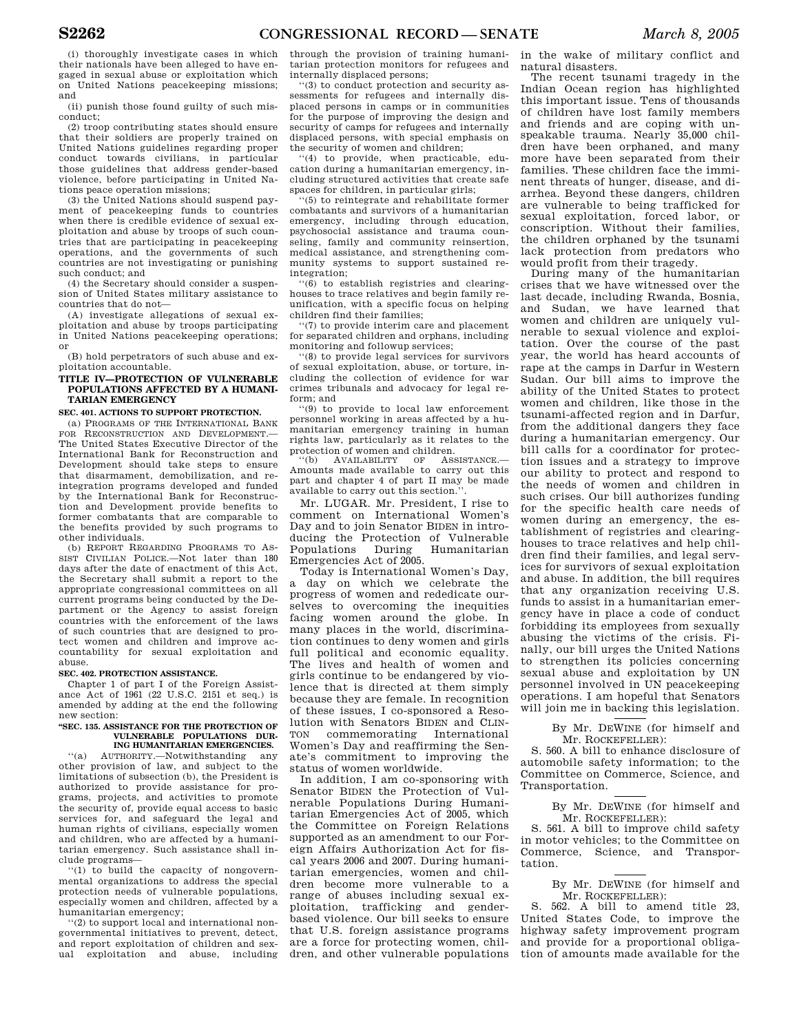(i) thoroughly investigate cases in which their nationals have been alleged to have engaged in sexual abuse or exploitation which on United Nations peacekeeping missions; and

(ii) punish those found guilty of such misconduct;

(2) troop contributing states should ensure that their soldiers are properly trained on United Nations guidelines regarding proper conduct towards civilians, in particular those guidelines that address gender-based violence, before participating in United Nations peace operation missions;

(3) the United Nations should suspend payment of peacekeeping funds to countries when there is credible evidence of sexual exploitation and abuse by troops of such countries that are participating in peacekeeping operations, and the governments of such countries are not investigating or punishing such conduct; and

(4) the Secretary should consider a suspension of United States military assistance to countries that do not—

(A) investigate allegations of sexual exploitation and abuse by troops participating in United Nations peacekeeping operations; or

(B) hold perpetrators of such abuse and exploitation accountable.

## **TITLE IV—PROTECTION OF VULNERABLE POPULATIONS AFFECTED BY A HUMANI-TARIAN EMERGENCY**

## **SEC. 401. ACTIONS TO SUPPORT PROTECTION.**

(a) PROGRAMS OF THE INTERNATIONAL BANK FOR RECONSTRUCTION AND DEVELOPMENT. The United States Executive Director of the International Bank for Reconstruction and Development should take steps to ensure that disarmament, demobilization, and reintegration programs developed and funded by the International Bank for Reconstruction and Development provide benefits to former combatants that are comparable to the benefits provided by such programs to other individuals.

(b) REPORT REGARDING PROGRAMS TO AS-SIST CIVILIAN POLICE.—Not later than 180 days after the date of enactment of this Act, the Secretary shall submit a report to the appropriate congressional committees on all current programs being conducted by the Department or the Agency to assist foreign countries with the enforcement of the laws of such countries that are designed to protect women and children and improve accountability for sexual exploitation and abuse.

#### **SEC. 402. PROTECTION ASSISTANCE.**

Chapter 1 of part I of the Foreign Assistance Act of 1961 (22 U.S.C. 2151 et seq.) is amended by adding at the end the following new section:

#### **''SEC. 135. ASSISTANCE FOR THE PROTECTION OF VULNERABLE POPULATIONS DUR-ING HUMANITARIAN EMERGENCIES.**

''(a) AUTHORITY.—Notwithstanding any other provision of law, and subject to the limitations of subsection (b), the President is authorized to provide assistance for programs, projects, and activities to promote the security of, provide equal access to basic services for, and safeguard the legal and human rights of civilians, especially women and children, who are affected by a humanitarian emergency. Such assistance shall include programs—

''(1) to build the capacity of nongovernmental organizations to address the special protection needs of vulnerable populations, especially women and children, affected by a humanitarian emergency;

''(2) to support local and international nongovernmental initiatives to prevent, detect, and report exploitation of children and sexual exploitation and abuse, including

through the provision of training humanitarian protection monitors for refugees and internally displaced persons;

''(3) to conduct protection and security assessments for refugees and internally displaced persons in camps or in communities for the purpose of improving the design and security of camps for refugees and internally displaced persons, with special emphasis on the security of women and children;

''(4) to provide, when practicable, education during a humanitarian emergency, including structured activities that create safe spaces for children, in particular girls;

''(5) to reintegrate and rehabilitate former combatants and survivors of a humanitarian emergency, including through education, psychosocial assistance and trauma counseling, family and community reinsertion, medical assistance, and strengthening community systems to support sustained reintegration;

''(6) to establish registries and clearinghouses to trace relatives and begin family reunification, with a specific focus on helping children find their families;

''(7) to provide interim care and placement for separated children and orphans, including monitoring and followup services;

''(8) to provide legal services for survivors of sexual exploitation, abuse, or torture, including the collection of evidence for war crimes tribunals and advocacy for legal reform; and

''(9) to provide to local law enforcement personnel working in areas affected by a humanitarian emergency training in human rights law, particularly as it relates to the protection of women and children.

''(b) AVAILABILITY OF ASSISTANCE.— Amounts made available to carry out this part and chapter 4 of part II may be made available to carry out this section.''.

Mr. LUGAR. Mr. President, I rise to comment on International Women's Day and to join Senator BIDEN in introducing the Protection of Vulnerable Populations During Humanitarian Emergencies Act of 2005.

Today is International Women's Day, a day on which we celebrate the progress of women and rededicate ourselves to overcoming the inequities facing women around the globe. In many places in the world, discrimination continues to deny women and girls full political and economic equality. The lives and health of women and girls continue to be endangered by violence that is directed at them simply because they are female. In recognition of these issues, I co-sponsored a Resolution with Senators BIDEN and CLIN-TON commemorating International Women's Day and reaffirming the Senate's commitment to improving the status of women worldwide.

In addition, I am co-sponsoring with Senator BIDEN the Protection of Vulnerable Populations During Humanitarian Emergencies Act of 2005, which the Committee on Foreign Relations supported as an amendment to our Foreign Affairs Authorization Act for fiscal years 2006 and 2007. During humanitarian emergencies, women and children become more vulnerable to a range of abuses including sexual exploitation, trafficking and genderbased violence. Our bill seeks to ensure that U.S. foreign assistance programs are a force for protecting women, children, and other vulnerable populations

in the wake of military conflict and natural disasters.

The recent tsunami tragedy in the Indian Ocean region has highlighted this important issue. Tens of thousands of children have lost family members and friends and are coping with unspeakable trauma. Nearly 35,000 children have been orphaned, and many more have been separated from their families. These children face the imminent threats of hunger, disease, and diarrhea. Beyond these dangers, children are vulnerable to being trafficked for sexual exploitation, forced labor, or conscription. Without their families, the children orphaned by the tsunami lack protection from predators who would profit from their tragedy.

During many of the humanitarian crises that we have witnessed over the last decade, including Rwanda, Bosnia, and Sudan, we have learned that women and children are uniquely vulnerable to sexual violence and exploitation. Over the course of the past year, the world has heard accounts of rape at the camps in Darfur in Western Sudan. Our bill aims to improve the ability of the United States to protect women and children, like those in the tsunami-affected region and in Darfur, from the additional dangers they face during a humanitarian emergency. Our bill calls for a coordinator for protection issues and a strategy to improve our ability to protect and respond to the needs of women and children in such crises. Our bill authorizes funding for the specific health care needs of women during an emergency, the establishment of registries and clearinghouses to trace relatives and help children find their families, and legal services for survivors of sexual exploitation and abuse. In addition, the bill requires that any organization receiving U.S. funds to assist in a humanitarian emergency have in place a code of conduct forbidding its employees from sexually abusing the victims of the crisis. Finally, our bill urges the United Nations to strengthen its policies concerning sexual abuse and exploitation by UN personnel involved in UN peacekeeping operations. I am hopeful that Senators will join me in backing this legislation.

> By Mr. DEWINE (for himself and Mr. ROCKEFELLER):

S. 560. A bill to enhance disclosure of automobile safety information; to the Committee on Commerce, Science, and Transportation.

> By Mr. DEWINE (for himself and Mr. ROCKEFELLER):

S. 561. A bill to improve child safety in motor vehicles; to the Committee on Commerce, Science, and Transportation.

> By Mr. DEWINE (for himself and Mr. ROCKEFELLER):

S. 562. A bill to amend title 23, United States Code, to improve the highway safety improvement program and provide for a proportional obligation of amounts made available for the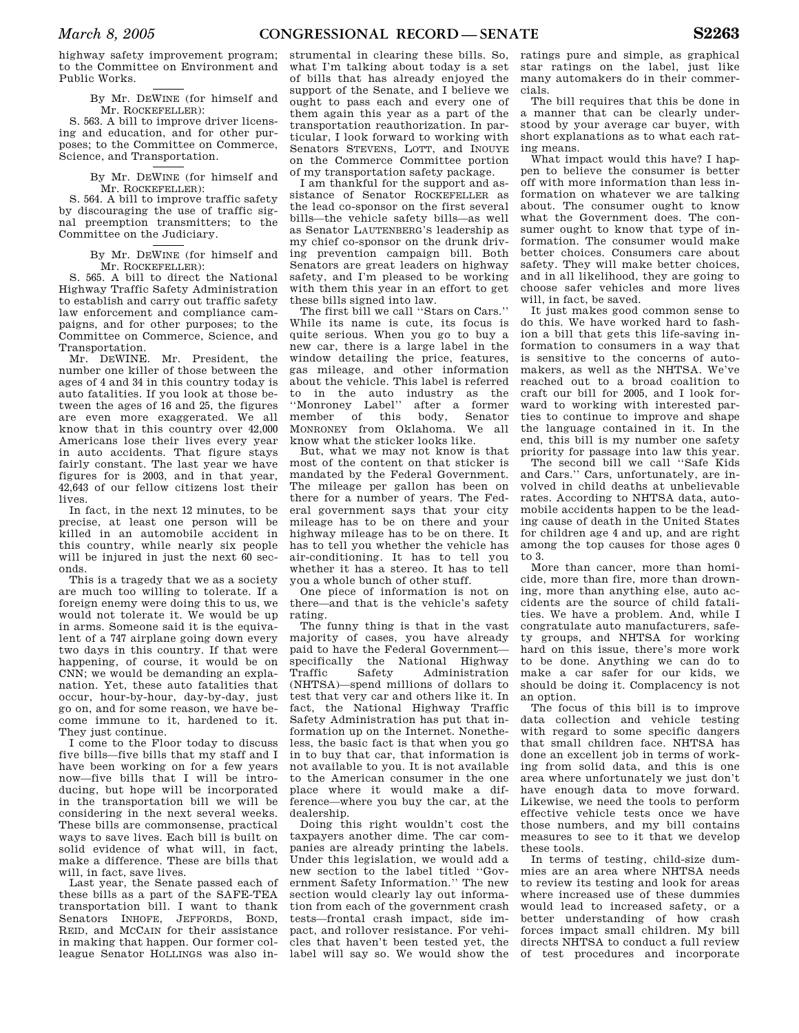highway safety improvement program; to the Committee on Environment and Public Works.

> By Mr. DEWINE (for himself and Mr. ROCKEFELLER):

S. 563. A bill to improve driver licensing and education, and for other purposes; to the Committee on Commerce, Science, and Transportation.

> By Mr. DEWINE (for himself and Mr. ROCKEFELLER):

S. 564. A bill to improve traffic safety by discouraging the use of traffic signal preemption transmitters; to the Committee on the Judiciary.

> By Mr. DEWINE (for himself and Mr. ROCKEFELLER):

S. 565. A bill to direct the National Highway Traffic Safety Administration to establish and carry out traffic safety law enforcement and compliance campaigns, and for other purposes; to the Committee on Commerce, Science, and Transportation.

Mr. DEWINE. Mr. President, the number one killer of those between the ages of 4 and 34 in this country today is auto fatalities. If you look at those between the ages of 16 and 25, the figures are even more exaggerated. We all know that in this country over 42,000 Americans lose their lives every year in auto accidents. That figure stays fairly constant. The last year we have figures for is 2003, and in that year, 42,643 of our fellow citizens lost their lives.

In fact, in the next 12 minutes, to be precise, at least one person will be killed in an automobile accident in this country, while nearly six people will be injured in just the next 60 seconds.

This is a tragedy that we as a society are much too willing to tolerate. If a foreign enemy were doing this to us, we would not tolerate it. We would be up in arms. Someone said it is the equivalent of a 747 airplane going down every two days in this country. If that were happening, of course, it would be on CNN; we would be demanding an explanation. Yet, these auto fatalities that occur, hour-by-hour, day-by-day, just go on, and for some reason, we have become immune to it, hardened to it. They just continue.

I come to the Floor today to discuss five bills—five bills that my staff and I have been working on for a few years now—five bills that I will be introducing, but hope will be incorporated in the transportation bill we will be considering in the next several weeks. These bills are commonsense, practical ways to save lives. Each bill is built on solid evidence of what will, in fact, make a difference. These are bills that will, in fact, save lives.

Last year, the Senate passed each of these bills as a part of the SAFE-TEA transportation bill. I want to thank Senators INHOFE, JEFFORDS, BOND, REID, and MCCAIN for their assistance in making that happen. Our former colleague Senator HOLLINGS was also in-

strumental in clearing these bills. So, what I'm talking about today is a set of bills that has already enjoyed the support of the Senate, and I believe we ought to pass each and every one of them again this year as a part of the transportation reauthorization. In particular, I look forward to working with Senators STEVENS, LOTT, and INOUYE on the Commerce Committee portion of my transportation safety package.

I am thankful for the support and assistance of Senator ROCKEFELLER as the lead co-sponsor on the first several bills—the vehicle safety bills—as well as Senator LAUTENBERG'S leadership as my chief co-sponsor on the drunk driving prevention campaign bill. Both Senators are great leaders on highway safety, and I'm pleased to be working with them this year in an effort to get these bills signed into law.

The first bill we call ''Stars on Cars.'' While its name is cute, its focus is quite serious. When you go to buy a new car, there is a large label in the window detailing the price, features, gas mileage, and other information about the vehicle. This label is referred to in the auto industry as the ''Monroney Label'' after a former member of this body, Senator MONRONEY from Oklahoma. We all know what the sticker looks like.

But, what we may not know is that most of the content on that sticker is mandated by the Federal Government. The mileage per gallon has been on there for a number of years. The Federal government says that your city mileage has to be on there and your highway mileage has to be on there. It has to tell you whether the vehicle has air-conditioning. It has to tell you whether it has a stereo. It has to tell you a whole bunch of other stuff.

One piece of information is not on there—and that is the vehicle's safety rating.

The funny thing is that in the vast majority of cases, you have already paid to have the Federal Government—<br>specifically the National Highway specifically the National Highway<br>Traffic Safety Administration Administration (NHTSA)—spend millions of dollars to test that very car and others like it. In fact, the National Highway Traffic Safety Administration has put that information up on the Internet. Nonetheless, the basic fact is that when you go in to buy that car, that information is not available to you. It is not available to the American consumer in the one place where it would make a difference—where you buy the car, at the dealership.

Doing this right wouldn't cost the taxpayers another dime. The car companies are already printing the labels. Under this legislation, we would add a new section to the label titled ''Government Safety Information.'' The new section would clearly lay out information from each of the government crash tests—frontal crash impact, side impact, and rollover resistance. For vehicles that haven't been tested yet, the label will say so. We would show the

ratings pure and simple, as graphical star ratings on the label, just like many automakers do in their commercials.

The bill requires that this be done in a manner that can be clearly understood by your average car buyer, with short explanations as to what each rating means.

What impact would this have? I happen to believe the consumer is better off with more information than less information on whatever we are talking about. The consumer ought to know what the Government does. The consumer ought to know that type of information. The consumer would make better choices. Consumers care about safety. They will make better choices, and in all likelihood, they are going to choose safer vehicles and more lives will, in fact, be saved.

It just makes good common sense to do this. We have worked hard to fashion a bill that gets this life-saving information to consumers in a way that is sensitive to the concerns of automakers, as well as the NHTSA. We've reached out to a broad coalition to craft our bill for 2005, and I look forward to working with interested parties to continue to improve and shape the language contained in it. In the end, this bill is my number one safety priority for passage into law this year.

The second bill we call "Safe Kids and Cars.'' Cars, unfortunately, are involved in child deaths at unbelievable rates. According to NHTSA data, automobile accidents happen to be the leading cause of death in the United States for children age 4 and up, and are right among the top causes for those ages 0 to 3.

More than cancer, more than homicide, more than fire, more than drowning, more than anything else, auto accidents are the source of child fatalities. We have a problem. And, while I congratulate auto manufacturers, safety groups, and NHTSA for working hard on this issue, there's more work to be done. Anything we can do to make a car safer for our kids, we should be doing it. Complacency is not an option.

The focus of this bill is to improve data collection and vehicle testing with regard to some specific dangers that small children face. NHTSA has done an excellent job in terms of working from solid data, and this is one area where unfortunately we just don't have enough data to move forward. Likewise, we need the tools to perform effective vehicle tests once we have those numbers, and my bill contains measures to see to it that we develop these tools.

In terms of testing, child-size dummies are an area where NHTSA needs to review its testing and look for areas where increased use of these dummies would lead to increased safety, or a better understanding of how crash forces impact small children. My bill directs NHTSA to conduct a full review of test procedures and incorporate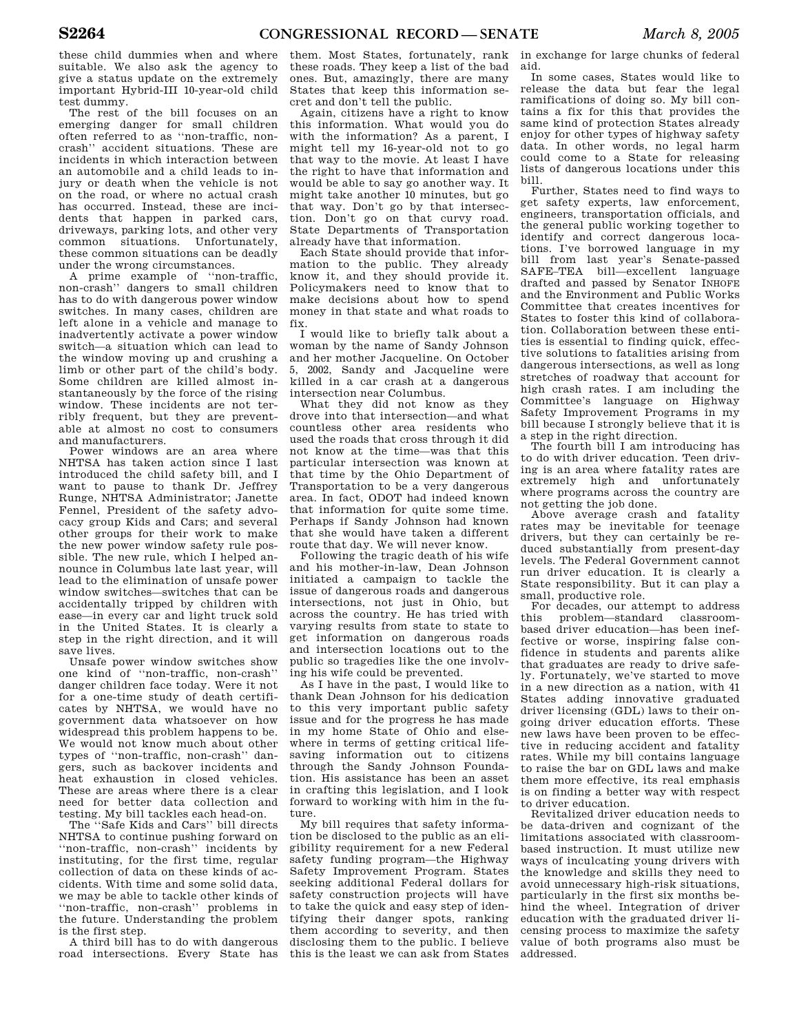these child dummies when and where suitable. We also ask the agency to give a status update on the extremely important Hybrid-III 10-year-old child test dummy.

The rest of the bill focuses on an emerging danger for small children often referred to as ''non-traffic, noncrash'' accident situations. These are incidents in which interaction between an automobile and a child leads to injury or death when the vehicle is not on the road, or where no actual crash has occurred. Instead, these are incidents that happen in parked cars, driveways, parking lots, and other very common situations. Unfortunately, these common situations can be deadly under the wrong circumstances.

A prime example of ''non-traffic, non-crash'' dangers to small children has to do with dangerous power window switches. In many cases, children are left alone in a vehicle and manage to inadvertently activate a power window switch—a situation which can lead to the window moving up and crushing a limb or other part of the child's body. Some children are killed almost instantaneously by the force of the rising window. These incidents are not terribly frequent, but they are preventable at almost no cost to consumers and manufacturers.

Power windows are an area where NHTSA has taken action since I last introduced the child safety bill, and I want to pause to thank Dr. Jeffrey Runge, NHTSA Administrator; Janette Fennel, President of the safety advocacy group Kids and Cars; and several other groups for their work to make the new power window safety rule possible. The new rule, which I helped announce in Columbus late last year, will lead to the elimination of unsafe power window switches—switches that can be accidentally tripped by children with ease—in every car and light truck sold in the United States. It is clearly a step in the right direction, and it will save lives.

Unsafe power window switches show one kind of ''non-traffic, non-crash'' danger children face today. Were it not for a one-time study of death certificates by NHTSA, we would have no government data whatsoever on how widespread this problem happens to be. We would not know much about other types of ''non-traffic, non-crash'' dangers, such as backover incidents and heat exhaustion in closed vehicles. These are areas where there is a clear need for better data collection and testing. My bill tackles each head-on.

The ''Safe Kids and Cars'' bill directs NHTSA to continue pushing forward on ''non-traffic, non-crash'' incidents by instituting, for the first time, regular collection of data on these kinds of accidents. With time and some solid data, we may be able to tackle other kinds of ''non-traffic, non-crash'' problems in the future. Understanding the problem is the first step.

A third bill has to do with dangerous road intersections. Every State has them. Most States, fortunately, rank these roads. They keep a list of the bad ones. But, amazingly, there are many States that keep this information secret and don't tell the public.

Again, citizens have a right to know this information. What would you do with the information? As a parent, I might tell my 16-year-old not to go that way to the movie. At least I have the right to have that information and would be able to say go another way. It might take another 10 minutes, but go that way. Don't go by that intersection. Don't go on that curvy road. State Departments of Transportation already have that information.

Each State should provide that information to the public. They already know it, and they should provide it. Policymakers need to know that to make decisions about how to spend money in that state and what roads to fix.

I would like to briefly talk about a woman by the name of Sandy Johnson and her mother Jacqueline. On October 5, 2002, Sandy and Jacqueline were killed in a car crash at a dangerous intersection near Columbus.

What they did not know as they drove into that intersection—and what countless other area residents who used the roads that cross through it did not know at the time—was that this particular intersection was known at that time by the Ohio Department of Transportation to be a very dangerous area. In fact, ODOT had indeed known that information for quite some time. Perhaps if Sandy Johnson had known that she would have taken a different route that day. We will never know.

Following the tragic death of his wife and his mother-in-law, Dean Johnson initiated a campaign to tackle the issue of dangerous roads and dangerous intersections, not just in Ohio, but across the country. He has tried with varying results from state to state to get information on dangerous roads and intersection locations out to the public so tragedies like the one involving his wife could be prevented.

As I have in the past, I would like to thank Dean Johnson for his dedication to this very important public safety issue and for the progress he has made in my home State of Ohio and elsewhere in terms of getting critical lifesaving information out to citizens through the Sandy Johnson Foundation. His assistance has been an asset in crafting this legislation, and I look forward to working with him in the future.

My bill requires that safety information be disclosed to the public as an eligibility requirement for a new Federal safety funding program—the Highway Safety Improvement Program. States seeking additional Federal dollars for safety construction projects will have to take the quick and easy step of identifying their danger spots, ranking them according to severity, and then disclosing them to the public. I believe this is the least we can ask from States

in exchange for large chunks of federal aid.

In some cases, States would like to release the data but fear the legal ramifications of doing so. My bill contains a fix for this that provides the same kind of protection States already enjoy for other types of highway safety data. In other words, no legal harm could come to a State for releasing lists of dangerous locations under this bill.

Further, States need to find ways to get safety experts, law enforcement, engineers, transportation officials, and the general public working together to identify and correct dangerous locations. I've borrowed language in my bill from last year's Senate-passed SAFE–TEA bill—excellent language drafted and passed by Senator INHOFE and the Environment and Public Works Committee that creates incentives for States to foster this kind of collaboration. Collaboration between these entities is essential to finding quick, effective solutions to fatalities arising from dangerous intersections, as well as long stretches of roadway that account for high crash rates. I am including the Committee's language on Highway Safety Improvement Programs in my bill because I strongly believe that it is a step in the right direction.

The fourth bill I am introducing has to do with driver education. Teen driving is an area where fatality rates are extremely high and unfortunately where programs across the country are not getting the job done.

Above average crash and fatality rates may be inevitable for teenage drivers, but they can certainly be reduced substantially from present-day levels. The Federal Government cannot run driver education. It is clearly a State responsibility. But it can play a small, productive role.

For decades, our attempt to address this problem—standard classroombased driver education—has been ineffective or worse, inspiring false confidence in students and parents alike that graduates are ready to drive safely. Fortunately, we've started to move in a new direction as a nation, with 41 States adding innovative graduated driver licensing (GDL) laws to their ongoing driver education efforts. These new laws have been proven to be effective in reducing accident and fatality rates. While my bill contains language to raise the bar on GDL laws and make them more effective, its real emphasis is on finding a better way with respect to driver education.

Revitalized driver education needs to be data-driven and cognizant of the limitations associated with classroombased instruction. It must utilize new ways of inculcating young drivers with the knowledge and skills they need to avoid unnecessary high-risk situations, particularly in the first six months behind the wheel. Integration of driver education with the graduated driver licensing process to maximize the safety value of both programs also must be addressed.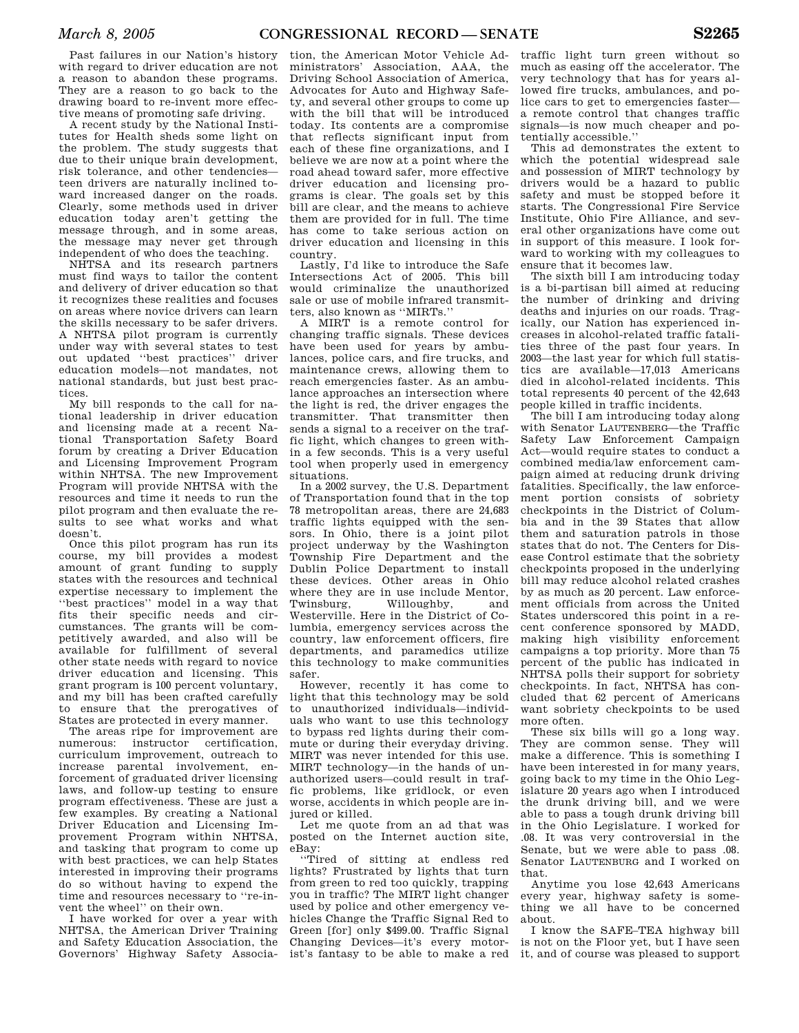Past failures in our Nation's history with regard to driver education are not a reason to abandon these programs. They are a reason to go back to the drawing board to re-invent more effective means of promoting safe driving.

A recent study by the National Institutes for Health sheds some light on the problem. The study suggests that due to their unique brain development, risk tolerance, and other tendencies teen drivers are naturally inclined toward increased danger on the roads. Clearly, some methods used in driver education today aren't getting the message through, and in some areas, the message may never get through independent of who does the teaching.

NHTSA and its research partners must find ways to tailor the content and delivery of driver education so that it recognizes these realities and focuses on areas where novice drivers can learn the skills necessary to be safer drivers. A NHTSA pilot program is currently under way with several states to test out updated ''best practices'' driver education models—not mandates, not national standards, but just best practices.

My bill responds to the call for national leadership in driver education and licensing made at a recent National Transportation Safety Board forum by creating a Driver Education and Licensing Improvement Program within NHTSA. The new Improvement Program will provide NHTSA with the resources and time it needs to run the pilot program and then evaluate the results to see what works and what doesn't.

Once this pilot program has run its course, my bill provides a modest amount of grant funding to supply states with the resources and technical expertise necessary to implement the ''best practices'' model in a way that fits their specific needs and circumstances. The grants will be competitively awarded, and also will be available for fulfillment of several other state needs with regard to novice driver education and licensing. This grant program is 100 percent voluntary, and my bill has been crafted carefully to ensure that the prerogatives of States are protected in every manner.

The areas ripe for improvement are numerous: instructor certification, curriculum improvement, outreach to increase parental involvement, enforcement of graduated driver licensing laws, and follow-up testing to ensure program effectiveness. These are just a few examples. By creating a National Driver Education and Licensing Improvement Program within NHTSA, and tasking that program to come up with best practices, we can help States interested in improving their programs do so without having to expend the time and resources necessary to ''re-invent the wheel'' on their own.

I have worked for over a year with NHTSA, the American Driver Training and Safety Education Association, the Governors' Highway Safety Associa-

tion, the American Motor Vehicle Administrators' Association, AAA, the Driving School Association of America, Advocates for Auto and Highway Safety, and several other groups to come up with the bill that will be introduced today. Its contents are a compromise that reflects significant input from each of these fine organizations, and I believe we are now at a point where the road ahead toward safer, more effective driver education and licensing programs is clear. The goals set by this bill are clear, and the means to achieve them are provided for in full. The time has come to take serious action on driver education and licensing in this country.

Lastly, I'd like to introduce the Safe Intersections Act of 2005. This bill would criminalize the unauthorized sale or use of mobile infrared transmitters, also known as ''MIRTs.''

A MIRT is a remote control for changing traffic signals. These devices have been used for years by ambulances, police cars, and fire trucks, and maintenance crews, allowing them to reach emergencies faster. As an ambulance approaches an intersection where the light is red, the driver engages the transmitter. That transmitter then sends a signal to a receiver on the traffic light, which changes to green within a few seconds. This is a very useful tool when properly used in emergency situations.

In a 2002 survey, the U.S. Department of Transportation found that in the top 78 metropolitan areas, there are 24,683 traffic lights equipped with the sensors. In Ohio, there is a joint pilot project underway by the Washington Township Fire Department and the Dublin Police Department to install these devices. Other areas in Ohio where they are in use include Mentor,<br>Twinsburg, Willoughby, and Willoughby, and Westerville. Here in the District of Columbia, emergency services across the country, law enforcement officers, fire departments, and paramedics utilize this technology to make communities safer.

However, recently it has come to light that this technology may be sold to unauthorized individuals—individuals who want to use this technology to bypass red lights during their commute or during their everyday driving. MIRT was never intended for this use. MIRT technology—in the hands of unauthorized users—could result in traffic problems, like gridlock, or even worse, accidents in which people are injured or killed.

Let me quote from an ad that was posted on the Internet auction site, eBay:

''Tired of sitting at endless red lights? Frustrated by lights that turn from green to red too quickly, trapping you in traffic? The MIRT light changer used by police and other emergency vehicles Change the Traffic Signal Red to Green [for] only \$499.00. Traffic Signal Changing Devices—it's every motor-

traffic light turn green without so much as easing off the accelerator. The very technology that has for years allowed fire trucks, ambulances, and police cars to get to emergencies faster a remote control that changes traffic signals—is now much cheaper and potentially accessible.''

This ad demonstrates the extent to which the potential widespread sale and possession of MIRT technology by drivers would be a hazard to public safety and must be stopped before it starts. The Congressional Fire Service Institute, Ohio Fire Alliance, and several other organizations have come out in support of this measure. I look forward to working with my colleagues to ensure that it becomes law.

The sixth bill I am introducing today is a bi-partisan bill aimed at reducing the number of drinking and driving deaths and injuries on our roads. Tragically, our Nation has experienced increases in alcohol-related traffic fatalities three of the past four years. In 2003—the last year for which full statistics are available—17,013 Americans died in alcohol-related incidents. This total represents 40 percent of the 42,643 people killed in traffic incidents.

The bill I am introducing today along with Senator LAUTENBERG—the Traffic Safety Law Enforcement Campaign Act—would require states to conduct a combined media/law enforcement campaign aimed at reducing drunk driving fatalities. Specifically, the law enforcement portion consists of sobriety checkpoints in the District of Columbia and in the 39 States that allow them and saturation patrols in those states that do not. The Centers for Disease Control estimate that the sobriety checkpoints proposed in the underlying bill may reduce alcohol related crashes by as much as 20 percent. Law enforcement officials from across the United States underscored this point in a recent conference sponsored by MADD, making high visibility enforcement campaigns a top priority. More than 75 percent of the public has indicated in NHTSA polls their support for sobriety checkpoints. In fact, NHTSA has concluded that 62 percent of Americans want sobriety checkpoints to be used more often.

These six bills will go a long way. They are common sense. They will make a difference. This is something I have been interested in for many years, going back to my time in the Ohio Legislature 20 years ago when I introduced the drunk driving bill, and we were able to pass a tough drunk driving bill in the Ohio Legislature. I worked for .08. It was very controversial in the Senate, but we were able to pass .08. Senator LAUTENBURG and I worked on that.

Anytime you lose 42,643 Americans every year, highway safety is something we all have to be concerned about.

ist's fantasy to be able to make a red it, and of course was pleased to support I know the SAFE–TEA highway bill is not on the Floor yet, but I have seen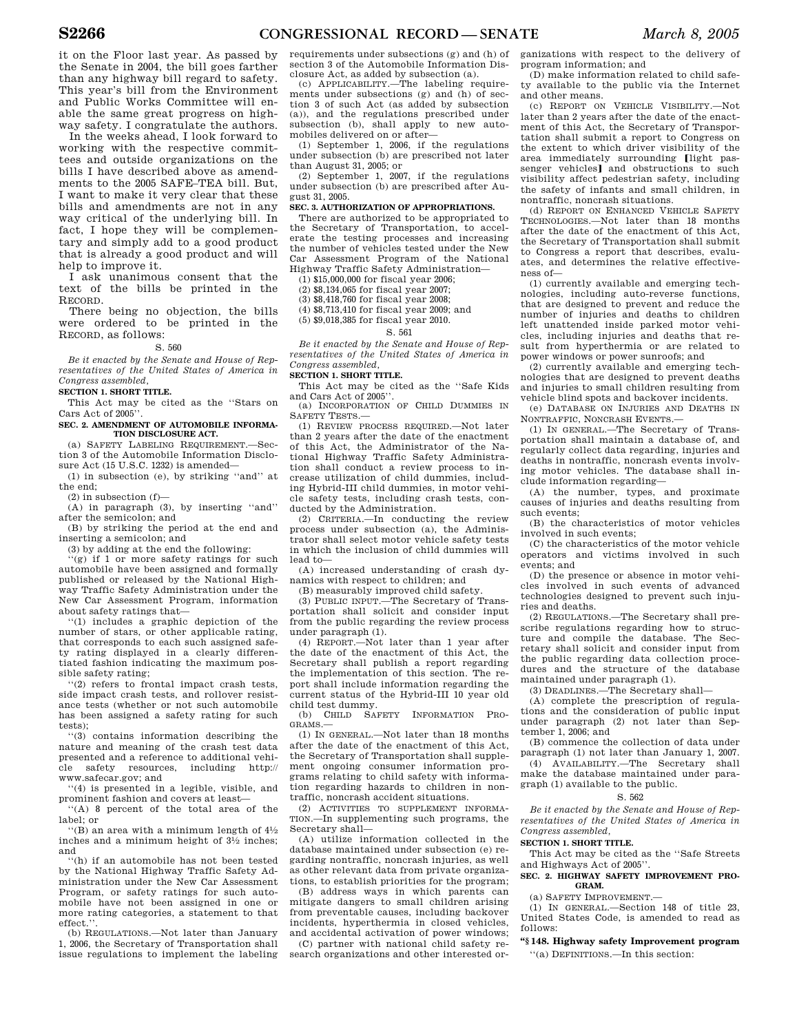it on the Floor last year. As passed by the Senate in 2004, the bill goes farther than any highway bill regard to safety. This year's bill from the Environment and Public Works Committee will enable the same great progress on highway safety. I congratulate the authors.

In the weeks ahead, I look forward to working with the respective committees and outside organizations on the bills I have described above as amendments to the 2005 SAFE–TEA bill. But, I want to make it very clear that these bills and amendments are not in any way critical of the underlying bill. In fact, I hope they will be complementary and simply add to a good product that is already a good product and will help to improve it.

I ask unanimous consent that the text of the bills be printed in the RECORD.

There being no objection, the bills were ordered to be printed in the RECORD, as follows:

#### S. 560

*Be it enacted by the Senate and House of Representatives of the United States of America in Congress assembled,* 

**SECTION 1. SHORT TITLE.** 

This Act may be cited as the ''Stars on Cars Act of 2005''.

## **SEC. 2. AMENDMENT OF AUTOMOBILE INFORMA-TION DISCLOSURE ACT.**

(a) SAFETY LABELING REQUIREMENT.—Section 3 of the Automobile Information Disclosure Act (15 U.S.C. 1232) is amended—

(1) in subsection (e), by striking ''and'' at the end;

(2) in subsection (f)—

(A) in paragraph (3), by inserting ''and'' after the semicolon; and

(B) by striking the period at the end and inserting a semicolon; and

(3) by adding at the end the following:

 $'(g)$  if 1 or more safety ratings for such automobile have been assigned and formally published or released by the National Highway Traffic Safety Administration under the New Car Assessment Program, information about safety ratings that—

''(1) includes a graphic depiction of the number of stars, or other applicable rating, that corresponds to each such assigned safety rating displayed in a clearly differentiated fashion indicating the maximum possible safety rating;

''(2) refers to frontal impact crash tests, side impact crash tests, and rollover resistance tests (whether or not such automobile has been assigned a safety rating for such tests);

''(3) contains information describing the nature and meaning of the crash test data presented and a reference to additional vehicle safety resources, including http:// www.safecar.gov; and

''(4) is presented in a legible, visible, and prominent fashion and covers at least—

''(A) 8 percent of the total area of the label; or

 $\cdot$ <sup>'</sup>(B) an area with a minimum length of  $4\frac{1}{2}$ inches and a minimum height of 31⁄2 inches; and

''(h) if an automobile has not been tested by the National Highway Traffic Safety Administration under the New Car Assessment Program, or safety ratings for such automobile have not been assigned in one or more rating categories, a statement to that effect.

(b) REGULATIONS.—Not later than January 1, 2006, the Secretary of Transportation shall issue regulations to implement the labeling

requirements under subsections (g) and (h) of section 3 of the Automobile Information Disclosure Act, as added by subsection (a).

 $(c)$  APPLICABILITY —The labeling requirements under subsections (g) and (h) of section 3 of such Act (as added by subsection (a)), and the regulations prescribed under subsection (b), shall apply to new automobiles delivered on or after—

(1) September 1, 2006, if the regulations under subsection (b) are prescribed not later than August 31, 2005; or

(2) September 1, 2007, if the regulations under subsection (b) are prescribed after August 31, 2005.

## **SEC. 3. AUTHORIZATION OF APPROPRIATIONS.**

There are authorized to be appropriated to the Secretary of Transportation, to accelerate the testing processes and increasing the number of vehicles tested under the New Car Assessment Program of the National Highway Traffic Safety Administration—

(1) \$15,000,000 for fiscal year 2006;

(2) \$8,134,065 for fiscal year 2007;

(3) \$8,418,760 for fiscal year 2008;

(4) \$8,713,410 for fiscal year 2009; and (5) \$9,018,385 for fiscal year 2010.

S. 561

*Be it enacted by the Senate and House of Representatives of the United States of America in Congress assembled,* 

#### **SECTION 1. SHORT TITLE.**

This Act may be cited as the ''Safe Kids and Cars Act of 2005''.

(a) INCORPORATION OF CHILD DUMMIES IN SAFETY TESTS.—

(1) REVIEW PROCESS REQUIRED.—Not later than 2 years after the date of the enactment of this Act, the Administrator of the National Highway Traffic Safety Administration shall conduct a review process to increase utilization of child dummies, including Hybrid-III child dummies, in motor vehicle safety tests, including crash tests, conducted by the Administration.

(2) CRITERIA.—In conducting the review process under subsection (a), the Administrator shall select motor vehicle safety tests in which the inclusion of child dummies will lead to—

(A) increased understanding of crash dynamics with respect to children; and

(B) measurably improved child safety.

(3) PUBLIC INPUT.—The Secretary of Transportation shall solicit and consider input from the public regarding the review process under paragraph (1).

(4) REPORT.—Not later than 1 year after the date of the enactment of this Act, the Secretary shall publish a report regarding the implementation of this section. The report shall include information regarding the current status of the Hybrid-III 10 year old child test dummy.

(b) CHILD SAFETY INFORMATION PRO-GRAMS.—

(1) IN GENERAL.—Not later than 18 months after the date of the enactment of this Act, the Secretary of Transportation shall supplement ongoing consumer information programs relating to child safety with information regarding hazards to children in nontraffic, noncrash accident situations.

(2) ACTIVITIES TO SUPPLEMENT INFORMA-TION.—In supplementing such programs, the Secretary shall—

(A) utilize information collected in the database maintained under subsection (e) regarding nontraffic, noncrash injuries, as well as other relevant data from private organizations, to establish priorities for the program;

(B) address ways in which parents can mitigate dangers to small children arising from preventable causes, including backover incidents, hyperthermia in closed vehicles, and accidental activation of power windows;

(C) partner with national child safety research organizations and other interested organizations with respect to the delivery of program information; and

(D) make information related to child safety available to the public via the Internet and other means.

(c) REPORT ON VEHICLE VISIBILITY.—Not later than 2 years after the date of the enactment of this Act, the Secretary of Transportation shall submit a report to Congress on the extent to which driver visibility of the area immediately surrounding [light passenger vehicles] and obstructions to such visibility affect pedestrian safety, including the safety of infants and small children, in nontraffic, noncrash situations.

(d) REPORT ON ENHANCED VEHICLE SAFETY TECHNOLOGIES.—Not later than 18 months after the date of the enactment of this Act, the Secretary of Transportation shall submit to Congress a report that describes, evaluates, and determines the relative effectiveness of—

(1) currently available and emerging technologies, including auto-reverse functions, that are designed to prevent and reduce the number of injuries and deaths to children left unattended inside parked motor vehicles, including injuries and deaths that result from hyperthermia or are related to power windows or power sunroofs; and

(2) currently available and emerging technologies that are designed to prevent deaths and injuries to small children resulting from vehicle blind spots and backover incidents.

(e) DATABASE ON INJURIES AND DEATHS IN NONTRAFFIC, NONCRASH EVENTS.—

(1) IN GENERAL.—The Secretary of Transportation shall maintain a database of, and regularly collect data regarding, injuries and deaths in nontraffic, noncrash events involving motor vehicles. The database shall include information regarding—

(A) the number, types, and proximate causes of injuries and deaths resulting from such events;

(B) the characteristics of motor vehicles involved in such events;

(C) the characteristics of the motor vehicle operators and victims involved in such events; and

(D) the presence or absence in motor vehicles involved in such events of advanced technologies designed to prevent such injuries and deaths.

(2) REGULATIONS.—The Secretary shall prescribe regulations regarding how to structure and compile the database. The Secretary shall solicit and consider input from the public regarding data collection procedures and the structure of the database maintained under paragraph (1).

(3) DEADLINES.—The Secretary shall—

(A) complete the prescription of regulations and the consideration of public input under paragraph (2) not later than September 1, 2006; and

(B) commence the collection of data under paragraph (1) not later than January 1, 2007.

(4) AVAILABILITY.—The Secretary shall make the database maintained under paragraph (1) available to the public.

#### S. 562

*Be it enacted by the Senate and House of Representatives of the United States of America in Congress assembled,* 

#### **SECTION 1. SHORT TITLE.**

This Act may be cited as the ''Safe Streets and Highways Act of 2005''.

#### **SEC. 2. HIGHWAY SAFETY IMPROVEMENT PRO-GRAM.**

 $(a)$  SAFETY IMPROVEMENT $-$ 

(1) IN GENERAL.—Section 148 of title 23, United States Code, is amended to read as follows:

#### **''§ 148. Highway safety Improvement program**

''(a) DEFINITIONS.—In this section: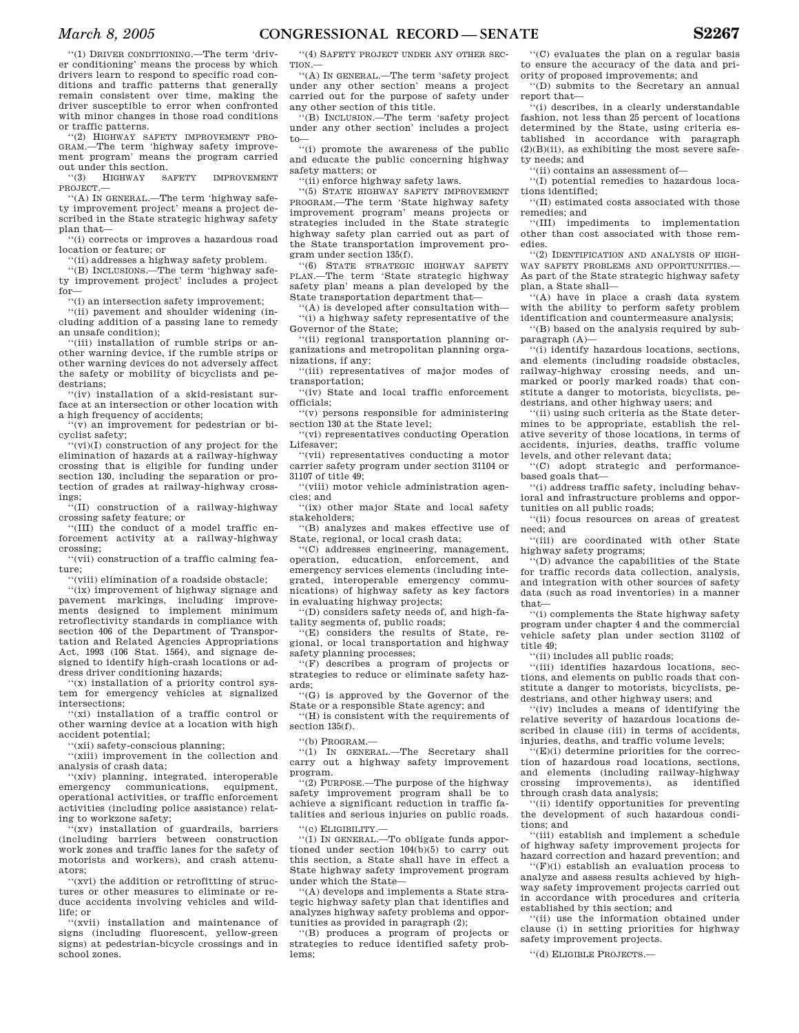''(1) DRIVER CONDITIONING.—The term 'driver conditioning' means the process by which drivers learn to respond to specific road conditions and traffic patterns that generally remain consistent over time, making the driver susceptible to error when confronted with minor changes in those road conditions or traffic patterns.

''(2) HIGHWAY SAFETY IMPROVEMENT PRO-GRAM.—The term 'highway safety improvement program' means the program carried out under this section.<br>
"(3) HIGHWAY SAFETY

''(3) HIGHWAY SAFETY IMPROVEMENT PROJECT.—

''(A) IN GENERAL.—The term 'highway safety improvement project' means a project described in the State strategic highway safety plan that—

''(i) corrects or improves a hazardous road location or feature; or

''(ii) addresses a highway safety problem.

''(B) INCLUSIONS.—The term 'highway safety improvement project' includes a project for—

''(i) an intersection safety improvement;

''(ii) pavement and shoulder widening (including addition of a passing lane to remedy an unsafe condition);

''(iii) installation of rumble strips or another warning device, if the rumble strips or other warning devices do not adversely affect the safety or mobility of bicyclists and pedestrians;

''(iv) installation of a skid-resistant surface at an intersection or other location with a high frequency of accidents;

''(v) an improvement for pedestrian or bicyclist safety;

''(vi)(I) construction of any project for the elimination of hazards at a railway-highway crossing that is eligible for funding under section 130, including the separation or protection of grades at railway-highway crossings;

 $\mathbf{u}^{\mathsf{T}}(\mathbf{I}\mathbf{I})$  construction of a railway-highway crossing safety feature; or

''(III) the conduct of a model traffic enforcement activity at a railway-highway crossing;

''(vii) construction of a traffic calming feature;

''(viii) elimination of a roadside obstacle; ''(ix) improvement of highway signage and pavement markings, including improve-ments designed to implement minimum retroflectivity standards in compliance with section 406 of the Department of Transportation and Related Agencies Appropriations Act, 1993 (106 Stat. 1564), and signage designed to identify high-crash locations or address driver conditioning hazards;

 $'(x)$  installation of a priority control system for emergency vehicles at signalized intersections;

''(xi) installation of a traffic control or other warning device at a location with high accident potential;

'(xii) safety-conscious planning;

''(xiii) improvement in the collection and analysis of crash data;

''(xiv) planning, integrated, interoperable emergency communications, equipment, operational activities, or traffic enforcement activities (including police assistance) relating to workzone safety;

''(xv) installation of guardrails, barriers (including barriers between construction work zones and traffic lanes for the safety of motorists and workers), and crash attenuators;

''(xvi) the addition or retrofitting of structures or other measures to eliminate or reduce accidents involving vehicles and wildlife; or

''(xvii) installation and maintenance of signs (including fluorescent, yellow-green signs) at pedestrian-bicycle crossings and in school zones.

''(4) SAFETY PROJECT UNDER ANY OTHER SEC-TION.—

''(A) IN GENERAL.—The term 'safety project under any other section' means a project carried out for the purpose of safety under any other section of this title.

''(B) INCLUSION.—The term 'safety project under any other section' includes a project to—

''(i) promote the awareness of the public and educate the public concerning highway safety matters; or

''(ii) enforce highway safety laws.

''(5) STATE HIGHWAY SAFETY IMPROVEMENT PROGRAM.—The term 'State highway safety improvement program' means projects or strategies included in the State strategic highway safety plan carried out as part of the State transportation improvement program under section 135(f).

''(6) STATE STRATEGIC HIGHWAY SAFETY PLAN.—The term 'State strategic highway safety plan' means a plan developed by the State transportation department that—

''(A) is developed after consultation with— ''(i) a highway safety representative of the Governor of the State;

''(ii) regional transportation planning organizations and metropolitan planning organizations, if any;

''(iii) representatives of major modes of transportation;

''(iv) State and local traffic enforcement officials;

''(v) persons responsible for administering section 130 at the State level;

''(vi) representatives conducting Operation Lifesaver;

''(vii) representatives conducting a motor carrier safety program under section 31104 or 31107 of title 49;

''(viii) motor vehicle administration agencies; and

''(ix) other major State and local safety stakeholders;

''(B) analyzes and makes effective use of State, regional, or local crash data;

''(C) addresses engineering, management, operation, education, enforcement, and emergency services elements (including integrated, interoperable emergency communications) of highway safety as key factors in evaluating highway projects;

''(D) considers safety needs of, and high-fatality segments of, public roads;

''(E) considers the results of State, regional, or local transportation and highway safety planning processes;

''(F) describes a program of projects or strategies to reduce or eliminate safety hazards;

''(G) is approved by the Governor of the State or a responsible State agency; and

''(H) is consistent with the requirements of section 135(f).

''(b) PROGRAM.—

''(1) IN GENERAL.—The Secretary shall carry out a highway safety improvement program.

''(2) PURPOSE.—The purpose of the highway safety improvement program shall be to achieve a significant reduction in traffic fatalities and serious injuries on public roads.

''(c) ELIGIBILITY.—

''(1) IN GENERAL.—To obligate funds apportioned under section 104(b)(5) to carry out this section, a State shall have in effect a State highway safety improvement program under which the State—

''(A) develops and implements a State strategic highway safety plan that identifies and analyzes highway safety problems and opportunities as provided in paragraph (2);

''(B) produces a program of projects or strategies to reduce identified safety problems;

''(C) evaluates the plan on a regular basis to ensure the accuracy of the data and priority of proposed improvements; and

''(D) submits to the Secretary an annual report that—

''(i) describes, in a clearly understandable fashion, not less than 25 percent of locations determined by the State, using criteria established in accordance with paragraph  $(2)(B)(ii)$ , as exhibiting the most severe safety needs; and

''(ii) contains an assessment of—

''(I) potential remedies to hazardous locations identified;

''(II) estimated costs associated with those remedies; and

''(III) impediments to implementation other than cost associated with those remedies.

''(2) IDENTIFICATION AND ANALYSIS OF HIGH-WAY SAFETY PROBLEMS AND OPPORTUNITIES.— As part of the State strategic highway safety plan, a State shall—

''(A) have in place a crash data system with the ability to perform safety problem identification and countermeasure analysis;

''(B) based on the analysis required by subparagraph  $(A)$ —

''(i) identify hazardous locations, sections, and elements (including roadside obstacles, railway-highway crossing needs, and unmarked or poorly marked roads) that constitute a danger to motorists, bicyclists, pedestrians, and other highway users; and

''(ii) using such criteria as the State determines to be appropriate, establish the relative severity of those locations, in terms of accidents, injuries, deaths, traffic volume levels, and other relevant data;

''(C) adopt strategic and performancebased goals that—

''(i) address traffic safety, including behavioral and infrastructure problems and opportunities on all public roads;

''(ii) focus resources on areas of greatest need; and

''(iii) are coordinated with other State highway safety programs;

''(D) advance the capabilities of the State for traffic records data collection, analysis, and integration with other sources of safety data (such as road inventories) in a manner that—

''(i) complements the State highway safety program under chapter 4 and the commercial vehicle safety plan under section 31102 of title 49;

''(ii) includes all public roads;

''(iii) identifies hazardous locations, sections, and elements on public roads that constitute a danger to motorists, bicyclists, pedestrians, and other highway users; and

''(iv) includes a means of identifying the relative severity of hazardous locations described in clause (iii) in terms of accidents, injuries, deaths, and traffic volume levels;

 $E(E)(i)$  determine priorities for the correction of hazardous road locations, sections, and elements (including railway-highway crossing improvements), as identified through crash data analysis;

''(ii) identify opportunities for preventing the development of such hazardous conditions; and

''(iii) establish and implement a schedule of highway safety improvement projects for hazard correction and hazard prevention; and

''(F)(i) establish an evaluation process to analyze and assess results achieved by highway safety improvement projects carried out in accordance with procedures and criteria established by this section; and

''(ii) use the information obtained under clause (i) in setting priorities for highway safety improvement projects.

''(d) ELIGIBLE PROJECTS.—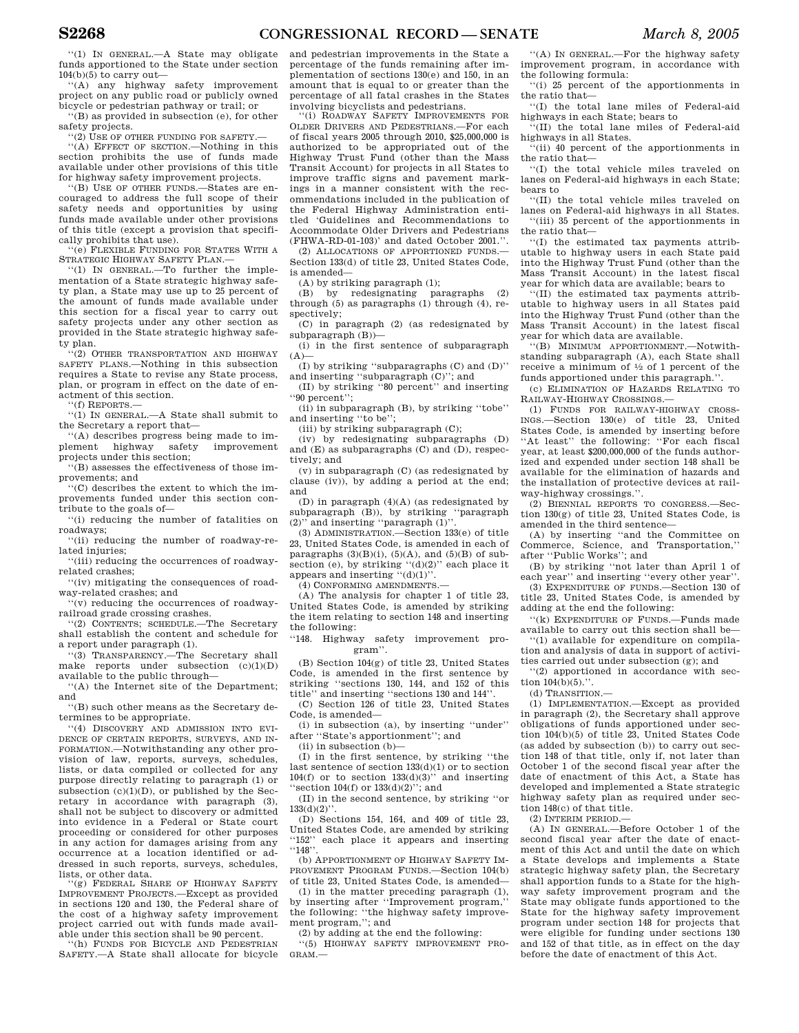''(1) IN GENERAL.—A State may obligate funds apportioned to the State under section  $104(b)(5)$  to carry out-

''(A) any highway safety improvement project on any public road or publicly owned bicycle or pedestrian pathway or trail; or

''(B) as provided in subsection (e), for other safety projects.

''(2) USE OF OTHER FUNDING FOR SAFETY.—

''(A) EFFECT OF SECTION.—Nothing in this section prohibits the use of funds made available under other provisions of this title for highway safety improvement projects.

''(B) USE OF OTHER FUNDS.—States are encouraged to address the full scope of their safety needs and opportunities by using funds made available under other provisions of this title (except a provision that specifically prohibits that use).

''(e) FLEXIBLE FUNDING FOR STATES WITH A STRATEGIC HIGHWAY SAFETY PLAN.—

''(1) IN GENERAL.—To further the implementation of a State strategic highway safety plan, a State may use up to 25 percent of the amount of funds made available under this section for a fiscal year to carry out safety projects under any other section as provided in the State strategic highway safety plan.

''(2) OTHER TRANSPORTATION AND HIGHWAY SAFETY PLANS.—Nothing in this subsection requires a State to revise any State process, plan, or program in effect on the date of enactment of this section.

''(f) REPORTS.—

''(1) IN GENERAL.—A State shall submit to the Secretary a report that—

''(A) describes progress being made to implement highway safety improvement projects under this section;

''(B) assesses the effectiveness of those im-

provements; and ''(C) describes the extent to which the improvements funded under this section con-

tribute to the goals of— ''(i) reducing the number of fatalities on

roadways; ''(ii) reducing the number of roadway-re-

lated injuries;

''(iii) reducing the occurrences of roadwayrelated crashes;

''(iv) mitigating the consequences of roadway-related crashes; and

'(v) reducing the occurrences of roadwayrailroad grade crossing crashes.

''(2) CONTENTS; SCHEDULE.—The Secretary shall establish the content and schedule for a report under paragraph (1).

'(3) TRANSPARENCY.—The Secretary shall make reports under subsection  $(c)(1)(D)$ available to the public through—

''(A) the Internet site of the Department; and

''(B) such other means as the Secretary determines to be appropriate.

''(4) DISCOVERY AND ADMISSION INTO EVI-DENCE OF CERTAIN REPORTS, SURVEYS, AND IN-FORMATION.—Notwithstanding any other provision of law, reports, surveys, schedules, lists, or data compiled or collected for any purpose directly relating to paragraph (1) or subsection (c)(1)(D), or published by the Secretary in accordance with paragraph (3), shall not be subject to discovery or admitted into evidence in a Federal or State court proceeding or considered for other purposes in any action for damages arising from any occurrence at a location identified or addressed in such reports, surveys, schedules, lists, or other data.

''(g) FEDERAL SHARE OF HIGHWAY SAFETY IMPROVEMENT PROJECTS.—Except as provided in sections 120 and 130, the Federal share of the cost of a highway safety improvement project carried out with funds made available under this section shall be 90 percent.

'(h) FUNDS FOR BICYCLE AND PEDESTRIAN SAFETY.—A State shall allocate for bicycle

and pedestrian improvements in the State a percentage of the funds remaining after implementation of sections 130(e) and 150, in an amount that is equal to or greater than the percentage of all fatal crashes in the States involving bicyclists and pedestrians.

''(i) ROADWAY SAFETY IMPROVEMENTS FOR OLDER DRIVERS AND PEDESTRIANS.—For each of fiscal years 2005 through 2010, \$25,000,000 is authorized to be appropriated out of the Highway Trust Fund (other than the Mass Transit Account) for projects in all States to improve traffic signs and pavement markings in a manner consistent with the recommendations included in the publication of the Federal Highway Administration entitled 'Guidelines and Recommendations to Accommodate Older Drivers and Pedestrians (FHWA-RD-01-103)' and dated October 2001.''.

(2) ALLOCATIONS OF APPORTIONED FUNDS.— Section 133(d) of title 23, United States Code, is amended—

(A) by striking paragraph (1);

(B) by redesignating paragraphs (2) through (5) as paragraphs (1) through (4), respectively:

(C) in paragraph (2) (as redesignated by subparagraph (B))—

(i) in the first sentence of subparagraph  $(A)$ —

(I) by striking ''subparagraphs (C) and (D)'' and inserting ''subparagraph (C)''; and

(II) by striking ''80 percent'' and inserting ''90 percent'';

(ii) in subparagraph (B), by striking ''tobe'' and inserting ''to be'';

(iii) by striking subparagraph (C);

(iv) by redesignating subparagraphs (D) and (E) as subparagraphs (C) and (D), respectively; and

(v) in subparagraph (C) (as redesignated by clause (iv)), by adding a period at the end; and

(D) in paragraph (4)(A) (as redesignated by subparagraph (B)), by striking ''paragraph (2)'' and inserting ''paragraph (1)''.

(3) ADMINISTRATION.—Section 133(e) of title 23, United States Code, is amended in each of paragraphs  $(3)(B)(i)$ ,  $(5)(A)$ , and  $(5)(B)$  of subsection (e), by striking "(d)(2)" each place it appears and inserting  $( d)(1)$ ".

(4) CONFORMING AMENDMENTS.—

(A) The analysis for chapter 1 of title 23, United States Code, is amended by striking the item relating to section 148 and inserting the following:

''148. Highway safety improvement program''.

(B) Section 104(g) of title 23, United States Code, is amended in the first sentence by striking ''sections 130, 144, and 152 of this title'' and inserting ''sections 130 and 144''.

(C) Section 126 of title 23, United States Code, is amended—

(i) in subsection (a), by inserting ''under'' after ''State's apportionment''; and

(ii) in subsection (b)—

(I) in the first sentence, by striking ''the last sentence of section  $133(d)(1)$  or to section  $104(f)$  or to section  $133(d)(3)$ " and inserting ''section 104(f) or 133(d)(2)''; and

(II) in the second sentence, by striking ''or  $133(d)(2)$ ".

(D) Sections 154, 164, and 409 of title 23, United States Code, are amended by striking ''152'' each place it appears and inserting ''148''.

(b) APPORTIONMENT OF HIGHWAY SAFETY IM-PROVEMENT PROGRAM FUNDS.—Section 104(b) of title 23, United States Code, is amended—

(1) in the matter preceding paragraph (1), by inserting after ''Improvement program,''

the following: ''the highway safety improvement program,''; and

(2) by adding at the end the following:

''(5) HIGHWAY SAFETY IMPROVEMENT PRO-GRAM.—

''(A) IN GENERAL.—For the highway safety improvement program, in accordance with the following formula:

''(i) 25 percent of the apportionments in the ratio that—

''(I) the total lane miles of Federal-aid highways in each State; bears to ''(II) the total lane miles of Federal-aid

highways in all States.

''(ii) 40 percent of the apportionments in the ratio that—

''(I) the total vehicle miles traveled on lanes on Federal-aid highways in each State; bears to

''(II) the total vehicle miles traveled on lanes on Federal-aid highways in all States. ''(iii) 35 percent of the apportionments in the ratio that—

''(I) the estimated tax payments attributable to highway users in each State paid into the Highway Trust Fund (other than the Mass Transit Account) in the latest fiscal year for which data are available; bears to

''(II) the estimated tax payments attributable to highway users in all States paid into the Highway Trust Fund (other than the Mass Transit Account) in the latest fiscal year for which data are available.

''(B) MINIMUM APPORTIONMENT.—Notwithstanding subparagraph (A), each State shall receive a minimum of 1⁄2 of 1 percent of the funds apportioned under this paragraph.''.

(c) ELIMINATION OF HAZARDS RELATING TO RAILWAY-HIGHWAY CROSSINGS.—

(1) FUNDS FOR RAILWAY-HIGHWAY CROSS-INGS.—Section 130(e) of title 23, United States Code, is amended by inserting before ''At least'' the following: ''For each fiscal year, at least \$200,000,000 of the funds authorized and expended under section 148 shall be available for the elimination of hazards and the installation of protective devices at railway-highway crossings.''.

(2) BIENNIAL REPORTS TO CONGRESS.—Section 130(g) of title 23, United States Code, is amended in the third sentence—

(A) by inserting ''and the Committee on Commerce, Science, and Transportation,'' after ''Public Works''; and

(B) by striking ''not later than April 1 of each year'' and inserting ''every other year''.

(3) EXPENDITURE OF FUNDS.—Section 130 of title 23, United States Code, is amended by adding at the end the following:

''(k) EXPENDITURE OF FUNDS.—Funds made available to carry out this section shall be—

''(1) available for expenditure on compilation and analysis of data in support of activities carried out under subsection (g); and

''(2) apportioned in accordance with section  $104(b)(5)$ .".

(d) TRANSITION.—

(1) IMPLEMENTATION.—Except as provided in paragraph (2), the Secretary shall approve obligations of funds apportioned under section 104(b)(5) of title 23, United States Code (as added by subsection (b)) to carry out section 148 of that title, only if, not later than October 1 of the second fiscal year after the date of enactment of this Act, a State has developed and implemented a State strategic highway safety plan as required under section 148(c) of that title.

(2) INTERIM PERIOD.—

(A) IN GENERAL.—Before October 1 of the second fiscal year after the date of enactment of this Act and until the date on which a State develops and implements a State strategic highway safety plan, the Secretary shall apportion funds to a State for the highway safety improvement program and the State may obligate funds apportioned to the State for the highway safety improvement program under section 148 for projects that were eligible for funding under sections 130 and 152 of that title, as in effect on the day before the date of enactment of this Act.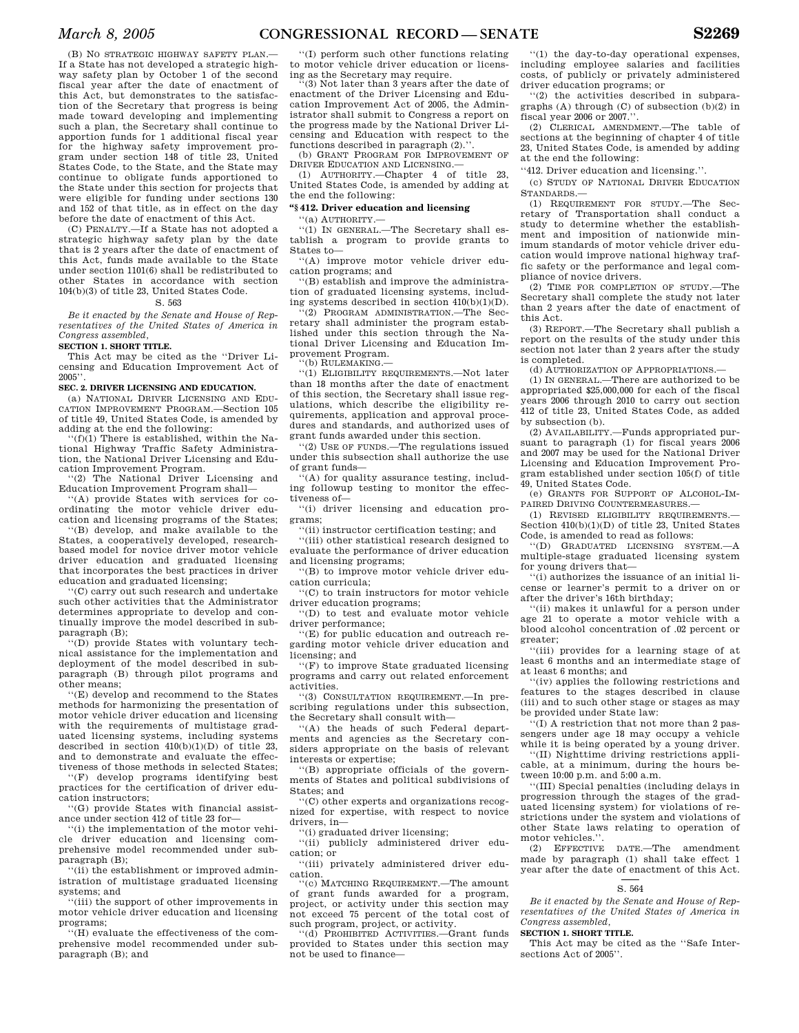(B) NO STRATEGIC HIGHWAY SAFETY PLAN. If a State has not developed a strategic highway safety plan by October 1 of the second fiscal year after the date of enactment of this Act, but demonstrates to the satisfaction of the Secretary that progress is being made toward developing and implementing such a plan, the Secretary shall continue to apportion funds for 1 additional fiscal year for the highway safety improvement program under section 148 of title 23, United States Code, to the State, and the State may continue to obligate funds apportioned to the State under this section for projects that were eligible for funding under sections 130 and 152 of that title, as in effect on the day before the date of enactment of this Act.

(C) PENALTY.—If a State has not adopted a strategic highway safety plan by the date that is 2 years after the date of enactment of this Act, funds made available to the State under section 1101(6) shall be redistributed to other States in accordance with section 104(b)(3) of title 23, United States Code.

## S. 563

*Be it enacted by the Senate and House of Representatives of the United States of America in Congress assembled,* 

**SECTION 1. SHORT TITLE.** 

This Act may be cited as the ''Driver Licensing and Education Improvement Act of 2005''.

## **SEC. 2. DRIVER LICENSING AND EDUCATION.**

(a) NATIONAL DRIVER LICENSING AND EDU-CATION IMPROVEMENT PROGRAM.—Section 105 of title 49, United States Code, is amended by adding at the end the following:

''(f)(1) There is established, within the National Highway Traffic Safety Administration, the National Driver Licensing and Education Improvement Program.

(2) The National Driver Licensing and Education Improvement Program shall—

''(A) provide States with services for coordinating the motor vehicle driver education and licensing programs of the States;

''(B) develop, and make available to the States, a cooperatively developed, researchbased model for novice driver motor vehicle driver education and graduated licensing that incorporates the best practices in driver education and graduated licensing;

''(C) carry out such research and undertake such other activities that the Administrator determines appropriate to develop and continually improve the model described in subparagraph (B);

''(D) provide States with voluntary technical assistance for the implementation and deployment of the model described in subparagraph (B) through pilot programs and other means;

''(E) develop and recommend to the States methods for harmonizing the presentation of motor vehicle driver education and licensing with the requirements of multistage graduated licensing systems, including systems described in section 410(b)(1)(D) of title 23, and to demonstrate and evaluate the effectiveness of those methods in selected States;

''(F) develop programs identifying best practices for the certification of driver education instructors;

''(G) provide States with financial assistance under section 412 of title 23 for—

''(i) the implementation of the motor vehicle driver education and licensing comprehensive model recommended under subparagraph (B);

''(ii) the establishment or improved administration of multistage graduated licensing systems; and

''(iii) the support of other improvements in motor vehicle driver education and licensing programs;

 $\widetilde{H}$ ) evaluate the effectiveness of the comprehensive model recommended under subparagraph (B); and

''(I) perform such other functions relating to motor vehicle driver education or licensing as the Secretary may require.

''(3) Not later than 3 years after the date of enactment of the Driver Licensing and Education Improvement Act of 2005, the Administrator shall submit to Congress a report on the progress made by the National Driver Licensing and Education with respect to the functions described in paragraph  $(2)$ .

(b) GRANT PROGRAM FOR IMPROVEMENT OF DRIVER EDUCATION AND LICENSING.—

(1) AUTHORITY.—Chapter 4 of title 23, United States Code, is amended by adding at the end the following:

## **''§ 412. Driver education and licensing**

''(a) AUTHORITY.—

''(1) IN GENERAL.—The Secretary shall establish a program to provide grants to States to—

''(A) improve motor vehicle driver education programs; and

''(B) establish and improve the administration of graduated licensing systems, including systems described in section 410(b)(1)(D).

''(2) PROGRAM ADMINISTRATION.—The Secretary shall administer the program established under this section through the National Driver Licensing and Education Improvement Program.

''(b) RULEMAKING.—

''(1) ELIGIBILITY REQUIREMENTS.—Not later than 18 months after the date of enactment of this section, the Secretary shall issue regulations, which describe the eligibility requirements, application and approval procedures and standards, and authorized uses of grant funds awarded under this section.

''(2) USE OF FUNDS.—The regulations issued under this subsection shall authorize the use of grant funds—

''(A) for quality assurance testing, including followup testing to monitor the effectiveness of—

''(i) driver licensing and education programs;

''(ii) instructor certification testing; and

''(iii) other statistical research designed to evaluate the performance of driver education and licensing programs;

''(B) to improve motor vehicle driver education curricula;

''(C) to train instructors for motor vehicle driver education programs;

''(D) to test and evaluate motor vehicle driver performance;

''(E) for public education and outreach regarding motor vehicle driver education and licensing; and

''(F) to improve State graduated licensing programs and carry out related enforcement activities.

''(3) CONSULTATION REQUIREMENT.—In prescribing regulations under this subsection, the Secretary shall consult with—

''(A) the heads of such Federal departments and agencies as the Secretary considers appropriate on the basis of relevant interests or expertise;

''(B) appropriate officials of the governments of States and political subdivisions of States; and

''(C) other experts and organizations recognized for expertise, with respect to novice drivers, in—

''(i) graduated driver licensing;

''(ii) publicly administered driver education; or

''(iii) privately administered driver education.

'(c) MATCHING REQUIREMENT.—The amount of grant funds awarded for a program, project, or activity under this section may not exceed 75 percent of the total cost of such program, project, or activity.

''(d) PROHIBITED ACTIVITIES.—Grant funds provided to States under this section may not be used to finance—

''(1) the day-to-day operational expenses, including employee salaries and facilities costs, of publicly or privately administered driver education programs; or

''(2) the activities described in subparagraphs (A) through (C) of subsection  $(b)(2)$  in fiscal year 2006 or 2007."

(2) CLERICAL AMENDMENT.—The table of sections at the beginning of chapter 4 of title 23, United States Code, is amended by adding at the end the following:

''412. Driver education and licensing.''.

(c) STUDY OF NATIONAL DRIVER EDUCATION STANDARDS.—

(1) REQUIREMENT FOR STUDY.—The Secretary of Transportation shall conduct a study to determine whether the establishment and imposition of nationwide minimum standards of motor vehicle driver education would improve national highway traffic safety or the performance and legal compliance of novice drivers.

(2) TIME FOR COMPLETION OF STUDY.—The Secretary shall complete the study not later than 2 years after the date of enactment of this Act.

(3) REPORT.—The Secretary shall publish a report on the results of the study under this section not later than 2 years after the study is completed.

(d) AUTHORIZATION OF APPROPRIATIONS.—

(1) IN GENERAL.—There are authorized to be appropriated \$25,000,000 for each of the fiscal years 2006 through 2010 to carry out section 412 of title 23, United States Code, as added by subsection (b).

(2) AVAILABILITY.—Funds appropriated pursuant to paragraph (1) for fiscal years 2006 and 2007 may be used for the National Driver Licensing and Education Improvement Program established under section 105(f) of title 49, United States Code.

(e) GRANTS FOR SUPPORT OF ALCOHOL-IM-PAIRED DRIVING COUNTERMEASURES.—

(1) REVISED ELIGIBILITY REQUIREMENTS.— Section 410(b)(1)(D) of title 23, United States Code, is amended to read as follows:

''(D) GRADUATED LICENSING SYSTEM.—A multiple-stage graduated licensing system for young drivers that—

''(i) authorizes the issuance of an initial license or learner's permit to a driver on or after the driver's 16th birthday;

''(ii) makes it unlawful for a person under age 21 to operate a motor vehicle with a blood alcohol concentration of .02 percent or greater;

''(iii) provides for a learning stage of at least 6 months and an intermediate stage of at least 6 months; and

''(iv) applies the following restrictions and features to the stages described in clause (iii) and to such other stage or stages as may be provided under State law:

 $\tilde{f}(I)$  A restriction that not more than 2 passengers under age 18 may occupy a vehicle while it is being operated by a young driver.

''(II) Nighttime driving restrictions applicable, at a minimum, during the hours between 10:00 p.m. and 5:00 a.m.

''(III) Special penalties (including delays in progression through the stages of the graduated licensing system) for violations of restrictions under the system and violations of other State laws relating to operation of motor vehicles.".

(2) EFFECTIVE DATE.—The amendment made by paragraph (1) shall take effect 1 year after the date of enactment of this Act.

#### S. 564

*Be it enacted by the Senate and House of Representatives of the United States of America in Congress assembled,* 

#### **SECTION 1. SHORT TITLE.**

This Act may be cited as the ''Safe Intersections Act of 2005''.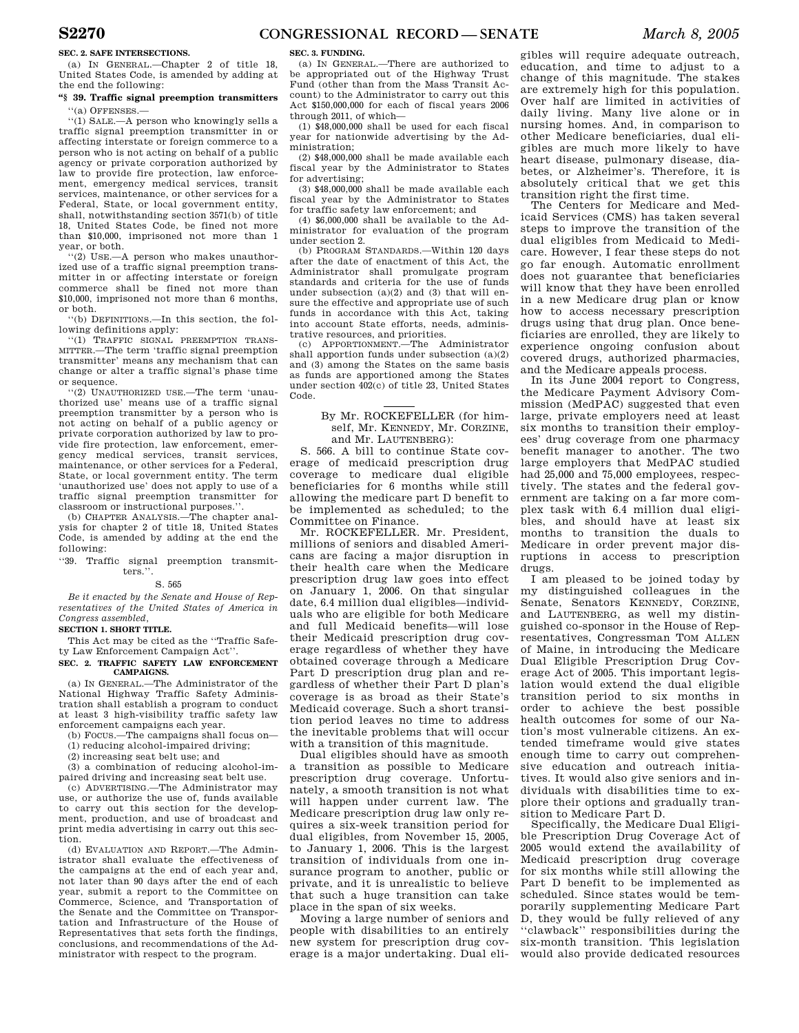## **SEC. 2. SAFE INTERSECTIONS.**

(a) IN GENERAL.—Chapter 2 of title 18, United States Code, is amended by adding at the end the following:

## **''§ 39. Traffic signal preemption transmitters**  ''(a) OFFENSES.—

''(1) SALE.—A person who knowingly sells a traffic signal preemption transmitter in or affecting interstate or foreign commerce to a person who is not acting on behalf of a public agency or private corporation authorized by law to provide fire protection, law enforcement, emergency medical services, transit services, maintenance, or other services for a Federal, State, or local government entity, shall, notwithstanding section 3571(b) of title 18, United States Code, be fined not more than \$10,000, imprisoned not more than 1 year, or both.

''(2) USE.—A person who makes unauthorized use of a traffic signal preemption transmitter in or affecting interstate or foreign commerce shall be fined not more than \$10,000, imprisoned not more than 6 months, or both.

''(b) DEFINITIONS.—In this section, the following definitions apply:

''(1) TRAFFIC SIGNAL PREEMPTION TRANS-MITTER.—The term 'traffic signal preemption transmitter' means any mechanism that can change or alter a traffic signal's phase time or sequence.

''(2) UNAUTHORIZED USE.—The term 'unauthorized use' means use of a traffic signal preemption transmitter by a person who is not acting on behalf of a public agency or private corporation authorized by law to provide fire protection, law enforcement, emergency medical services, transit services, maintenance, or other services for a Federal, State, or local government entity. The term 'unauthorized use' does not apply to use of a traffic signal preemption transmitter for classroom or instructional purposes.''.

(b) CHAPTER ANALYSIS.—The chapter analysis for chapter 2 of title 18, United States Code, is amended by adding at the end the following:

''39. Traffic signal preemption transmitters.''.

S. 565

*Be it enacted by the Senate and House of Representatives of the United States of America in Congress assembled,* 

## **SECTION 1. SHORT TITLE.**

This Act may be cited as the ''Traffic Safety Law Enforcement Campaign Act''.

**SEC. 2. TRAFFIC SAFETY LAW ENFORCEMENT CAMPAIGNS.** 

(a) IN GENERAL.—The Administrator of the National Highway Traffic Safety Administration shall establish a program to conduct at least 3 high-visibility traffic safety law enforcement campaigns each year.

(b) FOCUS.—The campaigns shall focus on—

(1) reducing alcohol-impaired driving;

(2) increasing seat belt use; and

(3) a combination of reducing alcohol-impaired driving and increasing seat belt use.

(c) ADVERTISING.—The Administrator may use, or authorize the use of, funds available to carry out this section for the development, production, and use of broadcast and print media advertising in carry out this section.

(d) EVALUATION AND REPORT.—The Administrator shall evaluate the effectiveness of the campaigns at the end of each year and, not later than 90 days after the end of each year, submit a report to the Committee on Commerce, Science, and Transportation of the Senate and the Committee on Transportation and Infrastructure of the House of Representatives that sets forth the findings, conclusions, and recommendations of the Administrator with respect to the program.

## **SEC. 3. FUNDING.**

(a) IN GENERAL.—There are authorized to be appropriated out of the Highway Trust Fund (other than from the Mass Transit Account) to the Administrator to carry out this Act \$150,000,000 for each of fiscal years 2006 through 2011, of which—

(1) \$48,000,000 shall be used for each fiscal year for nationwide advertising by the Administration;

(2) \$48,000,000 shall be made available each fiscal year by the Administrator to States for advertising;

(3) \$48,000,000 shall be made available each fiscal year by the Administrator to States for traffic safety law enforcement; and

(4) \$6,000,000 shall be available to the Administrator for evaluation of the program under section 2.

(b) PROGRAM STANDARDS.—Within 120 days after the date of enactment of this Act, the Administrator shall promulgate program standards and criteria for the use of funds under subsection  $(a)(2)$  and  $(3)$  that will ensure the effective and appropriate use of such funds in accordance with this Act, taking into account State efforts, needs, administrative resources, and priorities.

(c) APPORTIONMENT.—The Administrator shall apportion funds under subsection (a)(2) and (3) among the States on the same basis as funds are apportioned among the States under section 402(c) of title 23, United States Code.

> By Mr. ROCKEFELLER (for himself, Mr. KENNEDY, Mr. CORZINE and Mr. LAUTENBERG):

S. 566. A bill to continue State coverage of medicaid prescription drug coverage to medicare dual eligible beneficiaries for 6 months while still allowing the medicare part D benefit to be implemented as scheduled; to the Committee on Finance.

Mr. ROCKEFELLER. Mr. President, millions of seniors and disabled Americans are facing a major disruption in their health care when the Medicare prescription drug law goes into effect on January 1, 2006. On that singular date, 6.4 million dual eligibles—individuals who are eligible for both Medicare and full Medicaid benefits—will lose their Medicaid prescription drug coverage regardless of whether they have obtained coverage through a Medicare Part D prescription drug plan and regardless of whether their Part D plan's coverage is as broad as their State's Medicaid coverage. Such a short transition period leaves no time to address the inevitable problems that will occur with a transition of this magnitude.

Dual eligibles should have as smooth a transition as possible to Medicare prescription drug coverage. Unfortunately, a smooth transition is not what will happen under current law. The Medicare prescription drug law only requires a six-week transition period for dual eligibles, from November 15, 2005, to January 1, 2006. This is the largest transition of individuals from one insurance program to another, public or private, and it is unrealistic to believe that such a huge transition can take place in the span of six weeks.

Moving a large number of seniors and people with disabilities to an entirely new system for prescription drug coverage is a major undertaking. Dual eli-

gibles will require adequate outreach, education, and time to adjust to a change of this magnitude. The stakes are extremely high for this population. Over half are limited in activities of daily living. Many live alone or in nursing homes. And, in comparison to other Medicare beneficiaries, dual eligibles are much more likely to have heart disease, pulmonary disease, diabetes, or Alzheimer's. Therefore, it is absolutely critical that we get this transition right the first time.

The Centers for Medicare and Medicaid Services (CMS) has taken several steps to improve the transition of the dual eligibles from Medicaid to Medicare. However, I fear these steps do not go far enough. Automatic enrollment does not guarantee that beneficiaries will know that they have been enrolled in a new Medicare drug plan or know how to access necessary prescription drugs using that drug plan. Once beneficiaries are enrolled, they are likely to experience ongoing confusion about covered drugs, authorized pharmacies, and the Medicare appeals process.

In its June 2004 report to Congress, the Medicare Payment Advisory Commission (MedPAC) suggested that even large, private employers need at least six months to transition their employees' drug coverage from one pharmacy benefit manager to another. The two large employers that MedPAC studied had 25,000 and 75,000 employees, respectively. The states and the federal government are taking on a far more complex task with 6.4 million dual eligibles, and should have at least six months to transition the duals to Medicare in order prevent major disruptions in access to prescription drugs.

I am pleased to be joined today by my distinguished colleagues in the Senate, Senators KENNEDY, CORZINE, and LAUTENBERG, as well my distinguished co-sponsor in the House of Representatives, Congressman TOM ALLEN of Maine, in introducing the Medicare Dual Eligible Prescription Drug Coverage Act of 2005. This important legislation would extend the dual eligible transition period to six months in order to achieve the best possible health outcomes for some of our Nation's most vulnerable citizens. An extended timeframe would give states enough time to carry out comprehensive education and outreach initiatives. It would also give seniors and individuals with disabilities time to explore their options and gradually transition to Medicare Part D.

Specifically, the Medicare Dual Eligible Prescription Drug Coverage Act of 2005 would extend the availability of Medicaid prescription drug coverage for six months while still allowing the Part D benefit to be implemented as scheduled. Since states would be temporarily supplementing Medicare Part D, they would be fully relieved of any ''clawback'' responsibilities during the six-month transition. This legislation would also provide dedicated resources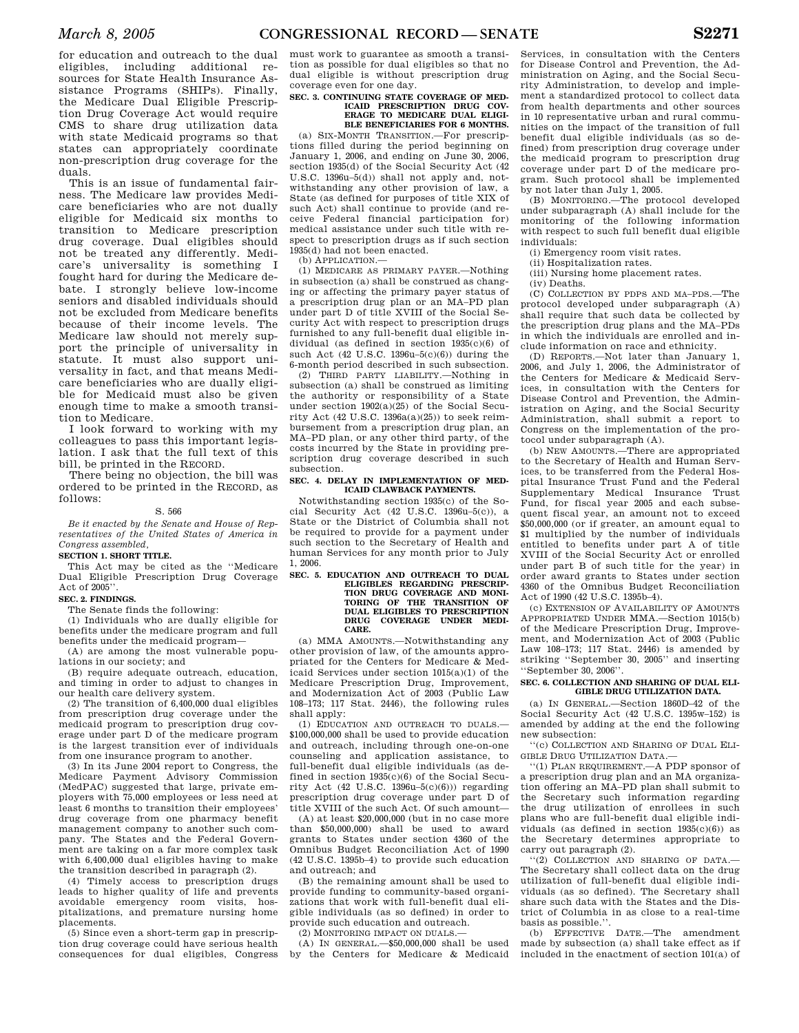for education and outreach to the dual eligibles, including additional resources for State Health Insurance Assistance Programs (SHIPs). Finally, the Medicare Dual Eligible Prescription Drug Coverage Act would require CMS to share drug utilization data with state Medicaid programs so that states can appropriately coordinate non-prescription drug coverage for the duals.

This is an issue of fundamental fairness. The Medicare law provides Medicare beneficiaries who are not dually eligible for Medicaid six months to transition to Medicare prescription drug coverage. Dual eligibles should not be treated any differently. Medicare's universality is something I fought hard for during the Medicare debate. I strongly believe low-income seniors and disabled individuals should not be excluded from Medicare benefits because of their income levels. The Medicare law should not merely support the principle of universality in statute. It must also support universality in fact, and that means Medicare beneficiaries who are dually eligible for Medicaid must also be given enough time to make a smooth transition to Medicare.

I look forward to working with my colleagues to pass this important legislation. I ask that the full text of this bill, be printed in the RECORD.

There being no objection, the bill was ordered to be printed in the RECORD, as follows:

#### S. 566

*Be it enacted by the Senate and House of Representatives of the United States of America in Congress assembled,* 

#### **SECTION 1. SHORT TITLE.**

This Act may be cited as the ''Medicare Dual Eligible Prescription Drug Coverage Act of  $2005$ <sup>"</sup>

## **SEC. 2. FINDINGS.**

The Senate finds the following:

(1) Individuals who are dually eligible for benefits under the medicare program and full benefits under the medicaid program—

(A) are among the most vulnerable populations in our society; and

(B) require adequate outreach, education, and timing in order to adjust to changes in our health care delivery system.

(2) The transition of 6,400,000 dual eligibles from prescription drug coverage under the medicaid program to prescription drug coverage under part D of the medicare program is the largest transition ever of individuals from one insurance program to another.

(3) In its June 2004 report to Congress, the Medicare Payment Advisory Commission (MedPAC) suggested that large, private employers with 75,000 employees or less need at least 6 months to transition their employees' drug coverage from one pharmacy benefit management company to another such company. The States and the Federal Government are taking on a far more complex task with 6,400,000 dual eligibles having to make the transition described in paragraph (2).

(4) Timely access to prescription drugs leads to higher quality of life and prevents avoidable emergency room visits, hospitalizations, and premature nursing home placements.

(5) Since even a short-term gap in prescription drug coverage could have serious health consequences for dual eligibles, Congress

must work to guarantee as smooth a transition as possible for dual eligibles so that no dual eligible is without prescription drug coverage even for one day.

## **SEC. 3. CONTINUING STATE COVERAGE OF MED-ICAID PRESCRIPTION DRUG COV-ERAGE TO MEDICARE DUAL ELIGI-BLE BENEFICIARIES FOR 6 MONTHS.**

(a) SIX-MONTH TRANSITION.—For prescriptions filled during the period beginning on January 1, 2006, and ending on June 30, 2006, section 1935(d) of the Social Security Act (42 U.S.C. 1396u–5(d)) shall not apply and, notwithstanding any other provision of law, a State (as defined for purposes of title XIX of such Act) shall continue to provide (and receive Federal financial participation for) medical assistance under such title with respect to prescription drugs as if such section 1935(d) had not been enacted.

(b) APPLICATION.—

(1) MEDICARE AS PRIMARY PAYER.—Nothing in subsection (a) shall be construed as changing or affecting the primary payer status of a prescription drug plan or an MA–PD plan under part D of title XVIII of the Social Security Act with respect to prescription drugs furnished to any full-benefit dual eligible individual (as defined in section 1935(c)(6) of such Act (42 U.S.C. 1396u–5(c)(6)) during the 6-month period described in such subsection.

(2) THIRD PARTY LIABILITY.—Nothing in subsection (a) shall be construed as limiting the authority or responsibility of a State under section 1902(a)(25) of the Social Security Act (42 U.S.C. 1396a(a)(25)) to seek reimbursement from a prescription drug plan, an MA–PD plan, or any other third party, of the costs incurred by the State in providing prescription drug coverage described in such subsection.

## SEC. 4 DELAY IN IMPLEMENTATION OF MED. **ICAID CLAWBACK PAYMENTS.**

Notwithstanding section 1935(c) of the Social Security Act (42 U.S.C. 1396u–5(c)), a State or the District of Columbia shall not be required to provide for a payment under such section to the Secretary of Health and human Services for any month prior to July 1, 2006.

## **SEC. 5. EDUCATION AND OUTREACH TO DUAL ELIGIBLES REGARDING PRESCRIP-TION DRUG COVERAGE AND MONI-TORING OF THE TRANSITION OF DUAL ELIGIBLES TO PRESCRIPTION DRUG COVERAGE UNDER MEDI-CARE.**

(a) MMA AMOUNTS.—Notwithstanding any other provision of law, of the amounts appropriated for the Centers for Medicare & Medicaid Services under section 1015(a)(1) of the Medicare Prescription Drug, Improvement, and Modernization Act of 2003 (Public Law 108–173; 117 Stat. 2446), the following rules shall apply:

(1) EDUCATION AND OUTREACH TO DUALS.— \$100,000,000 shall be used to provide education and outreach, including through one-on-one counseling and application assistance, to full-benefit dual eligible individuals (as defined in section 1935(c)(6) of the Social Security Act  $(42 \text{ U.S.C. } 1396u-5(c)(6))$  regarding prescription drug coverage under part D of title XVIII of the such Act. Of such amount—

(A) at least \$20,000,000 (but in no case more than \$50,000,000) shall be used to award grants to States under section 4360 of the Omnibus Budget Reconciliation Act of 1990 (42 U.S.C. 1395b–4) to provide such education and outreach; and

(B) the remaining amount shall be used to provide funding to community-based organizations that work with full-benefit dual eligible individuals (as so defined) in order to provide such education and outreach.

(2) MONITORING IMPACT ON DUALS.—

(A) IN GENERAL.—\$50,000,000 shall be used by the Centers for Medicare & Medicaid

Services, in consultation with the Centers for Disease Control and Prevention, the Administration on Aging, and the Social Security Administration, to develop and implement a standardized protocol to collect data from health departments and other sources in 10 representative urban and rural communities on the impact of the transition of full benefit dual eligible individuals (as so defined) from prescription drug coverage under the medicaid program to prescription drug coverage under part D of the medicare program. Such protocol shall be implemented by not later than July 1, 2005.

(B) MONITORING.—The protocol developed under subparagraph (A) shall include for the monitoring of the following information with respect to such full benefit dual eligible individuals:

(i) Emergency room visit rates.

- (ii) Hospitalization rates.
- (iii) Nursing home placement rates.

(iv) Deaths. (C) COLLECTION BY PDPS AND MA–PDS.—The protocol developed under subparagraph (A) shall require that such data be collected by the prescription drug plans and the MA–PDs in which the individuals are enrolled and in-

clude information on race and ethnicity. (D) REPORTS.—Not later than January 1, 2006, and July 1, 2006, the Administrator of the Centers for Medicare & Medicaid Services, in consultation with the Centers for Disease Control and Prevention, the Administration on Aging, and the Social Security Administration, shall submit a report to Congress on the implementation of the protocol under subparagraph (A).

(b) NEW AMOUNTS.—There are appropriated to the Secretary of Health and Human Services, to be transferred from the Federal Hospital Insurance Trust Fund and the Federal Supplementary Medical Insurance Trust Fund, for fiscal year 2005 and each subsequent fiscal year, an amount not to exceed \$50,000,000 (or if greater, an amount equal to \$1 multiplied by the number of individuals entitled to benefits under part A of title XVIII of the Social Security Act or enrolled under part B of such title for the year) in order award grants to States under section 4360 of the Omnibus Budget Reconciliation Act of 1990 (42 U.S.C. 1395b–4).

(c) EXTENSION OF AVAILABILITY OF AMOUNTS APPROPRIATED UNDER MMA.—Section 1015(b) of the Medicare Prescription Drug, Improvement, and Modernization Act of 2003 (Public Law 108–173; 117 Stat. 2446) is amended by striking ''September 30, 2005'' and inserting ''September 30, 2006''.

#### **SEC. 6. COLLECTION AND SHARING OF DUAL ELI-GIBLE DRUG UTILIZATION DATA.**

(a) IN GENERAL.—Section 1860D–42 of the Social Security Act (42 U.S.C. 1395w–152) is amended by adding at the end the following new subsection:

''(c) COLLECTION AND SHARING OF DUAL ELI-GIBLE DRUG UTILIZATION DATA.

''(1) PLAN REQUIREMENT.—A PDP sponsor of a prescription drug plan and an MA organization offering an MA–PD plan shall submit to the Secretary such information regarding the drug utilization of enrollees in such plans who are full-benefit dual eligible individuals (as defined in section  $1935(c)(6)$ ) as the Secretary determines appropriate to carry out paragraph (2).

''(2) COLLECTION AND SHARING OF DATA.— The Secretary shall collect data on the drug utilization of full-benefit dual eligible individuals (as so defined). The Secretary shall share such data with the States and the District of Columbia in as close to a real-time basis as possible.''.

(b) EFFECTIVE DATE.—The amendment made by subsection (a) shall take effect as if included in the enactment of section 101(a) of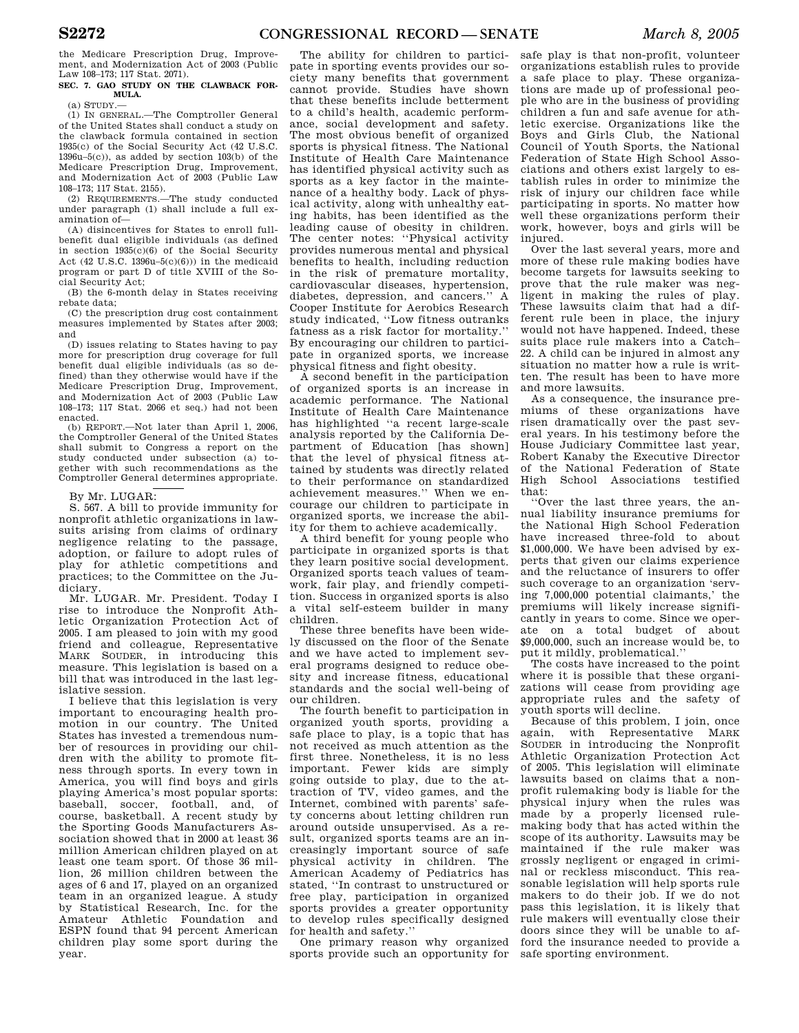the Medicare Prescription Drug, Improvement, and Modernization Act of 2003 (Public Law 108–173; 117 Stat. 2071).

## **SEC. 7. GAO STUDY ON THE CLAWBACK FOR-MULA.**

(a) STUDY.—

(1) IN GENERAL.—The Comptroller General of the United States shall conduct a study on the clawback formula contained in section 1935(c) of the Social Security Act (42 U.S.C. 1396u–5(c)), as added by section 103(b) of the Medicare Prescription Drug, Improvement, and Modernization Act of 2003 (Public Law 108–173; 117 Stat. 2155).

(2) REQUIREMENTS.—The study conducted under paragraph (1) shall include a full examination of—

(A) disincentives for States to enroll fullbenefit dual eligible individuals (as defined in section 1935(c)(6) of the Social Security Act (42 U.S.C. 1396u- $5(c)(6)$ )) in the medicaid program or part D of title XVIII of the Social Security Act;

(B) the 6-month delay in States receiving rebate data;

(C) the prescription drug cost containment measures implemented by States after 2003; and

(D) issues relating to States having to pay more for prescription drug coverage for full benefit dual eligible individuals (as so defined) than they otherwise would have if the Medicare Prescription Drug, Improvement, and Modernization Act of 2003 (Public Law 108–173; 117 Stat. 2066 et seq.) had not been enacted.

(b) REPORT.—Not later than April 1, 2006, the Comptroller General of the United States shall submit to Congress a report on the study conducted under subsection (a) together with such recommendations as the Comptroller General determines appropriate.

## By Mr. LUGAR:

S. 567. A bill to provide immunity for nonprofit athletic organizations in lawsuits arising from claims of ordinary negligence relating to the passage, adoption, or failure to adopt rules of play for athletic competitions and practices; to the Committee on the Judiciary.

Mr. LUGAR. Mr. President. Today I rise to introduce the Nonprofit Athletic Organization Protection Act of 2005. I am pleased to join with my good friend and colleague, Representative MARK SOUDER, in introducing this measure. This legislation is based on a bill that was introduced in the last legislative session.

I believe that this legislation is very important to encouraging health promotion in our country. The United States has invested a tremendous number of resources in providing our children with the ability to promote fitness through sports. In every town in America, you will find boys and girls playing America's most popular sports: baseball, soccer, football, and, of course, basketball. A recent study by the Sporting Goods Manufacturers Association showed that in 2000 at least 36 million American children played on at least one team sport. Of those 36 million, 26 million children between the ages of 6 and 17, played on an organized team in an organized league. A study by Statistical Research, Inc. for the Amateur Athletic Foundation and ESPN found that 94 percent American children play some sport during the year.

The ability for children to participate in sporting events provides our society many benefits that government cannot provide. Studies have shown that these benefits include betterment to a child's health, academic performance, social development and safety. The most obvious benefit of organized sports is physical fitness. The National Institute of Health Care Maintenance has identified physical activity such as sports as a key factor in the maintenance of a healthy body. Lack of physical activity, along with unhealthy eating habits, has been identified as the leading cause of obesity in children. The center notes: "Physical activity provides numerous mental and physical benefits to health, including reduction in the risk of premature mortality, cardiovascular diseases, hypertension, diabetes, depression, and cancers.'' A Cooper Institute for Aerobics Research study indicated, ''Low fitness outranks fatness as a risk factor for mortality.'' By encouraging our children to participate in organized sports, we increase physical fitness and fight obesity.

A second benefit in the participation of organized sports is an increase in academic performance. The National Institute of Health Care Maintenance has highlighted ''a recent large-scale analysis reported by the California Department of Education [has shown] that the level of physical fitness attained by students was directly related to their performance on standardized achievement measures.'' When we encourage our children to participate in organized sports, we increase the ability for them to achieve academically.

A third benefit for young people who participate in organized sports is that they learn positive social development. Organized sports teach values of teamwork, fair play, and friendly competition. Success in organized sports is also a vital self-esteem builder in many children.

These three benefits have been widely discussed on the floor of the Senate and we have acted to implement several programs designed to reduce obesity and increase fitness, educational standards and the social well-being of our children.

The fourth benefit to participation in organized youth sports, providing a safe place to play, is a topic that has not received as much attention as the first three. Nonetheless, it is no less important. Fewer kids are simply going outside to play, due to the attraction of TV, video games, and the Internet, combined with parents' safety concerns about letting children run around outside unsupervised. As a result, organized sports teams are an increasingly important source of safe physical activity in children. The American Academy of Pediatrics has stated, ''In contrast to unstructured or free play, participation in organized sports provides a greater opportunity to develop rules specifically designed for health and safety.''

One primary reason why organized sports provide such an opportunity for safe play is that non-profit, volunteer organizations establish rules to provide a safe place to play. These organizations are made up of professional people who are in the business of providing children a fun and safe avenue for athletic exercise. Organizations like the Boys and Girls Club, the National Council of Youth Sports, the National Federation of State High School Associations and others exist largely to establish rules in order to minimize the risk of injury our children face while participating in sports. No matter how well these organizations perform their work, however, boys and girls will be injured.

Over the last several years, more and more of these rule making bodies have become targets for lawsuits seeking to prove that the rule maker was negligent in making the rules of play. These lawsuits claim that had a different rule been in place, the injury would not have happened. Indeed, these suits place rule makers into a Catch– 22. A child can be injured in almost any situation no matter how a rule is written. The result has been to have more and more lawsuits.

As a consequence, the insurance premiums of these organizations have risen dramatically over the past several years. In his testimony before the House Judiciary Committee last year, Robert Kanaby the Executive Director of the National Federation of State High School Associations testified that:

''Over the last three years, the annual liability insurance premiums for the National High School Federation have increased three-fold to about \$1,000,000. We have been advised by experts that given our claims experience and the reluctance of insurers to offer such coverage to an organization 'serving 7,000,000 potential claimants,' the premiums will likely increase significantly in years to come. Since we operate on a total budget of about \$9,000,000, such an increase would be, to put it mildly, problematical.''

The costs have increased to the point where it is possible that these organizations will cease from providing age appropriate rules and the safety of youth sports will decline.

Because of this problem, I join, once again, with Representative MARK SOUDER in introducing the Nonprofit Athletic Organization Protection Act of 2005. This legislation will eliminate lawsuits based on claims that a nonprofit rulemaking body is liable for the physical injury when the rules was made by a properly licensed rulemaking body that has acted within the scope of its authority. Lawsuits may be maintained if the rule maker was grossly negligent or engaged in criminal or reckless misconduct. This reasonable legislation will help sports rule makers to do their job. If we do not pass this legislation, it is likely that rule makers will eventually close their doors since they will be unable to afford the insurance needed to provide a safe sporting environment.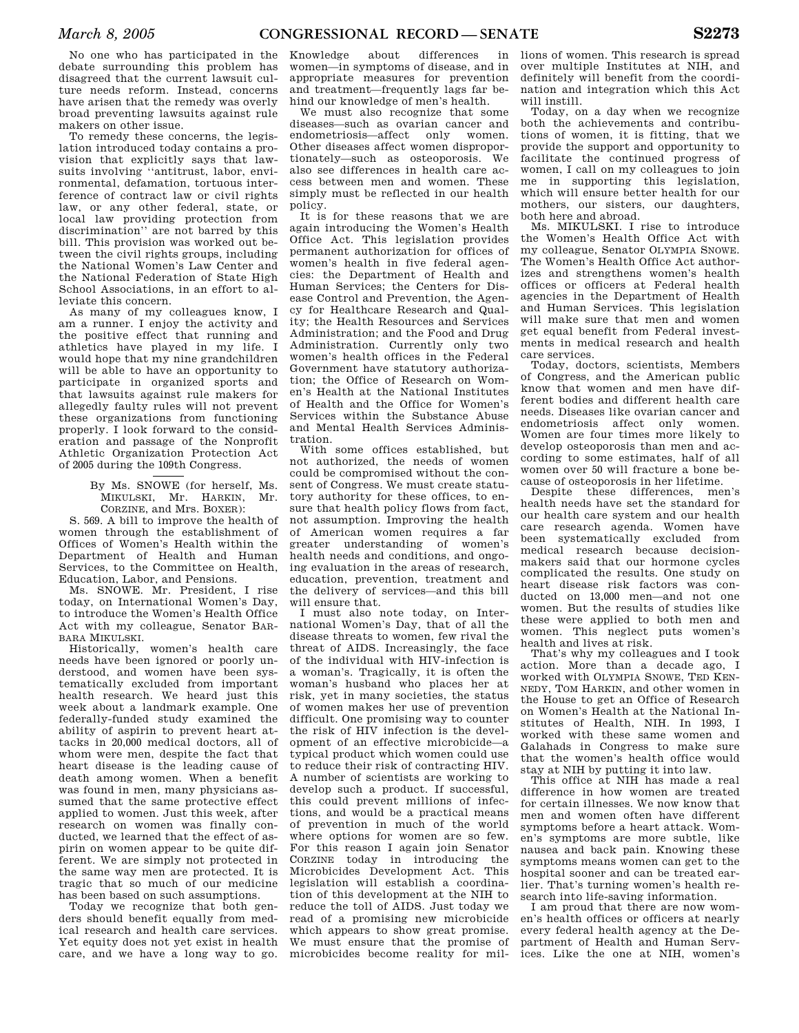No one who has participated in the debate surrounding this problem has disagreed that the current lawsuit culture needs reform. Instead, concerns have arisen that the remedy was overly broad preventing lawsuits against rule makers on other issue.

To remedy these concerns, the legislation introduced today contains a provision that explicitly says that lawsuits involving ''antitrust, labor, environmental, defamation, tortuous interference of contract law or civil rights law, or any other federal, state, or local law providing protection from discrimination'' are not barred by this bill. This provision was worked out between the civil rights groups, including the National Women's Law Center and the National Federation of State High School Associations, in an effort to alleviate this concern.

As many of my colleagues know, I am a runner. I enjoy the activity and the positive effect that running and athletics have played in my life. I would hope that my nine grandchildren will be able to have an opportunity to participate in organized sports and that lawsuits against rule makers for allegedly faulty rules will not prevent these organizations from functioning properly. I look forward to the consideration and passage of the Nonprofit Athletic Organization Protection Act of 2005 during the 109th Congress.

> By Ms. SNOWE (for herself, Ms. MIKULSKI, Mr. HARKIN, Mr. CORZINE, and Mrs. BOXER):

S. 569. A bill to improve the health of women through the establishment of Offices of Women's Health within the Department of Health and Human Services, to the Committee on Health, Education, Labor, and Pensions.

Ms. SNOWE. Mr. President, I rise today, on International Women's Day, to introduce the Women's Health Office Act with my colleague, Senator BAR-BARA MIKULSKI.

Historically, women's health care needs have been ignored or poorly understood, and women have been systematically excluded from important health research. We heard just this week about a landmark example. One federally-funded study examined the ability of aspirin to prevent heart attacks in 20,000 medical doctors, all of whom were men, despite the fact that heart disease is the leading cause of death among women. When a benefit was found in men, many physicians assumed that the same protective effect applied to women. Just this week, after research on women was finally conducted, we learned that the effect of aspirin on women appear to be quite different. We are simply not protected in the same way men are protected. It is tragic that so much of our medicine has been based on such assumptions.

Today we recognize that both genders should benefit equally from medical research and health care services. Yet equity does not yet exist in health care, and we have a long way to go.

Knowledge about differences in women—in symptoms of disease, and in appropriate measures for prevention and treatment—frequently lags far behind our knowledge of men's health.

We must also recognize that some diseases—such as ovarian cancer and endometriosis—affect only women. Other diseases affect women disproportionately—such as osteoporosis. We also see differences in health care access between men and women. These simply must be reflected in our health policy.

It is for these reasons that we are again introducing the Women's Health Office Act. This legislation provides permanent authorization for offices of women's health in five federal agencies: the Department of Health and Human Services; the Centers for Disease Control and Prevention, the Agency for Healthcare Research and Quality; the Health Resources and Services Administration; and the Food and Drug Administration. Currently only two women's health offices in the Federal Government have statutory authorization; the Office of Research on Women's Health at the National Institutes of Health and the Office for Women's Services within the Substance Abuse and Mental Health Services Administration.

With some offices established, but not authorized, the needs of women could be compromised without the consent of Congress. We must create statutory authority for these offices, to ensure that health policy flows from fact, not assumption. Improving the health of American women requires a far greater understanding of women's health needs and conditions, and ongoing evaluation in the areas of research, education, prevention, treatment and the delivery of services—and this bill will ensure that.

I must also note today, on International Women's Day, that of all the disease threats to women, few rival the threat of AIDS. Increasingly, the face of the individual with HIV-infection is a woman's. Tragically, it is often the woman's husband who places her at risk, yet in many societies, the status of women makes her use of prevention difficult. One promising way to counter the risk of HIV infection is the development of an effective microbicide—a typical product which women could use to reduce their risk of contracting HIV. A number of scientists are working to develop such a product. If successful, this could prevent millions of infections, and would be a practical means of prevention in much of the world where options for women are so few. For this reason I again join Senator CORZINE today in introducing the Microbicides Development Act. This legislation will establish a coordination of this development at the NIH to reduce the toll of AIDS. Just today we read of a promising new microbicide which appears to show great promise. We must ensure that the promise of microbicides become reality for mil-

lions of women. This research is spread over multiple Institutes at NIH, and definitely will benefit from the coordination and integration which this Act will instill.

Today, on a day when we recognize both the achievements and contributions of women, it is fitting, that we provide the support and opportunity to facilitate the continued progress of women, I call on my colleagues to join me in supporting this legislation, which will ensure better health for our mothers, our sisters, our daughters, both here and abroad.

Ms. MIKULSKI. I rise to introduce the Women's Health Office Act with my colleague, Senator OLYMPIA SNOWE. The Women's Health Office Act authorizes and strengthens women's health offices or officers at Federal health agencies in the Department of Health and Human Services. This legislation will make sure that men and women get equal benefit from Federal investments in medical research and health care services.

Today, doctors, scientists, Members of Congress, and the American public know that women and men have different bodies and different health care needs. Diseases like ovarian cancer and endometriosis affect only women. Women are four times more likely to develop osteoporosis than men and according to some estimates, half of all women over 50 will fracture a bone because of osteoporosis in her lifetime.

Despite these differences, men's health needs have set the standard for our health care system and our health care research agenda. Women have been systematically excluded from medical research because decisionmakers said that our hormone cycles complicated the results. One study on heart disease risk factors was conducted on 13,000 men—and not one women. But the results of studies like these were applied to both men and women. This neglect puts women's health and lives at risk.

That's why my colleagues and I took action. More than a decade ago, I worked with OLYMPIA SNOWE, TED KEN-NEDY, TOM HARKIN, and other women in the House to get an Office of Research on Women's Health at the National Institutes of Health, NIH. In 1993, I worked with these same women and Galahads in Congress to make sure that the women's health office would stay at NIH by putting it into law.

This office at NIH has made a real difference in how women are treated for certain illnesses. We now know that men and women often have different symptoms before a heart attack. Women's symptoms are more subtle, like nausea and back pain. Knowing these symptoms means women can get to the hospital sooner and can be treated earlier. That's turning women's health research into life-saving information.

I am proud that there are now women's health offices or officers at nearly every federal health agency at the Department of Health and Human Services. Like the one at NIH, women's